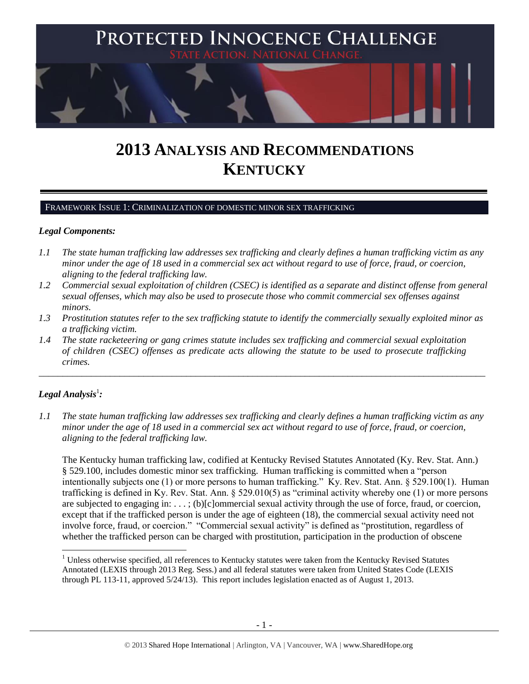

# **2013 ANALYSIS AND RECOMMENDATIONS KENTUCKY**

### FRAMEWORK ISSUE 1: CRIMINALIZATION OF DOMESTIC MINOR SEX TRAFFICKING

### *Legal Components:*

- *1.1 The state human trafficking law addresses sex trafficking and clearly defines a human trafficking victim as any minor under the age of 18 used in a commercial sex act without regard to use of force, fraud, or coercion, aligning to the federal trafficking law.*
- *1.2 Commercial sexual exploitation of children (CSEC) is identified as a separate and distinct offense from general sexual offenses, which may also be used to prosecute those who commit commercial sex offenses against minors.*
- *1.3 Prostitution statutes refer to the sex trafficking statute to identify the commercially sexually exploited minor as a trafficking victim.*

\_\_\_\_\_\_\_\_\_\_\_\_\_\_\_\_\_\_\_\_\_\_\_\_\_\_\_\_\_\_\_\_\_\_\_\_\_\_\_\_\_\_\_\_\_\_\_\_\_\_\_\_\_\_\_\_\_\_\_\_\_\_\_\_\_\_\_\_\_\_\_\_\_\_\_\_\_\_\_\_\_\_\_\_\_\_\_\_\_\_\_\_\_\_

*1.4 The state racketeering or gang crimes statute includes sex trafficking and commercial sexual exploitation of children (CSEC) offenses as predicate acts allowing the statute to be used to prosecute trafficking crimes.* 

# $\bm{L}$ egal Analysis $^1$ :

 $\overline{\phantom{a}}$ 

*1.1 The state human trafficking law addresses sex trafficking and clearly defines a human trafficking victim as any minor under the age of 18 used in a commercial sex act without regard to use of force, fraud, or coercion, aligning to the federal trafficking law.*

The Kentucky human trafficking law, codified at Kentucky Revised Statutes Annotated (Ky. Rev. Stat. Ann.) § 529.100, includes domestic minor sex trafficking. Human trafficking is committed when a "person intentionally subjects one (1) or more persons to human trafficking." Ky. Rev. Stat. Ann. § 529.100(1). Human trafficking is defined in Ky. Rev. Stat. Ann. § 529.010(5) as "criminal activity whereby one (1) or more persons are subjected to engaging in: . . . ; (b)[c]ommercial sexual activity through the use of force, fraud, or coercion, except that if the trafficked person is under the age of eighteen (18), the commercial sexual activity need not involve force, fraud, or coercion." "Commercial sexual activity" is defined as "prostitution, regardless of whether the trafficked person can be charged with prostitution, participation in the production of obscene

<sup>&</sup>lt;sup>1</sup> Unless otherwise specified, all references to Kentucky statutes were taken from the Kentucky Revised Statutes Annotated (LEXIS through 2013 Reg. Sess.) and all federal statutes were taken from United States Code (LEXIS through PL 113-11, approved 5/24/13). This report includes legislation enacted as of August 1, 2013.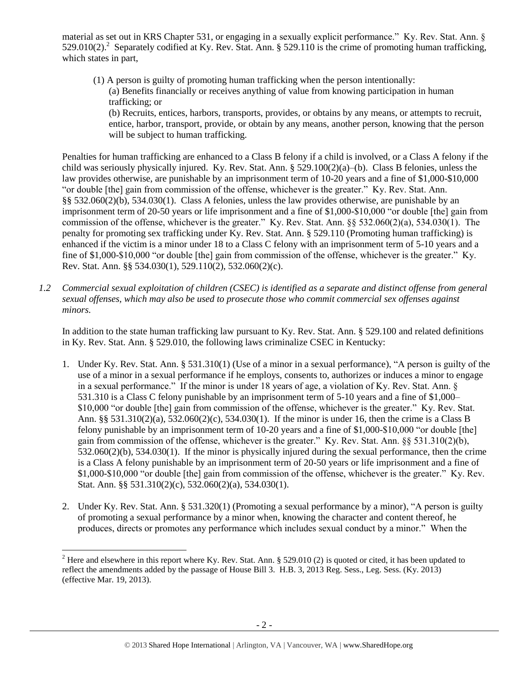material as set out in KRS Chapter 531, or engaging in a sexually explicit performance." Ky. Rev. Stat. Ann. § 529.010(2).<sup>2</sup> Separately codified at Ky. Rev. Stat. Ann. § 529.110 is the crime of promoting human trafficking, which states in part,

<span id="page-1-0"></span>(1) A person is guilty of promoting human trafficking when the person intentionally: (a) Benefits financially or receives anything of value from knowing participation in human trafficking; or

(b) Recruits, entices, harbors, transports, provides, or obtains by any means, or attempts to recruit, entice, harbor, transport, provide, or obtain by any means, another person, knowing that the person will be subject to human trafficking.

Penalties for human trafficking are enhanced to a Class B felony if a child is involved, or a Class A felony if the child was seriously physically injured. Ky. Rev. Stat. Ann. § 529.100(2)(a)–(b). Class B felonies, unless the law provides otherwise, are punishable by an imprisonment term of 10-20 years and a fine of \$1,000-\$10,000 "or double [the] gain from commission of the offense, whichever is the greater." Ky. Rev. Stat. Ann. §§ 532.060(2)(b), 534.030(1). Class A felonies, unless the law provides otherwise, are punishable by an imprisonment term of 20-50 years or life imprisonment and a fine of \$1,000-\$10,000 "or double [the] gain from commission of the offense, whichever is the greater." Ky. Rev. Stat. Ann. §§ 532.060(2)(a), 534.030(1). The penalty for promoting sex trafficking under Ky. Rev. Stat. Ann. § 529.110 (Promoting human trafficking) is enhanced if the victim is a minor under 18 to a Class C felony with an imprisonment term of 5-10 years and a fine of \$1,000-\$10,000 "or double [the] gain from commission of the offense, whichever is the greater." Ky. Rev. Stat. Ann. §§ 534.030(1), 529.110(2), 532.060(2)(c).

*1.2 Commercial sexual exploitation of children (CSEC) is identified as a separate and distinct offense from general sexual offenses, which may also be used to prosecute those who commit commercial sex offenses against minors.*

In addition to the state human trafficking law pursuant to Ky. Rev. Stat. Ann. § 529.100 and related definitions in Ky. Rev. Stat. Ann. § 529.010, the following laws criminalize CSEC in Kentucky:

- 1. Under Ky. Rev. Stat. Ann. § 531.310(1) (Use of a minor in a sexual performance), "A person is guilty of the use of a minor in a sexual performance if he employs, consents to, authorizes or induces a minor to engage in a sexual performance." If the minor is under 18 years of age, a violation of Ky. Rev. Stat. Ann. § 531.310 is a Class C felony punishable by an imprisonment term of 5-10 years and a fine of \$1,000– \$10,000 "or double [the] gain from commission of the offense, whichever is the greater." Ky. Rev. Stat. Ann. §§ 531.310(2)(a), 532.060(2)(c), 534.030(1). If the minor is under 16, then the crime is a Class B felony punishable by an imprisonment term of 10-20 years and a fine of \$1,000-\$10,000 "or double [the] gain from commission of the offense, whichever is the greater." Ky. Rev. Stat. Ann. §§ 531.310(2)(b), 532.060(2)(b), 534.030(1). If the minor is physically injured during the sexual performance, then the crime is a Class A felony punishable by an imprisonment term of 20-50 years or life imprisonment and a fine of \$1,000-\$10,000 "or double [the] gain from commission of the offense, whichever is the greater." Ky. Rev. Stat. Ann. §§ 531.310(2)(c), 532.060(2)(a), 534.030(1).
- 2. Under Ky. Rev. Stat. Ann. § 531.320(1) (Promoting a sexual performance by a minor), "A person is guilty of promoting a sexual performance by a minor when, knowing the character and content thereof, he produces, directs or promotes any performance which includes sexual conduct by a minor." When the

<sup>&</sup>lt;sup>2</sup> Here and elsewhere in this report where Ky. Rev. Stat. Ann. § 529.010 (2) is quoted or cited, it has been updated to reflect the amendments added by the passage of House Bill 3. H.B. 3, 2013 Reg. Sess., Leg. Sess. (Ky. 2013) (effective Mar. 19, 2013).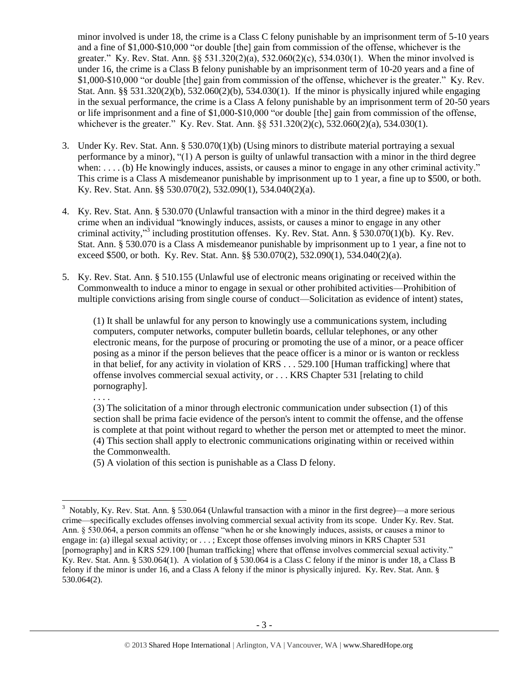minor involved is under 18, the crime is a Class C felony punishable by an imprisonment term of 5-10 years and a fine of \$1,000-\$10,000 "or double [the] gain from commission of the offense, whichever is the greater." Ky. Rev. Stat. Ann. §§ 531.320(2)(a), 532.060(2)(c), 534.030(1). When the minor involved is under 16, the crime is a Class B felony punishable by an imprisonment term of 10-20 years and a fine of \$1,000-\$10,000 "or double [the] gain from commission of the offense, whichever is the greater." Ky. Rev. Stat. Ann. §§ 531.320(2)(b), 532.060(2)(b), 534.030(1). If the minor is physically injured while engaging in the sexual performance, the crime is a Class A felony punishable by an imprisonment term of 20-50 years or life imprisonment and a fine of \$1,000-\$10,000 "or double [the] gain from commission of the offense, whichever is the greater." Ky. Rev. Stat. Ann. §§ 531.320(2)(c), 532.060(2)(a), 534.030(1).

- 3. Under Ky. Rev. Stat. Ann. § 530.070(1)(b) (Using minors to distribute material portraying a sexual performance by a minor), "(1) A person is guilty of unlawful transaction with a minor in the third degree when: . . . . (b) He knowingly induces, assists, or causes a minor to engage in any other criminal activity." This crime is a Class A misdemeanor punishable by imprisonment up to 1 year, a fine up to \$500, or both. Ky. Rev. Stat. Ann. §§ 530.070(2), 532.090(1), 534.040(2)(a).
- 4. Ky. Rev. Stat. Ann. § 530.070 (Unlawful transaction with a minor in the third degree) makes it a crime when an individual "knowingly induces, assists, or causes a minor to engage in any other criminal activity,"<sup>3</sup> including prostitution offenses. Ky. Rev. Stat. Ann. § 530.070(1)(b). Ky. Rev. Stat. Ann. § 530.070 is a Class A misdemeanor punishable by imprisonment up to 1 year, a fine not to exceed \$500, or both. Ky. Rev. Stat. Ann. §§ 530.070(2), 532.090(1), 534.040(2)(a).
- 5. Ky. Rev. Stat. Ann. § 510.155 (Unlawful use of electronic means originating or received within the Commonwealth to induce a minor to engage in sexual or other prohibited activities—Prohibition of multiple convictions arising from single course of conduct—Solicitation as evidence of intent) states,

(1) It shall be unlawful for any person to knowingly use a communications system, including computers, computer networks, computer bulletin boards, cellular telephones, or any other electronic means, for the purpose of procuring or promoting the use of a minor, or a peace officer posing as a minor if the person believes that the peace officer is a minor or is wanton or reckless in that belief, for any activity in violation of KRS . . . 529.100 [Human trafficking] where that offense involves commercial sexual activity, or . . . KRS Chapter 531 [relating to child pornography].

. . . .

 $\overline{a}$ 

(3) The solicitation of a minor through electronic communication under subsection (1) of this section shall be prima facie evidence of the person's intent to commit the offense, and the offense is complete at that point without regard to whether the person met or attempted to meet the minor. (4) This section shall apply to electronic communications originating within or received within the Commonwealth.

(5) A violation of this section is punishable as a Class D felony.

 $3$  Notably, Ky. Rev. Stat. Ann. § 530.064 (Unlawful transaction with a minor in the first degree)—a more serious crime—specifically excludes offenses involving commercial sexual activity from its scope. Under Ky. Rev. Stat. Ann. § 530.064, a person commits an offense "when he or she knowingly induces, assists, or causes a minor to engage in: (a) illegal sexual activity; or . . . ; Except those offenses involving minors in KRS Chapter 531 [pornography] and in KRS 529.100 [human trafficking] where that offense involves commercial sexual activity." Ky. Rev. Stat. Ann. § 530.064(1). A violation of § 530.064 is a Class C felony if the minor is under 18, a Class B felony if the minor is under 16, and a Class A felony if the minor is physically injured. Ky. Rev. Stat. Ann. § 530.064(2).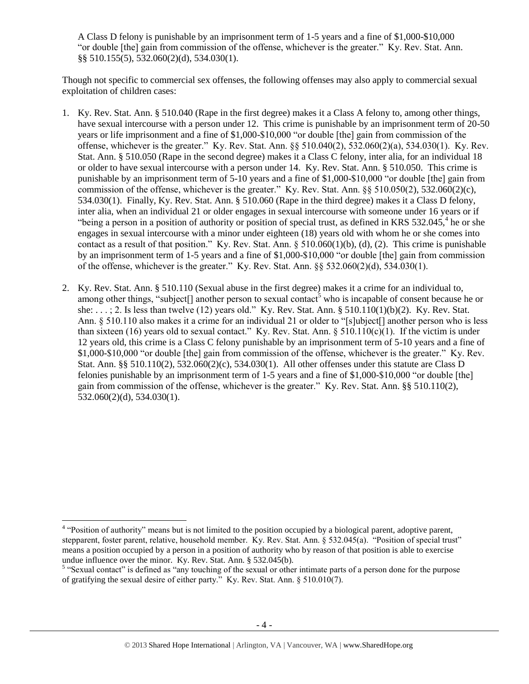A Class D felony is punishable by an imprisonment term of 1-5 years and a fine of \$1,000-\$10,000 "or double [the] gain from commission of the offense, whichever is the greater." Ky. Rev. Stat. Ann. §§ 510.155(5), 532.060(2)(d), 534.030(1).

Though not specific to commercial sex offenses, the following offenses may also apply to commercial sexual exploitation of children cases:

- 1. Ky. Rev. Stat. Ann. § 510.040 (Rape in the first degree) makes it a Class A felony to, among other things, have sexual intercourse with a person under 12. This crime is punishable by an imprisonment term of 20-50 years or life imprisonment and a fine of \$1,000-\$10,000 "or double [the] gain from commission of the offense, whichever is the greater." Ky. Rev. Stat. Ann. §§ 510.040(2), 532.060(2)(a), 534.030(1). Ky. Rev. Stat. Ann. § 510.050 (Rape in the second degree) makes it a Class C felony, inter alia, for an individual 18 or older to have sexual intercourse with a person under 14. Ky. Rev. Stat. Ann. § 510.050. This crime is punishable by an imprisonment term of 5-10 years and a fine of \$1,000-\$10,000 "or double [the] gain from commission of the offense, whichever is the greater." Ky. Rev. Stat. Ann.  $\S$ § 510.050(2), 532.060(2)(c), 534.030(1). Finally, Ky. Rev. Stat. Ann. § 510.060 (Rape in the third degree) makes it a Class D felony, inter alia, when an individual 21 or older engages in sexual intercourse with someone under 16 years or if "being a person in a position of authority or position of special trust, as defined in KRS 532.045, $4$  he or she engages in sexual intercourse with a minor under eighteen (18) years old with whom he or she comes into contact as a result of that position." Ky. Rev. Stat. Ann.  $\S 510.060(1)(b)$ , (d), (2). This crime is punishable by an imprisonment term of 1-5 years and a fine of \$1,000-\$10,000 "or double [the] gain from commission of the offense, whichever is the greater." Ky. Rev. Stat. Ann. §§ 532.060(2)(d), 534.030(1).
- <span id="page-3-0"></span>2. Ky. Rev. Stat. Ann. § 510.110 (Sexual abuse in the first degree) makes it a crime for an individual to, among other things, "subject<sup>[]</sup> another person to sexual contact<sup>5</sup> who is incapable of consent because he or she: . . . ; 2. Is less than twelve (12) years old." Ky. Rev. Stat. Ann. § 510.110(1)(b)(2). Ky. Rev. Stat. Ann. § 510.110 also makes it a crime for an individual 21 or older to "[s]ubject[] another person who is less than sixteen (16) years old to sexual contact." Ky. Rev. Stat. Ann.  $\S 510.110(c)(1)$ . If the victim is under 12 years old, this crime is a Class C felony punishable by an imprisonment term of 5-10 years and a fine of \$1,000-\$10,000 "or double [the] gain from commission of the offense, whichever is the greater." Ky. Rev. Stat. Ann. §§ 510.110(2), 532.060(2)(c), 534.030(1). All other offenses under this statute are Class D felonies punishable by an imprisonment term of 1-5 years and a fine of \$1,000-\$10,000 "or double [the] gain from commission of the offense, whichever is the greater." Ky. Rev. Stat. Ann. §§ 510.110(2), 532.060(2)(d), 534.030(1).

<sup>&</sup>lt;sup>4</sup> "Position of authority" means but is not limited to the position occupied by a biological parent, adoptive parent, stepparent, foster parent, relative, household member. Ky. Rev. Stat. Ann. § 532.045(a). "Position of special trust" means a position occupied by a person in a position of authority who by reason of that position is able to exercise undue influence over the minor. Ky. Rev. Stat. Ann. § 532.045(b).

<sup>&</sup>lt;sup>5</sup> "Sexual contact" is defined as "any touching of the sexual or other intimate parts of a person done for the purpose of gratifying the sexual desire of either party." Ky. Rev. Stat. Ann. § 510.010(7).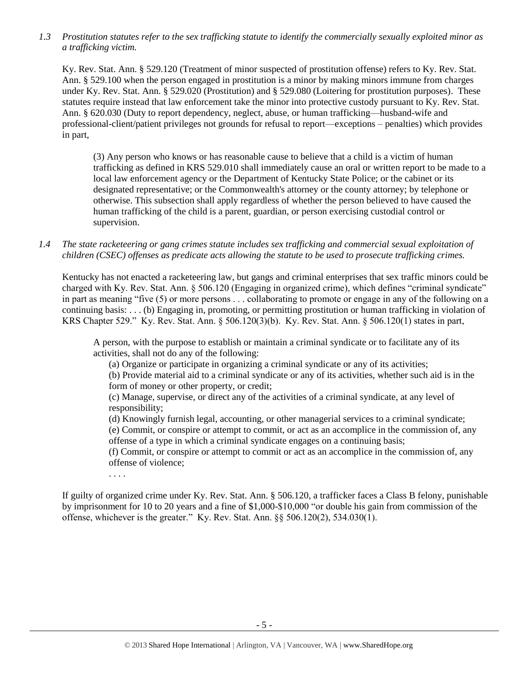*1.3 Prostitution statutes refer to the sex trafficking statute to identify the commercially sexually exploited minor as a trafficking victim.* 

Ky. Rev. Stat. Ann. § 529.120 (Treatment of minor suspected of prostitution offense) refers to Ky. Rev. Stat. Ann. § 529.100 when the person engaged in prostitution is a minor by making minors immune from charges under Ky. Rev. Stat. Ann. § 529.020 (Prostitution) and § 529.080 (Loitering for prostitution purposes). These statutes require instead that law enforcement take the minor into protective custody pursuant to Ky. Rev. Stat. Ann. § 620.030 (Duty to report dependency, neglect, abuse, or human trafficking—husband-wife and professional-client/patient privileges not grounds for refusal to report—exceptions – penalties) which provides in part,

(3) Any person who knows or has reasonable cause to believe that a child is a victim of human trafficking as defined in KRS 529.010 shall immediately cause an oral or written report to be made to a local law enforcement agency or the Department of Kentucky State Police; or the cabinet or its designated representative; or the Commonwealth's attorney or the county attorney; by telephone or otherwise. This subsection shall apply regardless of whether the person believed to have caused the human trafficking of the child is a parent, guardian, or person exercising custodial control or supervision.

*1.4 The state racketeering or gang crimes statute includes sex trafficking and commercial sexual exploitation of children (CSEC) offenses as predicate acts allowing the statute to be used to prosecute trafficking crimes.* 

Kentucky has not enacted a racketeering law, but gangs and criminal enterprises that sex traffic minors could be charged with Ky. Rev. Stat. Ann. § 506.120 (Engaging in organized crime), which defines "criminal syndicate" in part as meaning "five (5) or more persons . . . collaborating to promote or engage in any of the following on a continuing basis: . . . (b) Engaging in, promoting, or permitting prostitution or human trafficking in violation of KRS Chapter 529." Ky. Rev. Stat. Ann. § 506.120(3)(b). Ky. Rev. Stat. Ann. § 506.120(1) states in part,

A person, with the purpose to establish or maintain a criminal syndicate or to facilitate any of its activities, shall not do any of the following:

(a) Organize or participate in organizing a criminal syndicate or any of its activities;

(b) Provide material aid to a criminal syndicate or any of its activities, whether such aid is in the form of money or other property, or credit;

(c) Manage, supervise, or direct any of the activities of a criminal syndicate, at any level of responsibility;

(d) Knowingly furnish legal, accounting, or other managerial services to a criminal syndicate; (e) Commit, or conspire or attempt to commit, or act as an accomplice in the commission of, any offense of a type in which a criminal syndicate engages on a continuing basis;

(f) Commit, or conspire or attempt to commit or act as an accomplice in the commission of, any offense of violence;

. . . .

If guilty of organized crime under Ky. Rev. Stat. Ann. § 506.120, a trafficker faces a Class B felony, punishable by imprisonment for 10 to 20 years and a fine of \$1,000-\$10,000 "or double his gain from commission of the offense, whichever is the greater." Ky. Rev. Stat. Ann. §§ 506.120(2), 534.030(1).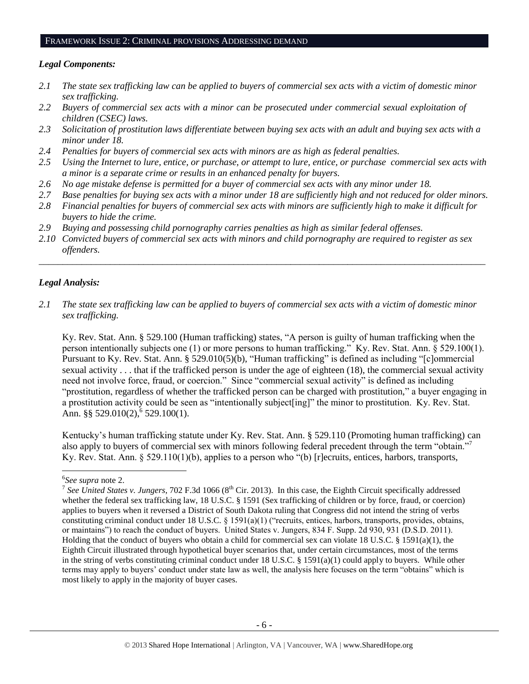#### FRAMEWORK ISSUE 2: CRIMINAL PROVISIONS ADDRESSING DEMAND

### *Legal Components:*

- *2.1 The state sex trafficking law can be applied to buyers of commercial sex acts with a victim of domestic minor sex trafficking.*
- *2.2 Buyers of commercial sex acts with a minor can be prosecuted under commercial sexual exploitation of children (CSEC) laws.*
- *2.3 Solicitation of prostitution laws differentiate between buying sex acts with an adult and buying sex acts with a minor under 18.*
- *2.4 Penalties for buyers of commercial sex acts with minors are as high as federal penalties.*
- *2.5 Using the Internet to lure, entice, or purchase, or attempt to lure, entice, or purchase commercial sex acts with a minor is a separate crime or results in an enhanced penalty for buyers.*
- *2.6 No age mistake defense is permitted for a buyer of commercial sex acts with any minor under 18.*
- *2.7 Base penalties for buying sex acts with a minor under 18 are sufficiently high and not reduced for older minors.*
- *2.8 Financial penalties for buyers of commercial sex acts with minors are sufficiently high to make it difficult for buyers to hide the crime.*
- *2.9 Buying and possessing child pornography carries penalties as high as similar federal offenses.*
- *2.10 Convicted buyers of commercial sex acts with minors and child pornography are required to register as sex offenders.*

\_\_\_\_\_\_\_\_\_\_\_\_\_\_\_\_\_\_\_\_\_\_\_\_\_\_\_\_\_\_\_\_\_\_\_\_\_\_\_\_\_\_\_\_\_\_\_\_\_\_\_\_\_\_\_\_\_\_\_\_\_\_\_\_\_\_\_\_\_\_\_\_\_\_\_\_\_\_\_\_\_\_\_\_\_\_\_\_\_\_\_\_\_\_

### *Legal Analysis:*

*2.1 The state sex trafficking law can be applied to buyers of commercial sex acts with a victim of domestic minor sex trafficking.* 

Ky. Rev. Stat. Ann. § 529.100 (Human trafficking) states, "A person is guilty of human trafficking when the person intentionally subjects one (1) or more persons to human trafficking." Ky. Rev. Stat. Ann. § 529.100(1). Pursuant to Ky. Rev. Stat. Ann. § 529.010(5)(b), "Human trafficking" is defined as including "[c]ommercial sexual activity . . . that if the trafficked person is under the age of eighteen (18), the commercial sexual activity need not involve force, fraud, or coercion." Since "commercial sexual activity" is defined as including "prostitution, regardless of whether the trafficked person can be charged with prostitution," a buyer engaging in a prostitution activity could be seen as "intentionally subject[ing]" the minor to prostitution. Ky. Rev. Stat. Ann. §§ 529.010(2),  $6$  529.100(1).

Kentucky's human trafficking statute under Ky. Rev. Stat. Ann. § 529.110 (Promoting human trafficking) can also apply to buyers of commercial sex with minors following federal precedent through the term "obtain."<sup>7</sup> Ky. Rev. Stat. Ann. § 529.110(1)(b), applies to a person who "(b) [r]ecruits, entices, harbors, transports,

l

<sup>6</sup> *See supra* not[e 2.](#page-1-0)

<sup>&</sup>lt;sup>7</sup> See United States v. Jungers, 702 F.3d 1066 (8<sup>th</sup> Cir. 2013). In this case, the Eighth Circuit specifically addressed whether the federal sex trafficking law, 18 U.S.C. § 1591 (Sex trafficking of children or by force, fraud, or coercion) applies to buyers when it reversed a District of South Dakota ruling that Congress did not intend the string of verbs constituting criminal conduct under 18 U.S.C. § 1591(a)(1) ("recruits, entices, harbors, transports, provides, obtains, or maintains") to reach the conduct of buyers. United States v. Jungers, 834 F. Supp. 2d 930, 931 (D.S.D. 2011). Holding that the conduct of buyers who obtain a child for commercial sex can violate 18 U.S.C. § 1591(a)(1), the Eighth Circuit illustrated through hypothetical buyer scenarios that, under certain circumstances, most of the terms in the string of verbs constituting criminal conduct under 18 U.S.C. § 1591(a)(1) could apply to buyers. While other terms may apply to buyers' conduct under state law as well, the analysis here focuses on the term "obtains" which is most likely to apply in the majority of buyer cases.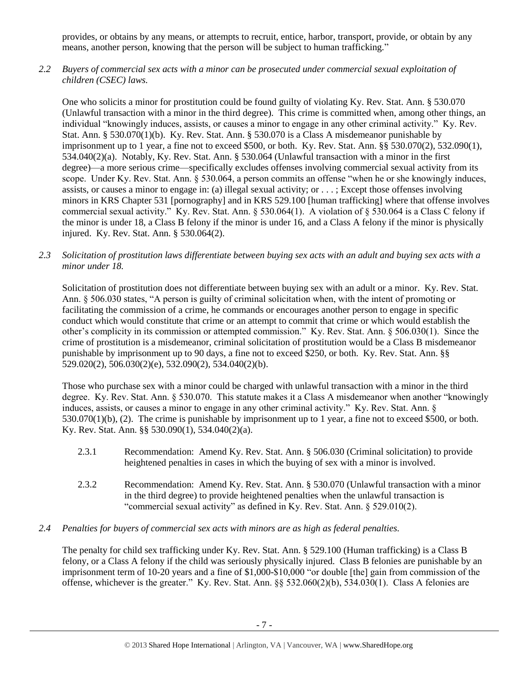provides, or obtains by any means, or attempts to recruit, entice, harbor, transport, provide, or obtain by any means, another person, knowing that the person will be subject to human trafficking."

*2.2 Buyers of commercial sex acts with a minor can be prosecuted under commercial sexual exploitation of children (CSEC) laws.*

One who solicits a minor for prostitution could be found guilty of violating Ky. Rev. Stat. Ann. § 530.070 (Unlawful transaction with a minor in the third degree). This crime is committed when, among other things, an individual "knowingly induces, assists, or causes a minor to engage in any other criminal activity." Ky. Rev. Stat. Ann. § 530.070(1)(b). Ky. Rev. Stat. Ann. § 530.070 is a Class A misdemeanor punishable by imprisonment up to 1 year, a fine not to exceed \$500, or both. Ky. Rev. Stat. Ann. §§ 530.070(2), 532.090(1), 534.040(2)(a). Notably, Ky. Rev. Stat. Ann. § 530.064 (Unlawful transaction with a minor in the first degree)—a more serious crime—specifically excludes offenses involving commercial sexual activity from its scope. Under Ky. Rev. Stat. Ann. § 530.064, a person commits an offense "when he or she knowingly induces, assists, or causes a minor to engage in: (a) illegal sexual activity; or . . . ; Except those offenses involving minors in KRS Chapter 531 [pornography] and in KRS 529.100 [human trafficking] where that offense involves commercial sexual activity." Ky. Rev. Stat. Ann. § 530.064(1). A violation of § 530.064 is a Class C felony if the minor is under 18, a Class B felony if the minor is under 16, and a Class A felony if the minor is physically injured. Ky. Rev. Stat. Ann. § 530.064(2).

*2.3 Solicitation of prostitution laws differentiate between buying sex acts with an adult and buying sex acts with a minor under 18.*

Solicitation of prostitution does not differentiate between buying sex with an adult or a minor. Ky. Rev. Stat. Ann. § 506.030 states, "A person is guilty of criminal solicitation when, with the intent of promoting or facilitating the commission of a crime, he commands or encourages another person to engage in specific conduct which would constitute that crime or an attempt to commit that crime or which would establish the other's complicity in its commission or attempted commission." Ky. Rev. Stat. Ann. § 506.030(1). Since the crime of prostitution is a misdemeanor, criminal solicitation of prostitution would be a Class B misdemeanor punishable by imprisonment up to 90 days, a fine not to exceed \$250, or both. Ky. Rev. Stat. Ann. §§ 529.020(2), 506.030(2)(e), 532.090(2), 534.040(2)(b).

Those who purchase sex with a minor could be charged with unlawful transaction with a minor in the third degree. Ky. Rev. Stat. Ann. § 530.070. This statute makes it a Class A misdemeanor when another "knowingly induces, assists, or causes a minor to engage in any other criminal activity." Ky. Rev. Stat. Ann. § 530.070(1)(b), (2). The crime is punishable by imprisonment up to 1 year, a fine not to exceed \$500, or both. Ky. Rev. Stat. Ann. §§ 530.090(1), 534.040(2)(a).

- 2.3.1 Recommendation: Amend Ky. Rev. Stat. Ann. § 506.030 (Criminal solicitation) to provide heightened penalties in cases in which the buying of sex with a minor is involved.
- 2.3.2 Recommendation: Amend Ky. Rev. Stat. Ann. § 530.070 (Unlawful transaction with a minor in the third degree) to provide heightened penalties when the unlawful transaction is "commercial sexual activity" as defined in Ky. Rev. Stat. Ann. § 529.010(2).
- *2.4 Penalties for buyers of commercial sex acts with minors are as high as federal penalties.*

The penalty for child sex trafficking under Ky. Rev. Stat. Ann. § 529.100 (Human trafficking) is a Class B felony, or a Class A felony if the child was seriously physically injured. Class B felonies are punishable by an imprisonment term of 10-20 years and a fine of \$1,000-\$10,000 "or double [the] gain from commission of the offense, whichever is the greater." Ky. Rev. Stat. Ann. §§ 532.060(2)(b), 534.030(1). Class A felonies are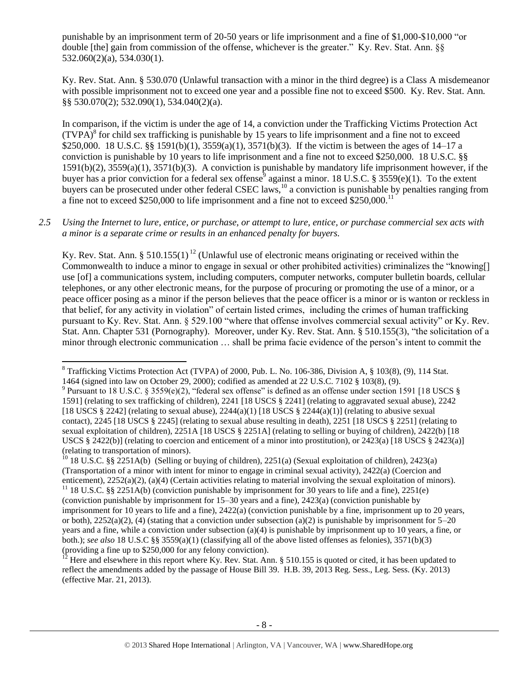punishable by an imprisonment term of 20-50 years or life imprisonment and a fine of \$1,000-\$10,000 "or double [the] gain from commission of the offense, whichever is the greater." Ky. Rev. Stat. Ann. §§ 532.060(2)(a), 534.030(1).

Ky. Rev. Stat. Ann. § 530.070 (Unlawful transaction with a minor in the third degree) is a Class A misdemeanor with possible imprisonment not to exceed one year and a possible fine not to exceed \$500. Ky. Rev. Stat. Ann. §§ 530.070(2); 532.090(1), 534.040(2)(a).

<span id="page-7-2"></span><span id="page-7-1"></span>In comparison, if the victim is under the age of 14, a conviction under the Trafficking Victims Protection Act  $(TVPA)^8$  for child sex trafficking is punishable by 15 years to life imprisonment and a fine not to exceed \$250,000. 18 U.S.C. §§ 1591(b)(1), 3559(a)(1), 3571(b)(3). If the victim is between the ages of 14–17 a conviction is punishable by 10 years to life imprisonment and a fine not to exceed \$250,000. 18 U.S.C. §§ 1591(b)(2), 3559(a)(1), 3571(b)(3). A conviction is punishable by mandatory life imprisonment however, if the buyer has a prior conviction for a federal sex offense<sup>9</sup> against a minor. 18 U.S.C. § 3559(e)(1). To the extent buyers can be prosecuted under other federal CSEC laws,<sup>10</sup> a conviction is punishable by penalties ranging from a fine not to exceed \$250,000 to life imprisonment and a fine not to exceed \$250,000.<sup>11</sup>

*2.5 Using the Internet to lure, entice, or purchase, or attempt to lure, entice, or purchase commercial sex acts with a minor is a separate crime or results in an enhanced penalty for buyers.*

<span id="page-7-0"></span>Ky. Rev. Stat. Ann. § 510.155(1)<sup>12</sup> (Unlawful use of electronic means originating or received within the Commonwealth to induce a minor to engage in sexual or other prohibited activities) criminalizes the "knowing[] use [of] a communications system, including computers, computer networks, computer bulletin boards, cellular telephones, or any other electronic means, for the purpose of procuring or promoting the use of a minor, or a peace officer posing as a minor if the person believes that the peace officer is a minor or is wanton or reckless in that belief, for any activity in violation" of certain listed crimes, including the crimes of human trafficking pursuant to Ky. Rev. Stat. Ann. § 529.100 "where that offense involves commercial sexual activity" or Ky. Rev. Stat. Ann. Chapter 531 (Pornography). Moreover, under Ky. Rev. Stat. Ann. § 510.155(3), "the solicitation of a minor through electronic communication … shall be prima facie evidence of the person's intent to commit the

 $\overline{a}$ 

<sup>8</sup> Trafficking Victims Protection Act (TVPA) of 2000, Pub. L. No. 106-386, Division A, § 103(8), (9), 114 Stat. 1464 (signed into law on October 29, 2000); codified as amended at 22 U.S.C. 7102 § 103(8), (9).

<sup>&</sup>lt;sup>9</sup> Pursuant to 18 U.S.C. § 3559(e)(2), "federal sex offense" is defined as an offense under section 1591 [18 USCS § 1591] (relating to sex trafficking of children), 2241 [18 USCS § 2241] (relating to aggravated sexual abuse), 2242 [18 USCS § 2242] (relating to sexual abuse),  $2244(a)(1)$  [18 USCS § 2244(a)(1)] (relating to abusive sexual contact), 2245 [18 USCS § 2245] (relating to sexual abuse resulting in death), 2251 [18 USCS § 2251] (relating to sexual exploitation of children), 2251A [18 USCS § 2251A] (relating to selling or buying of children), 2422(b) [18 USCS § 2422(b)] (relating to coercion and enticement of a minor into prostitution), or 2423(a) [18 USCS § 2423(a)] (relating to transportation of minors).

<sup>&</sup>lt;sup>10</sup> 18 U.S.C. §§ 2251A(b) (Selling or buying of children), 2251(a) (Sexual exploitation of children), 2423(a) (Transportation of a minor with intent for minor to engage in criminal sexual activity), 2422(a) (Coercion and enticement), 2252(a)(2), (a)(4) (Certain activities relating to material involving the sexual exploitation of minors).

<sup>&</sup>lt;sup>11</sup> 18 U.S.C. §§ 2251A(b) (conviction punishable by imprisonment for 30 years to life and a fine), 2251(e) (conviction punishable by imprisonment for 15–30 years and a fine), 2423(a) (conviction punishable by imprisonment for 10 years to life and a fine), 2422(a) (conviction punishable by a fine, imprisonment up to 20 years, or both),  $2252(a)(2)$ , (4) (stating that a conviction under subsection (a)(2) is punishable by imprisonment for 5–20 years and a fine, while a conviction under subsection (a)(4) is punishable by imprisonment up to 10 years, a fine, or both.); *see also* 18 U.S.C §§ 3559(a)(1) (classifying all of the above listed offenses as felonies), 3571(b)(3) (providing a fine up to \$250,000 for any felony conviction).

<sup>12</sup> Here and elsewhere in this report where Ky. Rev. Stat. Ann. § 510.155 is quoted or cited, it has been updated to reflect the amendments added by the passage of House Bill 39. H.B. 39, 2013 Reg. Sess., Leg. Sess. (Ky. 2013) (effective Mar. 21, 2013).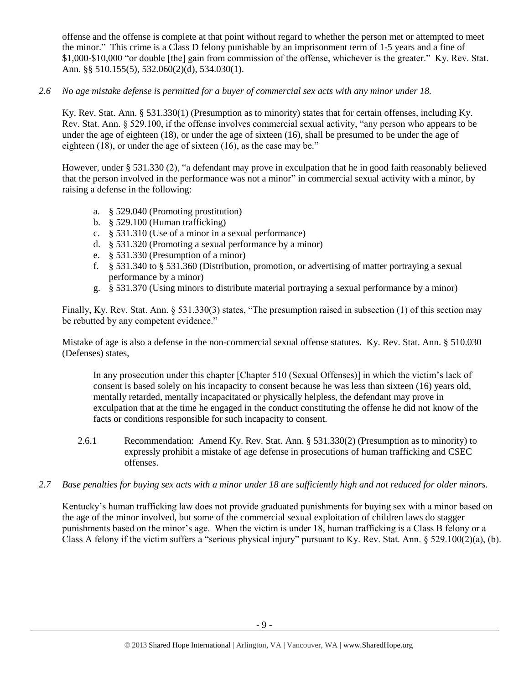offense and the offense is complete at that point without regard to whether the person met or attempted to meet the minor." This crime is a Class D felony punishable by an imprisonment term of 1-5 years and a fine of \$1,000-\$10,000 "or double [the] gain from commission of the offense, whichever is the greater." Ky. Rev. Stat. Ann. §§ 510.155(5), 532.060(2)(d), 534.030(1).

# *2.6 No age mistake defense is permitted for a buyer of commercial sex acts with any minor under 18.*

Ky. Rev. Stat. Ann. § 531.330(1) (Presumption as to minority) states that for certain offenses, including Ky. Rev. Stat. Ann. § 529.100, if the offense involves commercial sexual activity, "any person who appears to be under the age of eighteen (18), or under the age of sixteen (16), shall be presumed to be under the age of eighteen (18), or under the age of sixteen (16), as the case may be."

However, under § 531.330 (2), "a defendant may prove in exculpation that he in good faith reasonably believed that the person involved in the performance was not a minor" in commercial sexual activity with a minor, by raising a defense in the following:

- a. § 529.040 (Promoting prostitution)
- b. § 529.100 (Human trafficking)
- c. § 531.310 (Use of a minor in a sexual performance)
- d. § 531.320 (Promoting a sexual performance by a minor)
- e. § 531.330 (Presumption of a minor)
- f. § 531.340 to § 531.360 (Distribution, promotion, or advertising of matter portraying a sexual performance by a minor)
- g. § 531.370 (Using minors to distribute material portraying a sexual performance by a minor)

Finally, Ky. Rev. Stat. Ann. § 531.330(3) states, "The presumption raised in subsection (1) of this section may be rebutted by any competent evidence."

Mistake of age is also a defense in the non-commercial sexual offense statutes. Ky. Rev. Stat. Ann. § 510.030 (Defenses) states,

In any prosecution under this chapter [Chapter 510 (Sexual Offenses)] in which the victim's lack of consent is based solely on his incapacity to consent because he was less than sixteen (16) years old, mentally retarded, mentally incapacitated or physically helpless, the defendant may prove in exculpation that at the time he engaged in the conduct constituting the offense he did not know of the facts or conditions responsible for such incapacity to consent.

- 2.6.1 Recommendation: Amend Ky. Rev. Stat. Ann. § 531.330(2) (Presumption as to minority) to expressly prohibit a mistake of age defense in prosecutions of human trafficking and CSEC offenses.
- *2.7 Base penalties for buying sex acts with a minor under 18 are sufficiently high and not reduced for older minors.*

Kentucky's human trafficking law does not provide graduated punishments for buying sex with a minor based on the age of the minor involved, but some of the commercial sexual exploitation of children laws do stagger punishments based on the minor's age. When the victim is under 18, human trafficking is a Class B felony or a Class A felony if the victim suffers a "serious physical injury" pursuant to Ky. Rev. Stat. Ann.  $\S 529.100(2)(a)$ , (b).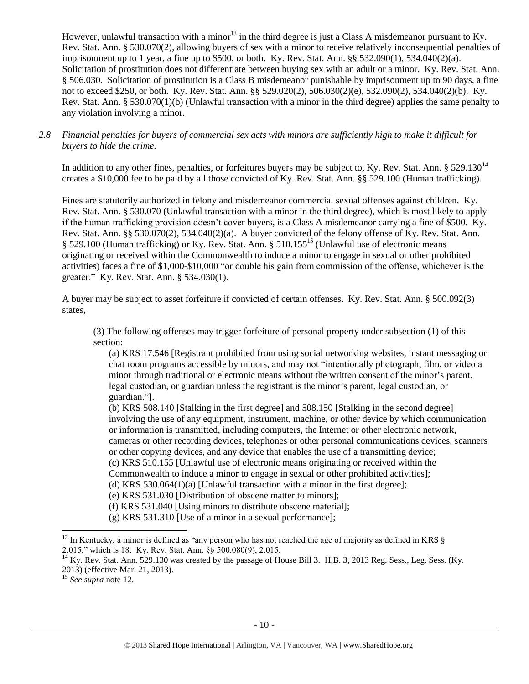However, unlawful transaction with a minor<sup>13</sup> in the third degree is just a Class A misdemeanor pursuant to Kv. Rev. Stat. Ann. § 530.070(2), allowing buyers of sex with a minor to receive relatively inconsequential penalties of imprisonment up to 1 year, a fine up to \$500, or both. Ky. Rev. Stat. Ann. §§ 532.090(1), 534.040(2)(a). Solicitation of prostitution does not differentiate between buying sex with an adult or a minor. Ky. Rev. Stat. Ann. § 506.030. Solicitation of prostitution is a Class B misdemeanor punishable by imprisonment up to 90 days, a fine not to exceed \$250, or both. Ky. Rev. Stat. Ann. §§ 529.020(2), 506.030(2)(e), 532.090(2), 534.040(2)(b). Ky. Rev. Stat. Ann. § 530.070(1)(b) (Unlawful transaction with a minor in the third degree) applies the same penalty to any violation involving a minor.

### *2.8 Financial penalties for buyers of commercial sex acts with minors are sufficiently high to make it difficult for buyers to hide the crime.*

In addition to any other fines, penalties, or forfeitures buyers may be subject to, Ky. Rev. Stat. Ann. § 529.130<sup>14</sup> creates a \$10,000 fee to be paid by all those convicted of Ky. Rev. Stat. Ann. §§ 529.100 (Human trafficking).

Fines are statutorily authorized in felony and misdemeanor commercial sexual offenses against children. Ky. Rev. Stat. Ann. § 530.070 (Unlawful transaction with a minor in the third degree), which is most likely to apply if the human trafficking provision doesn't cover buyers, is a Class A misdemeanor carrying a fine of \$500. Ky. Rev. Stat. Ann. §§ 530.070(2), 534.040(2)(a). A buyer convicted of the felony offense of Ky. Rev. Stat. Ann. § 529.100 (Human trafficking) or Ky. Rev. Stat. Ann. § 510.155<sup>15</sup> (Unlawful use of electronic means originating or received within the Commonwealth to induce a minor to engage in sexual or other prohibited activities) faces a fine of \$1,000-\$10,000 "or double his gain from commission of the offense, whichever is the greater." Ky. Rev. Stat. Ann. § 534.030(1).

A buyer may be subject to asset forfeiture if convicted of certain offenses. Ky. Rev. Stat. Ann. § 500.092(3) states,

(3) The following offenses may trigger forfeiture of personal property under subsection (1) of this section:

<span id="page-9-0"></span>(a) KRS 17.546 [Registrant prohibited from using social networking websites, instant messaging or chat room programs accessible by minors, and may not "intentionally photograph, film, or video a minor through traditional or electronic means without the written consent of the minor's parent, legal custodian, or guardian unless the registrant is the minor's parent, legal custodian, or guardian."].

(b) KRS 508.140 [Stalking in the first degree] and 508.150 [Stalking in the second degree] involving the use of any equipment, instrument, machine, or other device by which communication or information is transmitted, including computers, the Internet or other electronic network, cameras or other recording devices, telephones or other personal communications devices, scanners or other copying devices, and any device that enables the use of a transmitting device; (c) KRS 510.155 [Unlawful use of electronic means originating or received within the

Commonwealth to induce a minor to engage in sexual or other prohibited activities];

(d) KRS 530.064(1)(a) [Unlawful transaction with a minor in the first degree];

(e) KRS 531.030 [Distribution of obscene matter to minors];

(f) KRS 531.040 [Using minors to distribute obscene material];

(g) KRS 531.310 [Use of a minor in a sexual performance];

<sup>15</sup> *See supra* note [12.](#page-7-0)

 $^{13}$  In Kentucky, a minor is defined as "any person who has not reached the age of majority as defined in KRS  $\S$ 2.015," which is 18. Ky. Rev. Stat. Ann. §§ 500.080(9), 2.015.

 $14$  Ky. Rev. Stat. Ann. 529.130 was created by the passage of House Bill 3. H.B. 3, 2013 Reg. Sess., Leg. Sess. (Ky. 2013) (effective Mar. 21, 2013).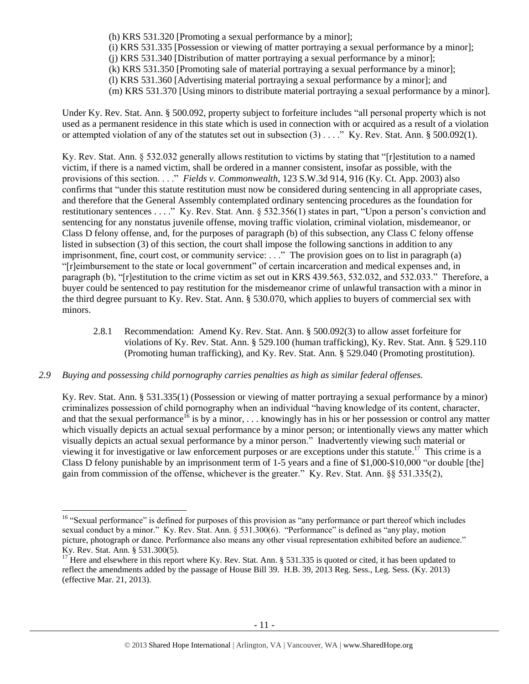(h) KRS 531.320 [Promoting a sexual performance by a minor]; (i) KRS 531.335 [Possession or viewing of matter portraying a sexual performance by a minor]; (j) KRS 531.340 [Distribution of matter portraying a sexual performance by a minor]; (k) KRS 531.350 [Promoting sale of material portraying a sexual performance by a minor]; (l) KRS 531.360 [Advertising material portraying a sexual performance by a minor]; and (m) KRS 531.370 [Using minors to distribute material portraying a sexual performance by a minor].

Under Ky. Rev. Stat. Ann. § 500.092, property subject to forfeiture includes "all personal property which is not used as a permanent residence in this state which is used in connection with or acquired as a result of a violation or attempted violation of any of the statutes set out in subsection (3) . . . ." Ky. Rev. Stat. Ann. § 500.092(1).

Ky. Rev. Stat. Ann. § 532.032 generally allows restitution to victims by stating that "[r]estitution to a named victim, if there is a named victim, shall be ordered in a manner consistent, insofar as possible, with the provisions of this section. . . ." *Fields v. Commonwealth*, 123 S.W.3d 914, 916 (Ky. Ct. App. 2003) also confirms that "under this statute restitution must now be considered during sentencing in all appropriate cases, and therefore that the General Assembly contemplated ordinary sentencing procedures as the foundation for restitutionary sentences . . . ." Ky. Rev. Stat. Ann. § 532.356(1) states in part, "Upon a person's conviction and sentencing for any nonstatus juvenile offense, moving traffic violation, criminal violation, misdemeanor, or Class D felony offense, and, for the purposes of paragraph (b) of this subsection, any Class C felony offense listed in subsection (3) of this section, the court shall impose the following sanctions in addition to any imprisonment, fine, court cost, or community service: . . ." The provision goes on to list in paragraph (a) "[r]eimbursement to the state or local government" of certain incarceration and medical expenses and, in paragraph (b), "[r]estitution to the crime victim as set out in KRS 439.563, 532.032, and 532.033." Therefore, a buyer could be sentenced to pay restitution for the misdemeanor crime of unlawful transaction with a minor in the third degree pursuant to Ky. Rev. Stat. Ann. § 530.070, which applies to buyers of commercial sex with minors.

2.8.1 Recommendation: Amend Ky. Rev. Stat. Ann. § 500.092(3) to allow asset forfeiture for violations of Ky. Rev. Stat. Ann. § 529.100 (human trafficking), Ky. Rev. Stat. Ann. § 529.110 (Promoting human trafficking), and Ky. Rev. Stat. Ann. § 529.040 (Promoting prostitution).

# *2.9 Buying and possessing child pornography carries penalties as high as similar federal offenses.*

 $\overline{\phantom{a}}$ 

Ky. Rev. Stat. Ann. § 531.335(1) (Possession or viewing of matter portraying a sexual performance by a minor) criminalizes possession of child pornography when an individual "having knowledge of its content, character, and that the sexual performance<sup>16</sup> is by a minor, ... knowingly has in his or her possession or control any matter which visually depicts an actual sexual performance by a minor person; or intentionally views any matter which visually depicts an actual sexual performance by a minor person." Inadvertently viewing such material or viewing it for investigative or law enforcement purposes or are exceptions under this statute.<sup>17</sup> This crime is a Class D felony punishable by an imprisonment term of 1-5 years and a fine of \$1,000-\$10,000 "or double [the] gain from commission of the offense, whichever is the greater." Ky. Rev. Stat. Ann. §§ 531.335(2),

<sup>&</sup>lt;sup>16</sup> "Sexual performance" is defined for purposes of this provision as "any performance or part thereof which includes sexual conduct by a minor." Ky. Rev. Stat. Ann. § 531.300(6). "Performance" is defined as "any play, motion picture, photograph or dance. Performance also means any other visual representation exhibited before an audience." Ky. Rev. Stat. Ann. § 531.300(5).

<sup>&</sup>lt;sup>17</sup> Here and elsewhere in this report where Ky. Rev. Stat. Ann. § 531.335 is quoted or cited, it has been updated to reflect the amendments added by the passage of House Bill 39. H.B. 39, 2013 Reg. Sess., Leg. Sess. (Ky. 2013) (effective Mar. 21, 2013).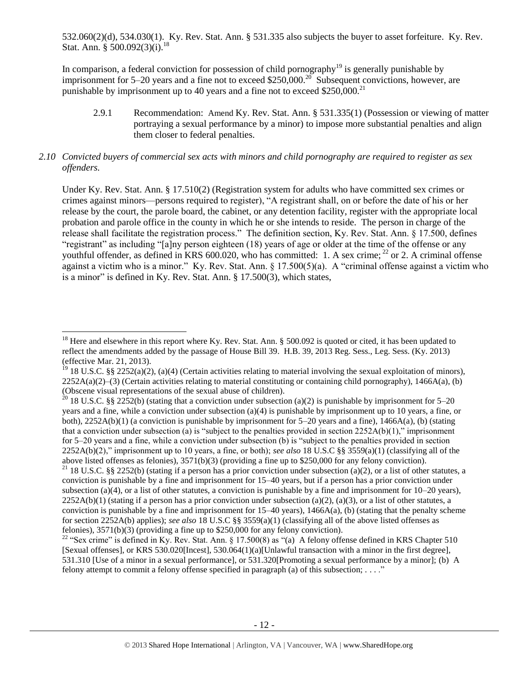532.060(2)(d), 534.030(1). Ky. Rev. Stat. Ann. § 531.335 also subjects the buyer to asset forfeiture. Ky. Rev. Stat. Ann. § 500.092(3)(i).<sup>18</sup>

In comparison, a federal conviction for possession of child pornography<sup>19</sup> is generally punishable by imprisonment for 5–20 years and a fine not to exceed \$250,000.<sup>20</sup> Subsequent convictions, however, are punishable by imprisonment up to 40 years and a fine not to exceed  $$250,000.<sup>21</sup>$ 

<span id="page-11-0"></span>2.9.1 Recommendation: Amend Ky. Rev. Stat. Ann. § 531.335(1) (Possession or viewing of matter portraying a sexual performance by a minor) to impose more substantial penalties and align them closer to federal penalties.

# *2.10 Convicted buyers of commercial sex acts with minors and child pornography are required to register as sex offenders.*

Under Ky. Rev. Stat. Ann. § 17.510(2) (Registration system for adults who have committed sex crimes or crimes against minors—persons required to register), "A registrant shall, on or before the date of his or her release by the court, the parole board, the cabinet, or any detention facility, register with the appropriate local probation and parole office in the county in which he or she intends to reside. The person in charge of the release shall facilitate the registration process." The definition section, Ky. Rev. Stat. Ann. § 17.500, defines "registrant" as including "[a]ny person eighteen (18) years of age or older at the time of the offense or any youthful offender, as defined in KRS 600.020, who has committed: 1. A sex crime;  $^{22}$  or 2. A criminal offense against a victim who is a minor." Ky. Rev. Stat. Ann. § 17.500(5)(a). A "criminal offense against a victim who is a minor" is defined in Ky. Rev. Stat. Ann. § 17.500(3), which states,

<sup>&</sup>lt;sup>18</sup> Here and elsewhere in this report where Ky. Rev. Stat. Ann. § 500.092 is quoted or cited, it has been updated to reflect the amendments added by the passage of House Bill 39. H.B. 39, 2013 Reg. Sess., Leg. Sess. (Ky. 2013) (effective Mar. 21, 2013).

<sup>&</sup>lt;sup>19</sup> 18 U.S.C. §§ 2252(a)(2), (a)(4) (Certain activities relating to material involving the sexual exploitation of minors),  $2252A(a)(2)$ –(3) (Certain activities relating to material constituting or containing child pornography), 1466A(a), (b) (Obscene visual representations of the sexual abuse of children).

<sup>&</sup>lt;sup>20</sup> 18 U.S.C. §§ 2252(b) (stating that a conviction under subsection (a)(2) is punishable by imprisonment for 5–20 years and a fine, while a conviction under subsection (a)(4) is punishable by imprisonment up to 10 years, a fine, or both),  $2252A(b)(1)$  (a conviction is punishable by imprisonment for 5–20 years and a fine),  $1466A(a)$ , (b) (stating that a conviction under subsection (a) is "subject to the penalties provided in section 2252A(b)(1)," imprisonment for 5–20 years and a fine, while a conviction under subsection (b) is "subject to the penalties provided in section 2252A(b)(2)," imprisonment up to 10 years, a fine, or both); *see also* 18 U.S.C §§ 3559(a)(1) (classifying all of the above listed offenses as felonies), 3571(b)(3) (providing a fine up to \$250,000 for any felony conviction).

<sup>&</sup>lt;sup>21</sup> 18 U.S.C. §§ 2252(b) (stating if a person has a prior conviction under subsection (a)(2), or a list of other statutes, a conviction is punishable by a fine and imprisonment for 15–40 years, but if a person has a prior conviction under subsection (a)(4), or a list of other statutes, a conviction is punishable by a fine and imprisonment for  $10-20$  years),  $2252A(b)(1)$  (stating if a person has a prior conviction under subsection (a)(2), (a)(3), or a list of other statutes, a conviction is punishable by a fine and imprisonment for  $15-40$  years),  $1466A(a)$ , (b) (stating that the penalty scheme for section 2252A(b) applies); *see also* 18 U.S.C §§ 3559(a)(1) (classifying all of the above listed offenses as felonies), 3571(b)(3) (providing a fine up to \$250,000 for any felony conviction).

<sup>&</sup>lt;sup>22</sup> "Sex crime" is defined in Ky. Rev. Stat. Ann. § 17.500(8) as "(a) A felony offense defined in KRS Chapter 510 [Sexual offenses], or KRS 530.020[Incest], 530.064(1)(a)[Unlawful transaction with a minor in the first degree], 531.310 [Use of a minor in a sexual performance], or 531.320[Promoting a sexual performance by a minor]; (b) A felony attempt to commit a felony offense specified in paragraph (a) of this subsection;  $\dots$ ."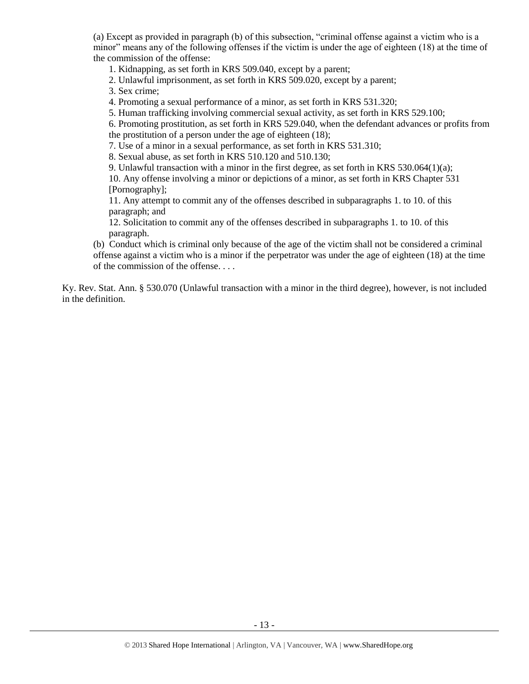(a) Except as provided in paragraph (b) of this subsection, "criminal offense against a victim who is a minor" means any of the following offenses if the victim is under the age of eighteen (18) at the time of the commission of the offense:

1. Kidnapping, as set forth in KRS 509.040, except by a parent;

2. Unlawful imprisonment, as set forth in KRS 509.020, except by a parent;

3. Sex crime;

4. Promoting a sexual performance of a minor, as set forth in KRS 531.320;

5. Human trafficking involving commercial sexual activity, as set forth in KRS 529.100;

6. Promoting prostitution, as set forth in KRS 529.040, when the defendant advances or profits from the prostitution of a person under the age of eighteen (18);

7. Use of a minor in a sexual performance, as set forth in KRS 531.310;

8. Sexual abuse, as set forth in KRS 510.120 and 510.130;

9. Unlawful transaction with a minor in the first degree, as set forth in KRS  $530.064(1)(a)$ ;

10. Any offense involving a minor or depictions of a minor, as set forth in KRS Chapter 531 [Pornography];

11. Any attempt to commit any of the offenses described in subparagraphs 1. to 10. of this paragraph; and

12. Solicitation to commit any of the offenses described in subparagraphs 1. to 10. of this paragraph.

(b) Conduct which is criminal only because of the age of the victim shall not be considered a criminal offense against a victim who is a minor if the perpetrator was under the age of eighteen (18) at the time of the commission of the offense. . . .

Ky. Rev. Stat. Ann. § 530.070 (Unlawful transaction with a minor in the third degree), however, is not included in the definition.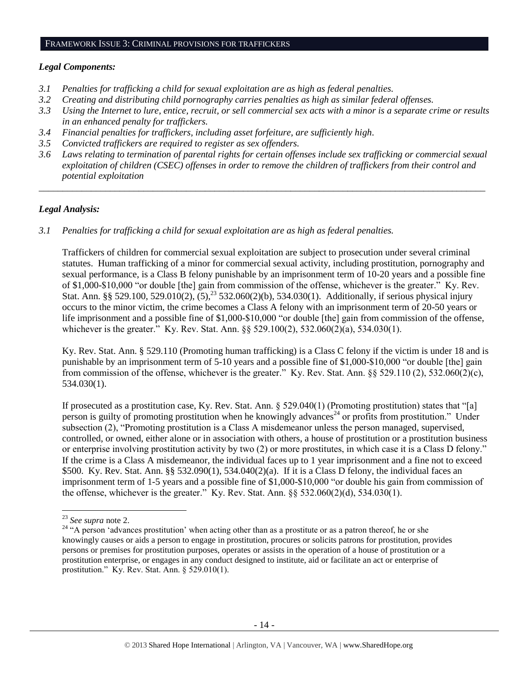### FRAMEWORK ISSUE 3: CRIMINAL PROVISIONS FOR TRAFFICKERS

#### *Legal Components:*

- *3.1 Penalties for trafficking a child for sexual exploitation are as high as federal penalties.*
- *3.2 Creating and distributing child pornography carries penalties as high as similar federal offenses.*
- *3.3 Using the Internet to lure, entice, recruit, or sell commercial sex acts with a minor is a separate crime or results in an enhanced penalty for traffickers.*
- *3.4 Financial penalties for traffickers, including asset forfeiture, are sufficiently high*.
- *3.5 Convicted traffickers are required to register as sex offenders.*
- *3.6 Laws relating to termination of parental rights for certain offenses include sex trafficking or commercial sexual exploitation of children (CSEC) offenses in order to remove the children of traffickers from their control and potential exploitation*

*\_\_\_\_\_\_\_\_\_\_\_\_\_\_\_\_\_\_\_\_\_\_\_\_\_\_\_\_\_\_\_\_\_\_\_\_\_\_\_\_\_\_\_\_\_\_\_\_\_\_\_\_\_\_\_\_\_\_\_\_\_\_\_\_\_\_\_\_\_\_\_\_\_\_\_\_\_\_\_\_\_\_\_\_\_\_\_\_\_\_\_\_\_\_*

#### *Legal Analysis:*

*3.1 Penalties for trafficking a child for sexual exploitation are as high as federal penalties.* 

Traffickers of children for commercial sexual exploitation are subject to prosecution under several criminal statutes. Human trafficking of a minor for commercial sexual activity, including prostitution, pornography and sexual performance, is a Class B felony punishable by an imprisonment term of 10-20 years and a possible fine of \$1,000-\$10,000 "or double [the] gain from commission of the offense, whichever is the greater." Ky. Rev. Stat. Ann. §§ 529.100, 529.010(2),  $(5)$ ,<sup>23</sup> 532.060(2)(b), 534.030(1). Additionally, if serious physical injury occurs to the minor victim, the crime becomes a Class A felony with an imprisonment term of 20-50 years or life imprisonment and a possible fine of \$1,000-\$10,000 "or double [the] gain from commission of the offense, whichever is the greater." Ky. Rev. Stat. Ann. §§ 529.100(2), 532.060(2)(a), 534.030(1).

Ky. Rev. Stat. Ann. § 529.110 (Promoting human trafficking) is a Class C felony if the victim is under 18 and is punishable by an imprisonment term of 5-10 years and a possible fine of \$1,000-\$10,000 "or double [the] gain from commission of the offense, whichever is the greater." Ky. Rev. Stat. Ann. §§ 529.110 (2), 532.060(2)(c), 534.030(1).

<span id="page-13-0"></span>If prosecuted as a prostitution case, Ky. Rev. Stat. Ann. § 529.040(1) (Promoting prostitution) states that "[a] person is guilty of promoting prostitution when he knowingly advances<sup>24</sup> or profits from prostitution." Under subsection (2), "Promoting prostitution is a Class A misdemeanor unless the person managed, supervised, controlled, or owned, either alone or in association with others, a house of prostitution or a prostitution business or enterprise involving prostitution activity by two (2) or more prostitutes, in which case it is a Class D felony." If the crime is a Class A misdemeanor, the individual faces up to 1 year imprisonment and a fine not to exceed \$500. Ky. Rev. Stat. Ann. §§ 532.090(1), 534.040(2)(a). If it is a Class D felony, the individual faces an imprisonment term of 1-5 years and a possible fine of \$1,000-\$10,000 "or double his gain from commission of the offense, whichever is the greater." Ky. Rev. Stat. Ann. §§ 532.060(2)(d), 534.030(1).

<sup>23</sup> *See supra* note [2.](#page-1-0)

<sup>&</sup>lt;sup>24</sup> "A person 'advances prostitution' when acting other than as a prostitute or as a patron thereof, he or she knowingly causes or aids a person to engage in prostitution, procures or solicits patrons for prostitution, provides persons or premises for prostitution purposes, operates or assists in the operation of a house of prostitution or a prostitution enterprise, or engages in any conduct designed to institute, aid or facilitate an act or enterprise of prostitution." Ky. Rev. Stat. Ann. § 529.010(1).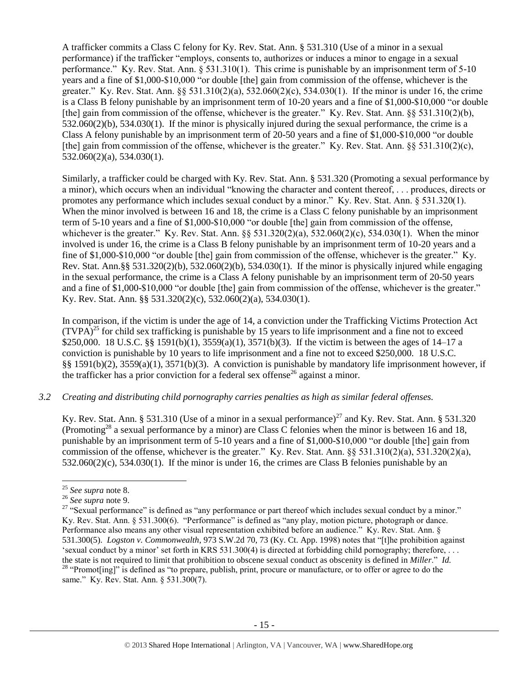A trafficker commits a Class C felony for Ky. Rev. Stat. Ann. § 531.310 (Use of a minor in a sexual performance) if the trafficker "employs, consents to, authorizes or induces a minor to engage in a sexual performance." Ky. Rev. Stat. Ann. § 531.310(1). This crime is punishable by an imprisonment term of 5-10 years and a fine of \$1,000-\$10,000 "or double [the] gain from commission of the offense, whichever is the greater." Ky. Rev. Stat. Ann. §§ 531.310(2)(a), 532.060(2)(c), 534.030(1). If the minor is under 16, the crime is a Class B felony punishable by an imprisonment term of 10-20 years and a fine of \$1,000-\$10,000 "or double [the] gain from commission of the offense, whichever is the greater." Ky. Rev. Stat. Ann. §§ 531.310(2)(b), 532.060(2)(b), 534.030(1). If the minor is physically injured during the sexual performance, the crime is a Class A felony punishable by an imprisonment term of 20-50 years and a fine of \$1,000-\$10,000 "or double [the] gain from commission of the offense, whichever is the greater." Ky. Rev. Stat. Ann. §§ 531.310(2)(c), 532.060(2)(a), 534.030(1).

Similarly, a trafficker could be charged with Ky. Rev. Stat. Ann. § 531.320 (Promoting a sexual performance by a minor), which occurs when an individual "knowing the character and content thereof, . . . produces, directs or promotes any performance which includes sexual conduct by a minor." Ky. Rev. Stat. Ann. § 531.320(1). When the minor involved is between 16 and 18, the crime is a Class C felony punishable by an imprisonment term of 5-10 years and a fine of \$1,000-\$10,000 "or double [the] gain from commission of the offense, whichever is the greater." Ky. Rev. Stat. Ann.  $\S$ § 531.320(2)(a), 532.060(2)(c), 534.030(1). When the minor involved is under 16, the crime is a Class B felony punishable by an imprisonment term of 10-20 years and a fine of \$1,000-\$10,000 "or double [the] gain from commission of the offense, whichever is the greater." Ky. Rev. Stat. Ann.§§ 531.320(2)(b), 532.060(2)(b), 534.030(1). If the minor is physically injured while engaging in the sexual performance, the crime is a Class A felony punishable by an imprisonment term of 20-50 years and a fine of \$1,000-\$10,000 "or double [the] gain from commission of the offense, whichever is the greater." Ky. Rev. Stat. Ann. §§ 531.320(2)(c), 532.060(2)(a), 534.030(1).

In comparison, if the victim is under the age of 14, a conviction under the Trafficking Victims Protection Act  $(TVPA)^{25}$  for child sex trafficking is punishable by 15 years to life imprisonment and a fine not to exceed \$250,000. 18 U.S.C. §§ 1591(b)(1), 3559(a)(1), 3571(b)(3). If the victim is between the ages of 14–17 a conviction is punishable by 10 years to life imprisonment and a fine not to exceed \$250,000. 18 U.S.C. §§ 1591(b)(2), 3559(a)(1), 3571(b)(3). A conviction is punishable by mandatory life imprisonment however, if the trafficker has a prior conviction for a federal sex offense<sup>26</sup> against a minor.

### *3.2 Creating and distributing child pornography carries penalties as high as similar federal offenses.*

Ky. Rev. Stat. Ann. § 531.310 (Use of a minor in a sexual performance)<sup>27</sup> and Ky. Rev. Stat. Ann. § 531.320 (Promoting<sup>28</sup> a sexual performance by a minor) are Class C felonies when the minor is between 16 and 18, punishable by an imprisonment term of 5-10 years and a fine of \$1,000-\$10,000 "or double [the] gain from commission of the offense, whichever is the greater." Ky. Rev. Stat. Ann. §§ 531.310(2)(a), 531.320(2)(a), 532.060(2)(c), 534.030(1). If the minor is under 16, the crimes are Class B felonies punishable by an

 $\overline{a}$ 

<sup>25</sup> *See supra* note [8.](#page-7-1)

<sup>26</sup> *See supra* note [9.](#page-7-2)

<sup>&</sup>lt;sup>27</sup> "Sexual performance" is defined as "any performance or part thereof which includes sexual conduct by a minor." Ky. Rev. Stat. Ann. § 531.300(6). "Performance" is defined as "any play, motion picture, photograph or dance. Performance also means any other visual representation exhibited before an audience." Ky. Rev. Stat. Ann. § 531.300(5). *Logston v. Commonwealth*, 973 S.W.2d 70, 73 (Ky. Ct. App. 1998) notes that "[t]he prohibition against 'sexual conduct by a minor' set forth in KRS 531.300(4) is directed at forbidding child pornography; therefore, . . . the state is not required to limit that prohibition to obscene sexual conduct as obscenity is defined in *Miller*." *Id.* <sup>28</sup> "Promot[ing]" is defined as "to prepare, publish, print, procure or manufacture, or to offer or agree to do the same." Ky. Rev. Stat. Ann. § 531.300(7).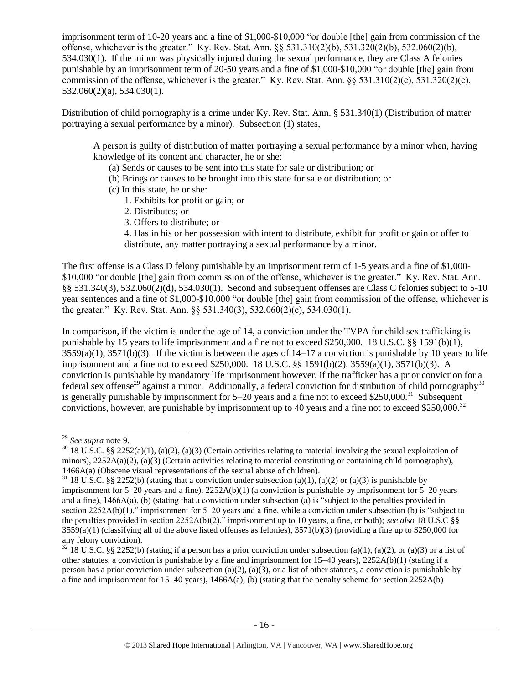imprisonment term of 10-20 years and a fine of \$1,000-\$10,000 "or double [the] gain from commission of the offense, whichever is the greater." Ky. Rev. Stat. Ann. §§ 531.310(2)(b), 531.320(2)(b), 532.060(2)(b), 534.030(1). If the minor was physically injured during the sexual performance, they are Class A felonies punishable by an imprisonment term of 20-50 years and a fine of \$1,000-\$10,000 "or double [the] gain from commission of the offense, whichever is the greater." Ky. Rev. Stat. Ann. §§ 531.310(2)(c), 531.320(2)(c), 532.060(2)(a), 534.030(1).

Distribution of child pornography is a crime under Ky. Rev. Stat. Ann. § 531.340(1) (Distribution of matter portraying a sexual performance by a minor). Subsection (1) states,

A person is guilty of distribution of matter portraying a sexual performance by a minor when, having knowledge of its content and character, he or she:

- (a) Sends or causes to be sent into this state for sale or distribution; or
- (b) Brings or causes to be brought into this state for sale or distribution; or
- (c) In this state, he or she:
	- 1. Exhibits for profit or gain; or
	- 2. Distributes; or
	- 3. Offers to distribute; or

4. Has in his or her possession with intent to distribute, exhibit for profit or gain or offer to distribute, any matter portraying a sexual performance by a minor.

The first offense is a Class D felony punishable by an imprisonment term of 1-5 years and a fine of \$1,000- \$10,000 "or double [the] gain from commission of the offense, whichever is the greater." Ky. Rev. Stat. Ann. §§ 531.340(3), 532.060(2)(d), 534.030(1). Second and subsequent offenses are Class C felonies subject to 5-10 year sentences and a fine of \$1,000-\$10,000 "or double [the] gain from commission of the offense, whichever is the greater." Ky. Rev. Stat. Ann. §§ 531.340(3), 532.060(2)(c), 534.030(1).

In comparison, if the victim is under the age of 14, a conviction under the TVPA for child sex trafficking is punishable by 15 years to life imprisonment and a fine not to exceed \$250,000. 18 U.S.C. §§ 1591(b)(1),  $3559(a)(1)$ ,  $3571(b)(3)$ . If the victim is between the ages of  $14-17$  a conviction is punishable by 10 years to life imprisonment and a fine not to exceed \$250,000. 18 U.S.C. §§ 1591(b)(2), 3559(a)(1), 3571(b)(3). A conviction is punishable by mandatory life imprisonment however, if the trafficker has a prior conviction for a federal sex offense<sup>29</sup> against a minor. Additionally, a federal conviction for distribution of child pornography<sup>30</sup> is generally punishable by imprisonment for  $5-20$  years and a fine not to exceed \$250,000.<sup>31</sup> Subsequent convictions, however, are punishable by imprisonment up to 40 years and a fine not to exceed \$250,000.<sup>32</sup>

 $\overline{\phantom{a}}$ <sup>29</sup> *See supra* note [9.](#page-7-2)

 $30\,18$  U.S.C. §§ 2252(a)(1), (a)(2), (a)(3) (Certain activities relating to material involving the sexual exploitation of minors),  $2252A(a)(2)$ , (a)(3) (Certain activities relating to material constituting or containing child pornography), 1466A(a) (Obscene visual representations of the sexual abuse of children).

<sup>&</sup>lt;sup>31</sup> 18 U.S.C. §§ 2252(b) (stating that a conviction under subsection (a)(1), (a)(2) or (a)(3) is punishable by imprisonment for 5–20 years and a fine), 2252A(b)(1) (a conviction is punishable by imprisonment for 5–20 years and a fine),  $1466A(a)$ , (b) (stating that a conviction under subsection (a) is "subject to the penalties provided in section 2252A(b)(1)," imprisonment for 5–20 years and a fine, while a conviction under subsection (b) is "subject to the penalties provided in section 2252A(b)(2)," imprisonment up to 10 years, a fine, or both); *see also* 18 U.S.C §§  $3559(a)(1)$  (classifying all of the above listed offenses as felonies),  $3571(b)(3)$  (providing a fine up to \$250,000 for any felony conviction).

 $32$  18 U.S.C. §§ 2252(b) (stating if a person has a prior conviction under subsection (a)(1), (a)(2), or (a)(3) or a list of other statutes, a conviction is punishable by a fine and imprisonment for  $15-40$  years),  $2252A(b)(1)$  (stating if a person has a prior conviction under subsection (a)(2), (a)(3), or a list of other statutes, a conviction is punishable by a fine and imprisonment for 15–40 years), 1466A(a), (b) (stating that the penalty scheme for section 2252A(b)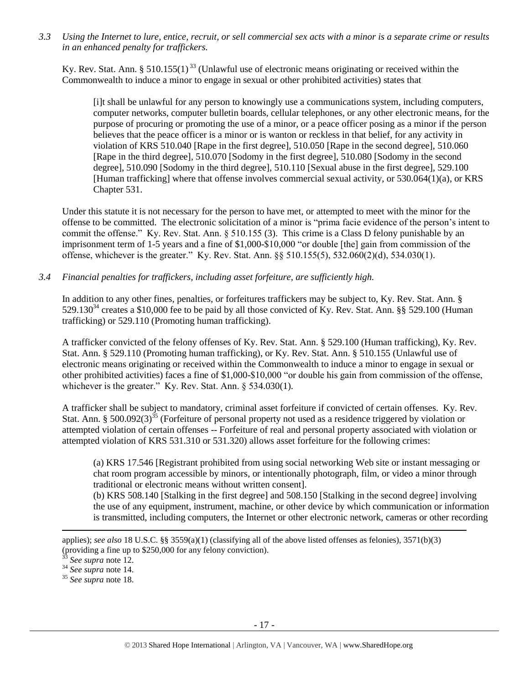*3.3 Using the Internet to lure, entice, recruit, or sell commercial sex acts with a minor is a separate crime or results in an enhanced penalty for traffickers.*

Ky. Rev. Stat. Ann. § 510.155(1)<sup>33</sup> (Unlawful use of electronic means originating or received within the Commonwealth to induce a minor to engage in sexual or other prohibited activities) states that

[i]t shall be unlawful for any person to knowingly use a communications system, including computers, computer networks, computer bulletin boards, cellular telephones, or any other electronic means, for the purpose of procuring or promoting the use of a minor, or a peace officer posing as a minor if the person believes that the peace officer is a minor or is wanton or reckless in that belief, for any activity in violation of KRS 510.040 [Rape in the first degree], 510.050 [Rape in the second degree], 510.060 [Rape in the third degree], 510.070 [Sodomy in the first degree], 510.080 [Sodomy in the second degree], 510.090 [Sodomy in the third degree], 510.110 [Sexual abuse in the first degree], 529.100 [Human trafficking] where that offense involves commercial sexual activity, or 530.064(1)(a), or KRS Chapter 531.

Under this statute it is not necessary for the person to have met, or attempted to meet with the minor for the offense to be committed. The electronic solicitation of a minor is "prima facie evidence of the person's intent to commit the offense." Ky. Rev. Stat. Ann. § 510.155 (3). This crime is a Class D felony punishable by an imprisonment term of 1-5 years and a fine of \$1,000-\$10,000 "or double [the] gain from commission of the offense, whichever is the greater." Ky. Rev. Stat. Ann. §§ 510.155(5), 532.060(2)(d), 534.030(1).

*3.4 Financial penalties for traffickers, including asset forfeiture, are sufficiently high.*

In addition to any other fines, penalties, or forfeitures traffickers may be subject to, Ky. Rev. Stat. Ann. §  $529.130^{34}$  creates a \$10,000 fee to be paid by all those convicted of Ky. Rev. Stat. Ann. §§ 529.100 (Human trafficking) or 529.110 (Promoting human trafficking).

A trafficker convicted of the felony offenses of Ky. Rev. Stat. Ann. § 529.100 (Human trafficking), Ky. Rev. Stat. Ann. § 529.110 (Promoting human trafficking), or Ky. Rev. Stat. Ann. § 510.155 (Unlawful use of electronic means originating or received within the Commonwealth to induce a minor to engage in sexual or other prohibited activities) faces a fine of \$1,000-\$10,000 "or double his gain from commission of the offense, whichever is the greater." Ky. Rev. Stat. Ann. § 534.030(1).

A trafficker shall be subject to mandatory, criminal asset forfeiture if convicted of certain offenses. Ky. Rev. Stat. Ann. § 500.092(3)<sup>35</sup> (Forfeiture of personal property not used as a residence triggered by violation or attempted violation of certain offenses -- Forfeiture of real and personal property associated with violation or attempted violation of KRS 531.310 or 531.320) allows asset forfeiture for the following crimes:

(a) KRS 17.546 [Registrant prohibited from using social networking Web site or instant messaging or chat room program accessible by minors, or intentionally photograph, film, or video a minor through traditional or electronic means without written consent].

(b) KRS 508.140 [Stalking in the first degree] and 508.150 [Stalking in the second degree] involving the use of any equipment, instrument, machine, or other device by which communication or information is transmitted, including computers, the Internet or other electronic network, cameras or other recording

applies); *see also* 18 U.S.C. §§ 3559(a)(1) (classifying all of the above listed offenses as felonies), 3571(b)(3) (providing a fine up to \$250,000 for any felony conviction).

See supra note [12.](#page-7-0)

<sup>34</sup> *See supra* note [14.](#page-9-0)

<sup>35</sup> *See supra* note [18.](#page-11-0)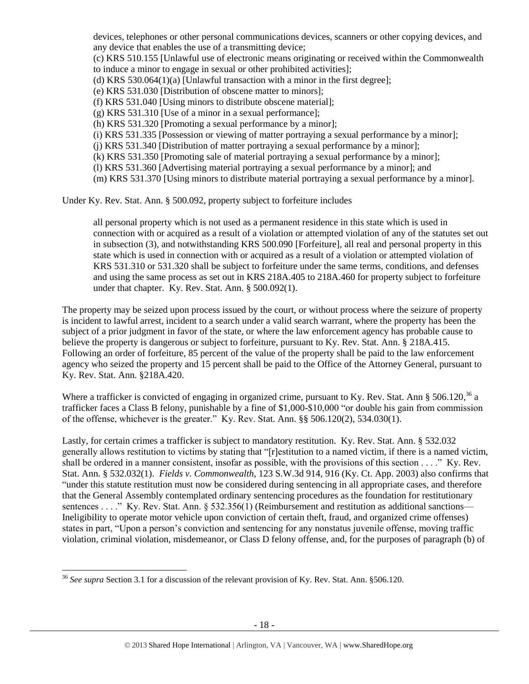devices, telephones or other personal communications devices, scanners or other copying devices, and any device that enables the use of a transmitting device; (c) KRS 510.155 [Unlawful use of electronic means originating or received within the Commonwealth to induce a minor to engage in sexual or other prohibited activities]; (d) KRS 530.064(1)(a) [Unlawful transaction with a minor in the first degree]; (e) KRS 531.030 [Distribution of obscene matter to minors]; (f) KRS 531.040 [Using minors to distribute obscene material]; (g) KRS 531.310 [Use of a minor in a sexual performance]; (h) KRS 531.320 [Promoting a sexual performance by a minor]; (i) KRS 531.335 [Possession or viewing of matter portraying a sexual performance by a minor]; (j) KRS 531.340 [Distribution of matter portraying a sexual performance by a minor]; (k) KRS 531.350 [Promoting sale of material portraying a sexual performance by a minor]; (l) KRS 531.360 [Advertising material portraying a sexual performance by a minor]; and (m) KRS 531.370 [Using minors to distribute material portraying a sexual performance by a minor].

Under Ky. Rev. Stat. Ann. § 500.092, property subject to forfeiture includes

all personal property which is not used as a permanent residence in this state which is used in connection with or acquired as a result of a violation or attempted violation of any of the statutes set out in subsection (3), and notwithstanding KRS 500.090 [Forfeiture], all real and personal property in this state which is used in connection with or acquired as a result of a violation or attempted violation of KRS 531.310 or 531.320 shall be subject to forfeiture under the same terms, conditions, and defenses and using the same process as set out in KRS 218A.405 to 218A.460 for property subject to forfeiture under that chapter. Ky. Rev. Stat. Ann. § 500.092(1).

The property may be seized upon process issued by the court, or without process where the seizure of property is incident to lawful arrest, incident to a search under a valid search warrant, where the property has been the subject of a prior judgment in favor of the state, or where the law enforcement agency has probable cause to believe the property is dangerous or subject to forfeiture, pursuant to Ky. Rev. Stat. Ann. § 218A.415. Following an order of forfeiture, 85 percent of the value of the property shall be paid to the law enforcement agency who seized the property and 15 percent shall be paid to the Office of the Attorney General, pursuant to Ky. Rev. Stat. Ann. §218A.420.

Where a trafficker is convicted of engaging in organized crime, pursuant to Ky. Rev. Stat. Ann § 506.120,<sup>36</sup> a trafficker faces a Class B felony, punishable by a fine of \$1,000-\$10,000 "or double his gain from commission of the offense, whichever is the greater." Ky. Rev. Stat. Ann. §§ 506.120(2), 534.030(1).

Lastly, for certain crimes a trafficker is subject to mandatory restitution. Ky. Rev. Stat. Ann. § 532.032 generally allows restitution to victims by stating that "[r]estitution to a named victim, if there is a named victim, shall be ordered in a manner consistent, insofar as possible, with the provisions of this section . . . ." Ky. Rev. Stat. Ann. § 532.032(1). *Fields v. Commonwealth*, 123 S.W.3d 914, 916 (Ky. Ct. App. 2003) also confirms that "under this statute restitution must now be considered during sentencing in all appropriate cases, and therefore that the General Assembly contemplated ordinary sentencing procedures as the foundation for restitutionary sentences . . . ." Ky. Rev. Stat. Ann. § 532.356(1) (Reimbursement and restitution as additional sanctions— Ineligibility to operate motor vehicle upon conviction of certain theft, fraud, and organized crime offenses) states in part, "Upon a person's conviction and sentencing for any nonstatus juvenile offense, moving traffic violation, criminal violation, misdemeanor, or Class D felony offense, and, for the purposes of paragraph (b) of

 $\overline{a}$ <sup>36</sup> *See supra* Section 3.1 for a discussion of the relevant provision of Ky. Rev. Stat. Ann. §506.120.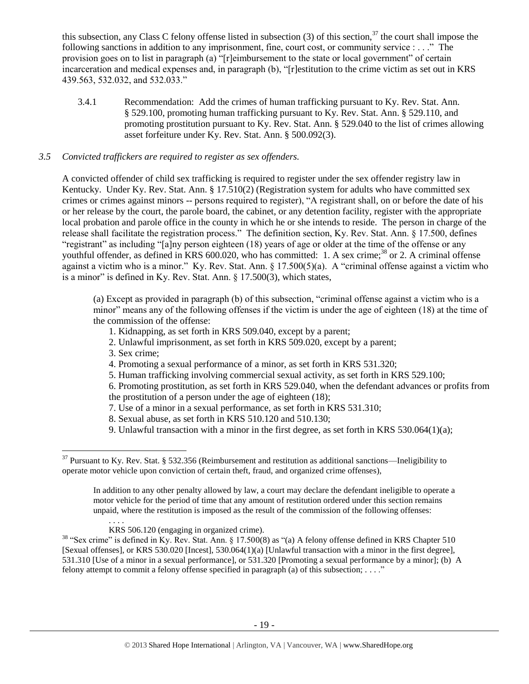this subsection, any Class C felony offense listed in subsection  $(3)$  of this section,  $37$  the court shall impose the following sanctions in addition to any imprisonment, fine, court cost, or community service : . . ." The provision goes on to list in paragraph (a) "[r]eimbursement to the state or local government" of certain incarceration and medical expenses and, in paragraph (b), "[r]estitution to the crime victim as set out in KRS 439.563, 532.032, and 532.033."

3.4.1 Recommendation: Add the crimes of human trafficking pursuant to Ky. Rev. Stat. Ann. § 529.100, promoting human trafficking pursuant to Ky. Rev. Stat. Ann. § 529.110, and promoting prostitution pursuant to Ky. Rev. Stat. Ann. § 529.040 to the list of crimes allowing asset forfeiture under Ky. Rev. Stat. Ann. § 500.092(3).

# *3.5 Convicted traffickers are required to register as sex offenders.*

A convicted offender of child sex trafficking is required to register under the sex offender registry law in Kentucky. Under Ky. Rev. Stat. Ann. § 17.510(2) (Registration system for adults who have committed sex crimes or crimes against minors -- persons required to register), "A registrant shall, on or before the date of his or her release by the court, the parole board, the cabinet, or any detention facility, register with the appropriate local probation and parole office in the county in which he or she intends to reside. The person in charge of the release shall facilitate the registration process." The definition section, Ky. Rev. Stat. Ann. § 17.500, defines "registrant" as including "[a]ny person eighteen (18) years of age or older at the time of the offense or any youthful offender, as defined in KRS 600.020, who has committed: 1. A sex crime;<sup>38</sup> or 2. A criminal offense against a victim who is a minor." Ky. Rev. Stat. Ann. § 17.500(5)(a). A "criminal offense against a victim who is a minor" is defined in Ky. Rev. Stat. Ann. § 17.500(3), which states,

(a) Except as provided in paragraph (b) of this subsection, "criminal offense against a victim who is a minor" means any of the following offenses if the victim is under the age of eighteen (18) at the time of the commission of the offense:

- 1. Kidnapping, as set forth in KRS 509.040, except by a parent;
- 2. Unlawful imprisonment, as set forth in KRS 509.020, except by a parent;
- 3. Sex crime;

 $\overline{\phantom{a}}$ 

4. Promoting a sexual performance of a minor, as set forth in KRS 531.320;

5. Human trafficking involving commercial sexual activity, as set forth in KRS 529.100;

6. Promoting prostitution, as set forth in KRS 529.040, when the defendant advances or profits from the prostitution of a person under the age of eighteen (18);

- 7. Use of a minor in a sexual performance, as set forth in KRS 531.310;
- 8. Sexual abuse, as set forth in KRS 510.120 and 510.130;
- 9. Unlawful transaction with a minor in the first degree, as set forth in KRS  $530.064(1)(a)$ ;

In addition to any other penalty allowed by law, a court may declare the defendant ineligible to operate a motor vehicle for the period of time that any amount of restitution ordered under this section remains unpaid, where the restitution is imposed as the result of the commission of the following offenses:

 $37$  Pursuant to Ky. Rev. Stat. § 532.356 (Reimbursement and restitution as additional sanctions—Ineligibility to operate motor vehicle upon conviction of certain theft, fraud, and organized crime offenses),

KRS 506.120 (engaging in organized crime).

<sup>&</sup>lt;sup>38</sup> "Sex crime" is defined in Ky. Rev. Stat. Ann. § 17.500(8) as "(a) A felony offense defined in KRS Chapter 510 [Sexual offenses], or KRS 530.020 [Incest], 530.064(1)(a) [Unlawful transaction with a minor in the first degree], 531.310 [Use of a minor in a sexual performance], or 531.320 [Promoting a sexual performance by a minor]; (b) A felony attempt to commit a felony offense specified in paragraph (a) of this subsection; . . . ."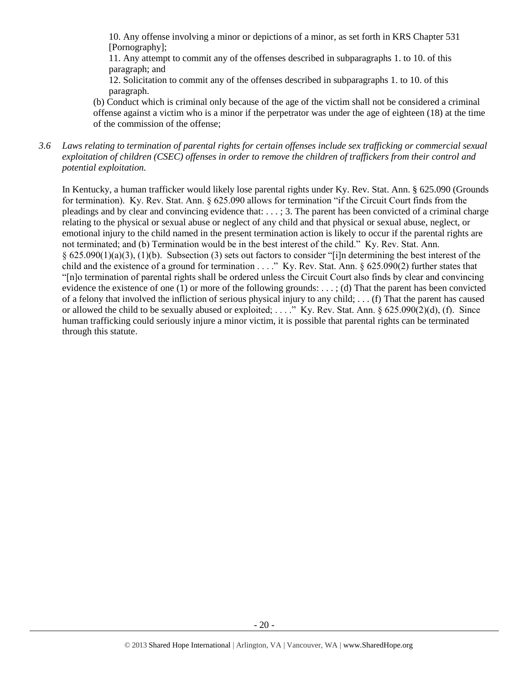10. Any offense involving a minor or depictions of a minor, as set forth in KRS Chapter 531 [Pornography];

11. Any attempt to commit any of the offenses described in subparagraphs 1. to 10. of this paragraph; and

12. Solicitation to commit any of the offenses described in subparagraphs 1. to 10. of this paragraph.

(b) Conduct which is criminal only because of the age of the victim shall not be considered a criminal offense against a victim who is a minor if the perpetrator was under the age of eighteen (18) at the time of the commission of the offense;

*3.6 Laws relating to termination of parental rights for certain offenses include sex trafficking or commercial sexual exploitation of children (CSEC) offenses in order to remove the children of traffickers from their control and potential exploitation.* 

In Kentucky, a human trafficker would likely lose parental rights under Ky. Rev. Stat. Ann. § 625.090 (Grounds for termination). Ky. Rev. Stat. Ann. § 625.090 allows for termination "if the Circuit Court finds from the pleadings and by clear and convincing evidence that: . . . ; 3. The parent has been convicted of a criminal charge relating to the physical or sexual abuse or neglect of any child and that physical or sexual abuse, neglect, or emotional injury to the child named in the present termination action is likely to occur if the parental rights are not terminated; and (b) Termination would be in the best interest of the child." Ky. Rev. Stat. Ann. § 625.090(1)(a)(3), (1)(b). Subsection (3) sets out factors to consider "[i]n determining the best interest of the child and the existence of a ground for termination . . . ." Ky. Rev. Stat. Ann. § 625.090(2) further states that "[n]o termination of parental rights shall be ordered unless the Circuit Court also finds by clear and convincing evidence the existence of one (1) or more of the following grounds: . . . ; (d) That the parent has been convicted of a felony that involved the infliction of serious physical injury to any child; . . . (f) That the parent has caused or allowed the child to be sexually abused or exploited; ...." Ky. Rev. Stat. Ann. § 625.090(2)(d), (f). Since human trafficking could seriously injure a minor victim, it is possible that parental rights can be terminated through this statute.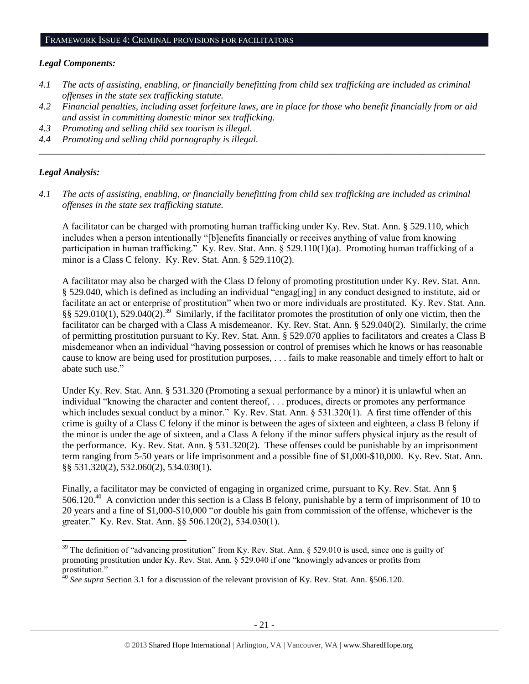#### *Legal Components:*

- *4.1 The acts of assisting, enabling, or financially benefitting from child sex trafficking are included as criminal offenses in the state sex trafficking statute.*
- *4.2 Financial penalties, including asset forfeiture laws, are in place for those who benefit financially from or aid and assist in committing domestic minor sex trafficking.*

*\_\_\_\_\_\_\_\_\_\_\_\_\_\_\_\_\_\_\_\_\_\_\_\_\_\_\_\_\_\_\_\_\_\_\_\_\_\_\_\_\_\_\_\_\_\_\_\_\_\_\_\_\_\_\_\_\_\_\_\_\_\_\_\_\_\_\_\_\_\_\_\_\_\_\_\_\_\_\_\_\_\_\_\_\_\_\_\_\_\_\_\_\_\_*

- *4.3 Promoting and selling child sex tourism is illegal.*
- *4.4 Promoting and selling child pornography is illegal.*

### *Legal Analysis:*

 $\overline{a}$ 

*4.1 The acts of assisting, enabling, or financially benefitting from child sex trafficking are included as criminal offenses in the state sex trafficking statute.*

A facilitator can be charged with promoting human trafficking under Ky. Rev. Stat. Ann. § 529.110, which includes when a person intentionally "[b]enefits financially or receives anything of value from knowing participation in human trafficking." Ky. Rev. Stat. Ann. § 529.110(1)(a). Promoting human trafficking of a minor is a Class C felony. Ky. Rev. Stat. Ann. § 529.110(2).

A facilitator may also be charged with the Class D felony of promoting prostitution under Ky. Rev. Stat. Ann. § 529.040, which is defined as including an individual "engag[ing] in any conduct designed to institute, aid or facilitate an act or enterprise of prostitution" when two or more individuals are prostituted. Ky. Rev. Stat. Ann.  $\S$ § 529.010(1), 529.040(2).<sup>39</sup> Similarly, if the facilitator promotes the prostitution of only one victim, then the facilitator can be charged with a Class A misdemeanor. Ky. Rev. Stat. Ann. § 529.040(2). Similarly, the crime of permitting prostitution pursuant to Ky. Rev. Stat. Ann. § 529.070 applies to facilitators and creates a Class B misdemeanor when an individual "having possession or control of premises which he knows or has reasonable cause to know are being used for prostitution purposes, . . . fails to make reasonable and timely effort to halt or abate such use."

Under Ky. Rev. Stat. Ann. § 531.320 (Promoting a sexual performance by a minor) it is unlawful when an individual "knowing the character and content thereof, . . . produces, directs or promotes any performance which includes sexual conduct by a minor." Ky. Rev. Stat. Ann. § 531.320(1). A first time offender of this crime is guilty of a Class C felony if the minor is between the ages of sixteen and eighteen, a class B felony if the minor is under the age of sixteen, and a Class A felony if the minor suffers physical injury as the result of the performance. Ky. Rev. Stat. Ann. § 531.320(2). These offenses could be punishable by an imprisonment term ranging from 5-50 years or life imprisonment and a possible fine of \$1,000-\$10,000. Ky. Rev. Stat. Ann. §§ 531.320(2), 532.060(2), 534.030(1).

Finally, a facilitator may be convicted of engaging in organized crime, pursuant to Ky. Rev. Stat. Ann § 506.120.<sup>40</sup> A conviction under this section is a Class B felony, punishable by a term of imprisonment of 10 to 20 years and a fine of \$1,000-\$10,000 "or double his gain from commission of the offense, whichever is the greater." Ky. Rev. Stat. Ann. §§ 506.120(2), 534.030(1).

 $39$  The definition of "advancing prostitution" from Ky. Rev. Stat. Ann. § 529.010 is used, since one is guilty of promoting prostitution under Ky. Rev. Stat. Ann. § 529.040 if one "knowingly advances or profits from prostitution."

<sup>40</sup> *See supra* Section 3.1 for a discussion of the relevant provision of Ky. Rev. Stat. Ann. §506.120.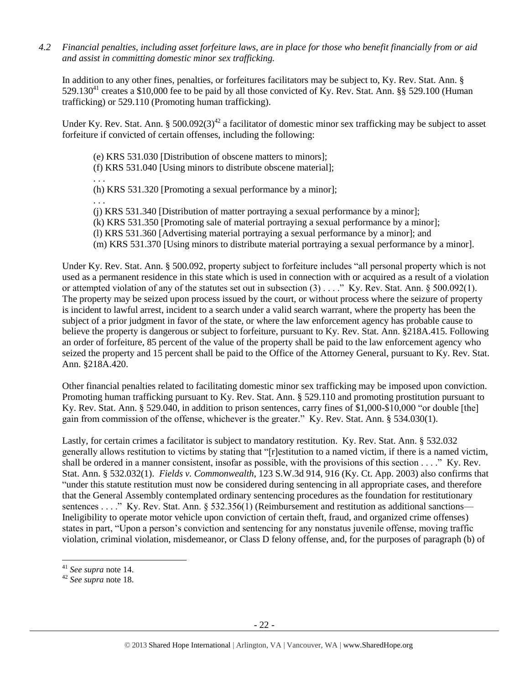*4.2 Financial penalties, including asset forfeiture laws, are in place for those who benefit financially from or aid and assist in committing domestic minor sex trafficking.*

In addition to any other fines, penalties, or forfeitures facilitators may be subject to, Ky. Rev. Stat. Ann. §  $529.130^{41}$  creates a \$10,000 fee to be paid by all those convicted of Ky. Rev. Stat. Ann. §§ 529.100 (Human trafficking) or 529.110 (Promoting human trafficking).

Under Ky. Rev. Stat. Ann. § 500.092(3)<sup>42</sup> a facilitator of domestic minor sex trafficking may be subject to asset forfeiture if convicted of certain offenses, including the following:

(e) KRS 531.030 [Distribution of obscene matters to minors];

(f) KRS 531.040 [Using minors to distribute obscene material];

. . . (h) KRS 531.320 [Promoting a sexual performance by a minor];

. . .

(j) KRS 531.340 [Distribution of matter portraying a sexual performance by a minor];

(k) KRS 531.350 [Promoting sale of material portraying a sexual performance by a minor];

(l) KRS 531.360 [Advertising material portraying a sexual performance by a minor]; and

(m) KRS 531.370 [Using minors to distribute material portraying a sexual performance by a minor].

Under Ky. Rev. Stat. Ann. § 500.092, property subject to forfeiture includes "all personal property which is not used as a permanent residence in this state which is used in connection with or acquired as a result of a violation or attempted violation of any of the statutes set out in subsection (3) . . . ." Ky. Rev. Stat. Ann. § 500.092(1). The property may be seized upon process issued by the court, or without process where the seizure of property is incident to lawful arrest, incident to a search under a valid search warrant, where the property has been the subject of a prior judgment in favor of the state, or where the law enforcement agency has probable cause to believe the property is dangerous or subject to forfeiture, pursuant to Ky. Rev. Stat. Ann. §218A.415. Following an order of forfeiture, 85 percent of the value of the property shall be paid to the law enforcement agency who seized the property and 15 percent shall be paid to the Office of the Attorney General, pursuant to Ky. Rev. Stat. Ann. §218A.420.

Other financial penalties related to facilitating domestic minor sex trafficking may be imposed upon conviction. Promoting human trafficking pursuant to Ky. Rev. Stat. Ann. § 529.110 and promoting prostitution pursuant to Ky. Rev. Stat. Ann. § 529.040, in addition to prison sentences, carry fines of \$1,000-\$10,000 "or double [the] gain from commission of the offense, whichever is the greater." Ky. Rev. Stat. Ann. § 534.030(1).

Lastly, for certain crimes a facilitator is subject to mandatory restitution. Ky. Rev. Stat. Ann. § 532.032 generally allows restitution to victims by stating that "[r]estitution to a named victim, if there is a named victim, shall be ordered in a manner consistent, insofar as possible, with the provisions of this section . . . ." Ky. Rev. Stat. Ann. § 532.032(1). *Fields v. Commonwealth*, 123 S.W.3d 914, 916 (Ky. Ct. App. 2003) also confirms that "under this statute restitution must now be considered during sentencing in all appropriate cases, and therefore that the General Assembly contemplated ordinary sentencing procedures as the foundation for restitutionary sentences . . . ." Ky. Rev. Stat. Ann. § 532.356(1) (Reimbursement and restitution as additional sanctions— Ineligibility to operate motor vehicle upon conviction of certain theft, fraud, and organized crime offenses) states in part, "Upon a person's conviction and sentencing for any nonstatus juvenile offense, moving traffic violation, criminal violation, misdemeanor, or Class D felony offense, and, for the purposes of paragraph (b) of

l

<sup>41</sup> *See supra* note [14.](#page-9-0)

<sup>42</sup> *See supra* note [18.](#page-11-0)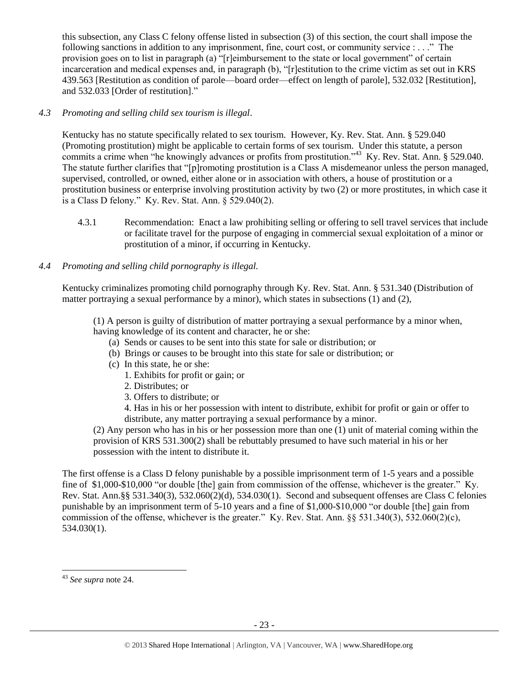this subsection, any Class C felony offense listed in subsection (3) of this section, the court shall impose the following sanctions in addition to any imprisonment, fine, court cost, or community service : . . ." The provision goes on to list in paragraph (a) "[r]eimbursement to the state or local government" of certain incarceration and medical expenses and, in paragraph (b), "[r]estitution to the crime victim as set out in KRS 439.563 [Restitution as condition of parole—board order—effect on length of parole], 532.032 [Restitution], and 532.033 [Order of restitution]."

# *4.3 Promoting and selling child sex tourism is illegal*.

Kentucky has no statute specifically related to sex tourism. However, Ky. Rev. Stat. Ann. § 529.040 (Promoting prostitution) might be applicable to certain forms of sex tourism. Under this statute, a person commits a crime when "he knowingly advances or profits from prostitution."<sup>43</sup> Ky. Rev. Stat. Ann. § 529.040. The statute further clarifies that "[p]romoting prostitution is a Class A misdemeanor unless the person managed, supervised, controlled, or owned, either alone or in association with others, a house of prostitution or a prostitution business or enterprise involving prostitution activity by two (2) or more prostitutes, in which case it is a Class D felony." Ky. Rev. Stat. Ann. § 529.040(2).

4.3.1 Recommendation: Enact a law prohibiting selling or offering to sell travel services that include or facilitate travel for the purpose of engaging in commercial sexual exploitation of a minor or prostitution of a minor, if occurring in Kentucky.

# *4.4 Promoting and selling child pornography is illegal.*

Kentucky criminalizes promoting child pornography through Ky. Rev. Stat. Ann. § 531.340 (Distribution of matter portraying a sexual performance by a minor), which states in subsections (1) and (2),

(1) A person is guilty of distribution of matter portraying a sexual performance by a minor when, having knowledge of its content and character, he or she:

- (a) Sends or causes to be sent into this state for sale or distribution; or
- (b) Brings or causes to be brought into this state for sale or distribution; or
- (c) In this state, he or she:
	- 1. Exhibits for profit or gain; or
	- 2. Distributes; or
	- 3. Offers to distribute; or
	- 4. Has in his or her possession with intent to distribute, exhibit for profit or gain or offer to distribute, any matter portraying a sexual performance by a minor.

(2) Any person who has in his or her possession more than one (1) unit of material coming within the provision of KRS 531.300(2) shall be rebuttably presumed to have such material in his or her possession with the intent to distribute it.

The first offense is a Class D felony punishable by a possible imprisonment term of 1-5 years and a possible fine of \$1,000-\$10,000 "or double [the] gain from commission of the offense, whichever is the greater." Ky. Rev. Stat. Ann.§§ 531.340(3), 532.060(2)(d), 534.030(1). Second and subsequent offenses are Class C felonies punishable by an imprisonment term of 5-10 years and a fine of \$1,000-\$10,000 "or double [the] gain from commission of the offense, whichever is the greater." Ky. Rev. Stat. Ann. §§ 531.340(3), 532.060(2)(c), 534.030(1).

 $\overline{a}$ 

<sup>43</sup> *See supra* note [24.](#page-13-0)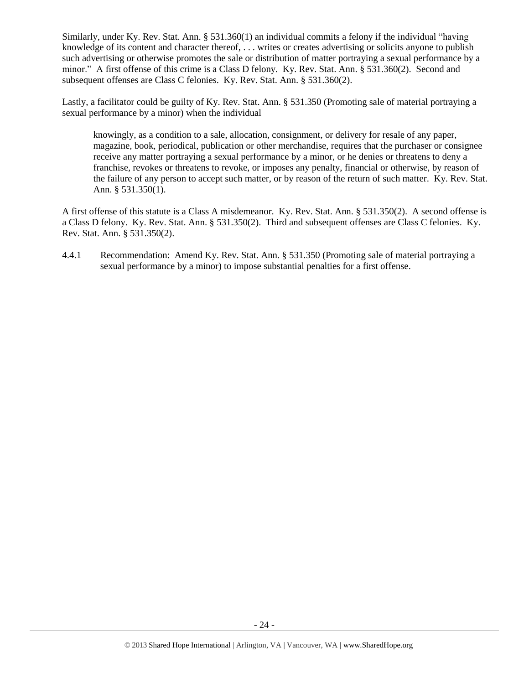Similarly, under Ky. Rev. Stat. Ann. § 531.360(1) an individual commits a felony if the individual "having knowledge of its content and character thereof, . . . writes or creates advertising or solicits anyone to publish such advertising or otherwise promotes the sale or distribution of matter portraying a sexual performance by a minor." A first offense of this crime is a Class D felony. Ky. Rev. Stat. Ann. § 531.360(2). Second and subsequent offenses are Class C felonies. Ky. Rev. Stat. Ann. § 531.360(2).

Lastly, a facilitator could be guilty of Ky. Rev. Stat. Ann. § 531.350 (Promoting sale of material portraying a sexual performance by a minor) when the individual

knowingly, as a condition to a sale, allocation, consignment, or delivery for resale of any paper, magazine, book, periodical, publication or other merchandise, requires that the purchaser or consignee receive any matter portraying a sexual performance by a minor, or he denies or threatens to deny a franchise, revokes or threatens to revoke, or imposes any penalty, financial or otherwise, by reason of the failure of any person to accept such matter, or by reason of the return of such matter. Ky. Rev. Stat. Ann. § 531.350(1).

A first offense of this statute is a Class A misdemeanor. Ky. Rev. Stat. Ann. § 531.350(2). A second offense is a Class D felony. Ky. Rev. Stat. Ann. § 531.350(2). Third and subsequent offenses are Class C felonies. Ky. Rev. Stat. Ann. § 531.350(2).

4.4.1 Recommendation: Amend Ky. Rev. Stat. Ann. § 531.350 (Promoting sale of material portraying a sexual performance by a minor) to impose substantial penalties for a first offense.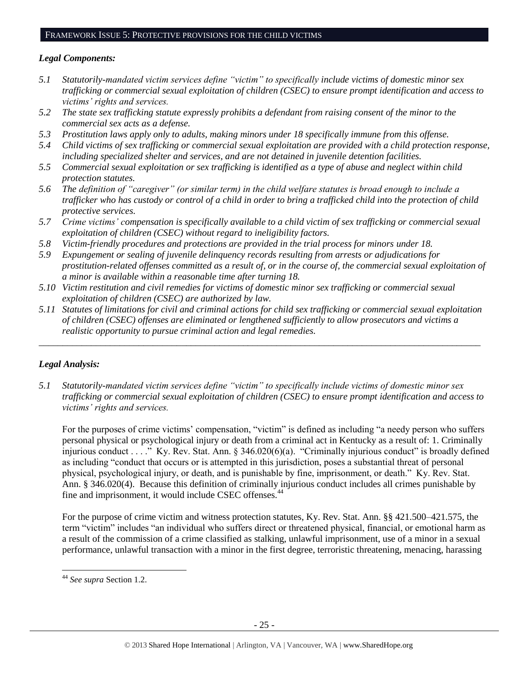### FRAMEWORK ISSUE 5: PROTECTIVE PROVISIONS FOR THE CHILD VICTIMS

# *Legal Components:*

- *5.1 Statutorily-mandated victim services define "victim" to specifically include victims of domestic minor sex trafficking or commercial sexual exploitation of children (CSEC) to ensure prompt identification and access to victims' rights and services.*
- *5.2 The state sex trafficking statute expressly prohibits a defendant from raising consent of the minor to the commercial sex acts as a defense.*
- *5.3 Prostitution laws apply only to adults, making minors under 18 specifically immune from this offense.*
- *5.4 Child victims of sex trafficking or commercial sexual exploitation are provided with a child protection response, including specialized shelter and services, and are not detained in juvenile detention facilities.*
- *5.5 Commercial sexual exploitation or sex trafficking is identified as a type of abuse and neglect within child protection statutes.*
- *5.6 The definition of "caregiver" (or similar term) in the child welfare statutes is broad enough to include a trafficker who has custody or control of a child in order to bring a trafficked child into the protection of child protective services.*
- *5.7 Crime victims' compensation is specifically available to a child victim of sex trafficking or commercial sexual exploitation of children (CSEC) without regard to ineligibility factors.*
- *5.8 Victim-friendly procedures and protections are provided in the trial process for minors under 18.*
- *5.9 Expungement or sealing of juvenile delinquency records resulting from arrests or adjudications for prostitution-related offenses committed as a result of, or in the course of, the commercial sexual exploitation of a minor is available within a reasonable time after turning 18.*
- *5.10 Victim restitution and civil remedies for victims of domestic minor sex trafficking or commercial sexual exploitation of children (CSEC) are authorized by law.*
- *5.11 Statutes of limitations for civil and criminal actions for child sex trafficking or commercial sexual exploitation of children (CSEC) offenses are eliminated or lengthened sufficiently to allow prosecutors and victims a realistic opportunity to pursue criminal action and legal remedies.*

*\_\_\_\_\_\_\_\_\_\_\_\_\_\_\_\_\_\_\_\_\_\_\_\_\_\_\_\_\_\_\_\_\_\_\_\_\_\_\_\_\_\_\_\_\_\_\_\_\_\_\_\_\_\_\_\_\_\_\_\_\_\_\_\_\_\_\_\_\_\_\_\_\_\_\_\_\_\_\_\_\_\_\_\_\_\_\_\_\_\_\_\_\_*

# *Legal Analysis:*

*5.1 Statutorily-mandated victim services define "victim" to specifically include victims of domestic minor sex trafficking or commercial sexual exploitation of children (CSEC) to ensure prompt identification and access to victims' rights and services.*

For the purposes of crime victims' compensation, "victim" is defined as including "a needy person who suffers personal physical or psychological injury or death from a criminal act in Kentucky as a result of: 1. Criminally injurious conduct . . . . " Ky. Rev. Stat. Ann. § 346.020(6)(a). "Criminally injurious conduct" is broadly defined as including "conduct that occurs or is attempted in this jurisdiction, poses a substantial threat of personal physical, psychological injury, or death, and is punishable by fine, imprisonment, or death." Ky. Rev. Stat. Ann. § 346.020(4). Because this definition of criminally injurious conduct includes all crimes punishable by fine and imprisonment, it would include CSEC offenses.<sup>44</sup>

For the purpose of crime victim and witness protection statutes, Ky. Rev. Stat. Ann. §§ 421.500–421.575, the term "victim" includes "an individual who suffers direct or threatened physical, financial, or emotional harm as a result of the commission of a crime classified as stalking, unlawful imprisonment, use of a minor in a sexual performance, unlawful transaction with a minor in the first degree, terroristic threatening, menacing, harassing

 $\overline{a}$ 

<sup>44</sup> *See supra* Section 1.2.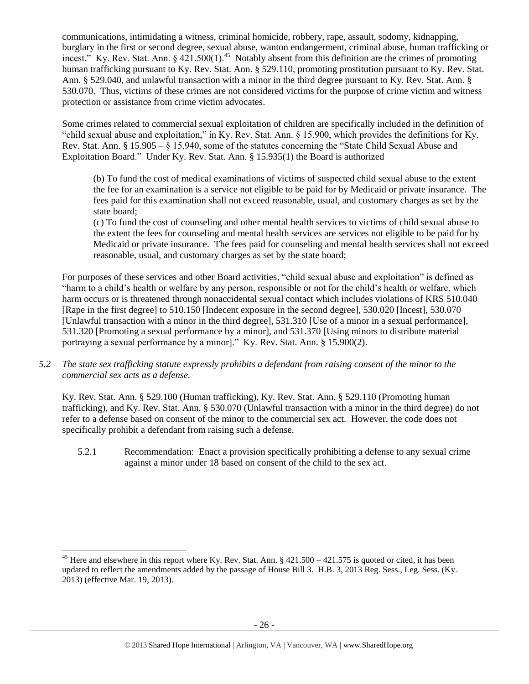communications, intimidating a witness, criminal homicide, robbery, rape, assault, sodomy, kidnapping, burglary in the first or second degree, sexual abuse, wanton endangerment, criminal abuse, human trafficking or incest." Ky. Rev. Stat. Ann.  $\S$  421.500(1).<sup>45</sup> Notably absent from this definition are the crimes of promoting human trafficking pursuant to Ky. Rev. Stat. Ann. § 529.110, promoting prostitution pursuant to Ky. Rev. Stat. Ann. § 529.040, and unlawful transaction with a minor in the third degree pursuant to Ky. Rev. Stat. Ann. § 530.070. Thus, victims of these crimes are not considered victims for the purpose of crime victim and witness protection or assistance from crime victim advocates.

Some crimes related to commercial sexual exploitation of children are specifically included in the definition of "child sexual abuse and exploitation," in Ky. Rev. Stat. Ann. § 15.900, which provides the definitions for Ky. Rev. Stat. Ann. § 15.905 – § 15.940, some of the statutes concerning the "State Child Sexual Abuse and Exploitation Board." Under Ky. Rev. Stat. Ann. § 15.935(1) the Board is authorized

(b) To fund the cost of medical examinations of victims of suspected child sexual abuse to the extent the fee for an examination is a service not eligible to be paid for by Medicaid or private insurance. The fees paid for this examination shall not exceed reasonable, usual, and customary charges as set by the state board;

(c) To fund the cost of counseling and other mental health services to victims of child sexual abuse to the extent the fees for counseling and mental health services are services not eligible to be paid for by Medicaid or private insurance. The fees paid for counseling and mental health services shall not exceed reasonable, usual, and customary charges as set by the state board;

For purposes of these services and other Board activities, "child sexual abuse and exploitation" is defined as "harm to a child's health or welfare by any person, responsible or not for the child's health or welfare, which harm occurs or is threatened through nonaccidental sexual contact which includes violations of KRS 510.040 [Rape in the first degree] to 510.150 [Indecent exposure in the second degree], 530.020 [Incest], 530.070 [Unlawful transaction with a minor in the third degree], 531.310 [Use of a minor in a sexual performance], 531.320 [Promoting a sexual performance by a minor], and 531.370 [Using minors to distribute material portraying a sexual performance by a minor]." Ky. Rev. Stat. Ann. § 15.900(2).

*5.2 The state sex trafficking statute expressly prohibits a defendant from raising consent of the minor to the commercial sex acts as a defense.*

Ky. Rev. Stat. Ann. § 529.100 (Human trafficking), Ky. Rev. Stat. Ann. § 529.110 (Promoting human trafficking), and Ky. Rev. Stat. Ann. § 530.070 (Unlawful transaction with a minor in the third degree) do not refer to a defense based on consent of the minor to the commercial sex act. However, the code does not specifically prohibit a defendant from raising such a defense.

5.2.1 Recommendation: Enact a provision specifically prohibiting a defense to any sexual crime against a minor under 18 based on consent of the child to the sex act.

<sup>&</sup>lt;sup>45</sup> Here and elsewhere in this report where Ky. Rev. Stat. Ann.  $\S$  421.500 – 421.575 is quoted or cited, it has been updated to reflect the amendments added by the passage of House Bill 3. H.B. 3, 2013 Reg. Sess., Leg. Sess. (Ky. 2013) (effective Mar. 19, 2013).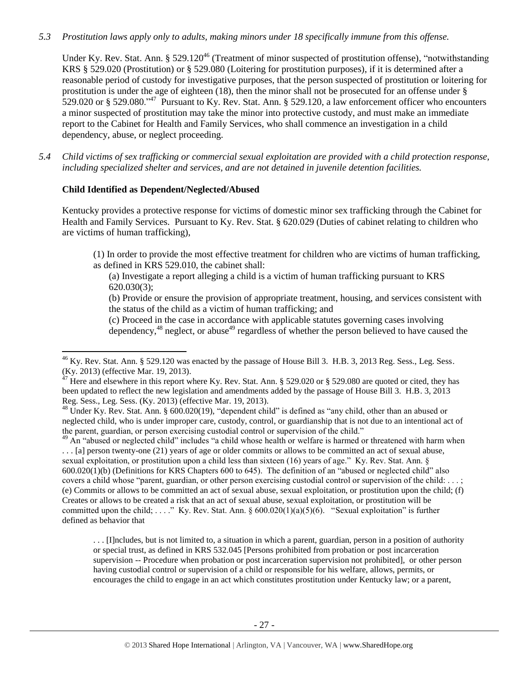# *5.3 Prostitution laws apply only to adults, making minors under 18 specifically immune from this offense.*

<span id="page-26-1"></span><span id="page-26-0"></span>Under Ky. Rev. Stat. Ann. § 529.120<sup>46</sup> (Treatment of minor suspected of prostitution offense), "notwithstanding KRS § 529.020 (Prostitution) or § 529.080 (Loitering for prostitution purposes), if it is determined after a reasonable period of custody for investigative purposes, that the person suspected of prostitution or loitering for prostitution is under the age of eighteen (18), then the minor shall not be prosecuted for an offense under § 529.020 or § 529.080."<sup>47</sup> Pursuant to Ky. Rev. Stat. Ann. § 529.120, a law enforcement officer who encounters a minor suspected of prostitution may take the minor into protective custody, and must make an immediate report to the Cabinet for Health and Family Services, who shall commence an investigation in a child dependency, abuse, or neglect proceeding.

*5.4 Child victims of sex trafficking or commercial sexual exploitation are provided with a child protection response, including specialized shelter and services, and are not detained in juvenile detention facilities.*

### **Child Identified as Dependent/Neglected/Abused**

l

Kentucky provides a protective response for victims of domestic minor sex trafficking through the Cabinet for Health and Family Services. Pursuant to Ky. Rev. Stat. § 620.029 (Duties of cabinet relating to children who are victims of human trafficking),

(1) In order to provide the most effective treatment for children who are victims of human trafficking, as defined in KRS 529.010, the cabinet shall:

(a) Investigate a report alleging a child is a victim of human trafficking pursuant to KRS 620.030(3);

(b) Provide or ensure the provision of appropriate treatment, housing, and services consistent with the status of the child as a victim of human trafficking; and

(c) Proceed in the case in accordance with applicable statutes governing cases involving dependency, $48$  neglect, or abuse<sup>49</sup> regardless of whether the person believed to have caused the

<sup>49</sup> An "abused or neglected child" includes "a child whose health or welfare is harmed or threatened with harm when . . . [a] person twenty-one (21) years of age or older commits or allows to be committed an act of sexual abuse, sexual exploitation, or prostitution upon a child less than sixteen (16) years of age." Ky. Rev. Stat. Ann. § 600.020(1)(b) (Definitions for KRS Chapters 600 to 645). The definition of an "abused or neglected child" also covers a child whose "parent, guardian, or other person exercising custodial control or supervision of the child: . . . ; (e) Commits or allows to be committed an act of sexual abuse, sexual exploitation, or prostitution upon the child; (f) Creates or allows to be created a risk that an act of sexual abuse, sexual exploitation, or prostitution will be committed upon the child; ...." Ky. Rev. Stat. Ann.  $\S 600.020(1)(a)(5)(6)$ . "Sexual exploitation" is further defined as behavior that

. . . [I]ncludes, but is not limited to, a situation in which a parent, guardian, person in a position of authority or special trust, as defined in KRS 532.045 [Persons prohibited from probation or post incarceration supervision -- Procedure when probation or post incarceration supervision not prohibited], or other person having custodial control or supervision of a child or responsible for his welfare, allows, permits, or encourages the child to engage in an act which constitutes prostitution under Kentucky law; or a parent,

 $^{46}$  Ky. Rev. Stat. Ann. § 529.120 was enacted by the passage of House Bill 3. H.B. 3, 2013 Reg. Sess., Leg. Sess. (Ky. 2013) (effective Mar. 19, 2013).

<sup>&</sup>lt;sup>47</sup> Here and elsewhere in this report where Ky. Rev. Stat. Ann. § 529.020 or § 529.080 are quoted or cited, they has been updated to reflect the new legislation and amendments added by the passage of House Bill 3. H.B. 3, 2013 Reg. Sess., Leg. Sess. (Ky. 2013) (effective Mar. 19, 2013).

 $^{48}$  Under Ky. Rev. Stat. Ann. § 600.020(19), "dependent child" is defined as "any child, other than an abused or neglected child, who is under improper care, custody, control, or guardianship that is not due to an intentional act of the parent, guardian, or person exercising custodial control or supervision of the child."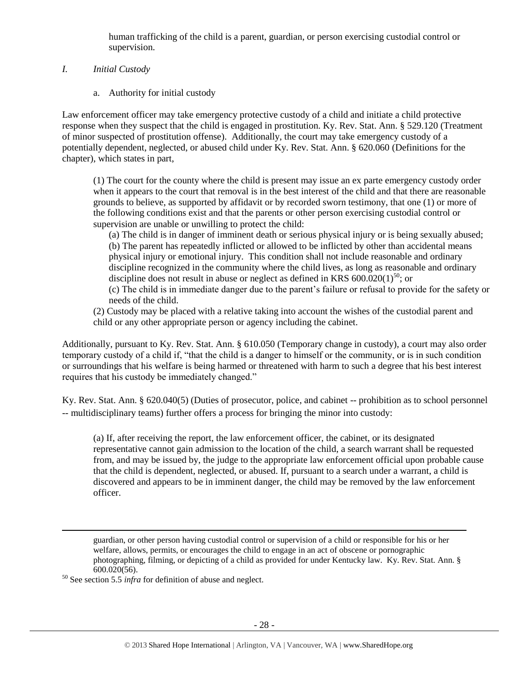human trafficking of the child is a parent, guardian, or person exercising custodial control or supervision.

*I. Initial Custody*

a. Authority for initial custody

Law enforcement officer may take emergency protective custody of a child and initiate a child protective response when they suspect that the child is engaged in prostitution. Ky. Rev. Stat. Ann. § 529.120 (Treatment of minor suspected of prostitution offense). Additionally, the court may take emergency custody of a potentially dependent, neglected, or abused child under Ky. Rev. Stat. Ann. § 620.060 (Definitions for the chapter), which states in part,

(1) The court for the county where the child is present may issue an ex parte emergency custody order when it appears to the court that removal is in the best interest of the child and that there are reasonable grounds to believe, as supported by affidavit or by recorded sworn testimony, that one (1) or more of the following conditions exist and that the parents or other person exercising custodial control or supervision are unable or unwilling to protect the child:

(a) The child is in danger of imminent death or serious physical injury or is being sexually abused; (b) The parent has repeatedly inflicted or allowed to be inflicted by other than accidental means physical injury or emotional injury. This condition shall not include reasonable and ordinary discipline recognized in the community where the child lives, as long as reasonable and ordinary discipline does not result in abuse or neglect as defined in KRS  $600.020(1)^{50}$ ; or

(c) The child is in immediate danger due to the parent's failure or refusal to provide for the safety or needs of the child.

(2) Custody may be placed with a relative taking into account the wishes of the custodial parent and child or any other appropriate person or agency including the cabinet.

Additionally, pursuant to Ky. Rev. Stat. Ann. § 610.050 (Temporary change in custody), a court may also order temporary custody of a child if, "that the child is a danger to himself or the community, or is in such condition or surroundings that his welfare is being harmed or threatened with harm to such a degree that his best interest requires that his custody be immediately changed."

Ky. Rev. Stat. Ann. § 620.040(5) (Duties of prosecutor, police, and cabinet -- prohibition as to school personnel -- multidisciplinary teams) further offers a process for bringing the minor into custody:

(a) If, after receiving the report, the law enforcement officer, the cabinet, or its designated representative cannot gain admission to the location of the child, a search warrant shall be requested from, and may be issued by, the judge to the appropriate law enforcement official upon probable cause that the child is dependent, neglected, or abused. If, pursuant to a search under a warrant, a child is discovered and appears to be in imminent danger, the child may be removed by the law enforcement officer.

<sup>50</sup> See section 5.5 *infra* for definition of abuse and neglect.

guardian, or other person having custodial control or supervision of a child or responsible for his or her welfare, allows, permits, or encourages the child to engage in an act of obscene or pornographic photographing, filming, or depicting of a child as provided for under Kentucky law. Ky. Rev. Stat. Ann. § 600.020(56).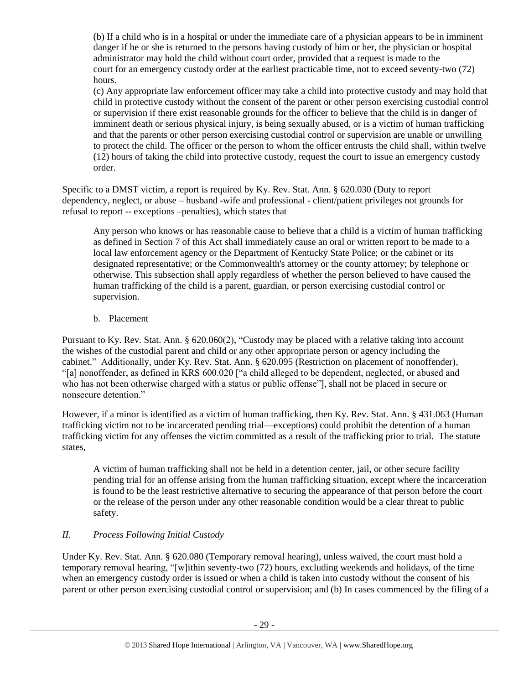(b) If a child who is in a hospital or under the immediate care of a physician appears to be in imminent danger if he or she is returned to the persons having custody of him or her, the physician or hospital administrator may hold the child without court order, provided that a request is made to the court for an emergency custody order at the earliest practicable time, not to exceed seventy-two (72) hours.

(c) Any appropriate law enforcement officer may take a child into protective custody and may hold that child in protective custody without the consent of the parent or other person exercising custodial control or supervision if there exist reasonable grounds for the officer to believe that the child is in danger of imminent death or serious physical injury, is being sexually abused, or is a victim of human trafficking and that the parents or other person exercising custodial control or supervision are unable or unwilling to protect the child. The officer or the person to whom the officer entrusts the child shall, within twelve (12) hours of taking the child into protective custody, request the court to issue an emergency custody order.

Specific to a DMST victim, a report is required by Ky. Rev. Stat. Ann. § 620.030 (Duty to report dependency, neglect, or abuse – husband -wife and professional - client/patient privileges not grounds for refusal to report -- exceptions –penalties), which states that

Any person who knows or has reasonable cause to believe that a child is a victim of human trafficking as defined in Section 7 of this Act shall immediately cause an oral or written report to be made to a local law enforcement agency or the Department of Kentucky State Police; or the cabinet or its designated representative; or the Commonwealth's attorney or the county attorney; by telephone or otherwise. This subsection shall apply regardless of whether the person believed to have caused the human trafficking of the child is a parent, guardian, or person exercising custodial control or supervision.

b. Placement

Pursuant to Ky. Rev. Stat. Ann. § 620.060(2), "Custody may be placed with a relative taking into account the wishes of the custodial parent and child or any other appropriate person or agency including the cabinet." Additionally, under Ky. Rev. Stat. Ann. § 620.095 (Restriction on placement of nonoffender), "[a] nonoffender, as defined in KRS 600.020 ["a child alleged to be dependent, neglected, or abused and who has not been otherwise charged with a status or public offense"], shall not be placed in secure or nonsecure detention."

However, if a minor is identified as a victim of human trafficking, then Ky. Rev. Stat. Ann. § 431.063 (Human trafficking victim not to be incarcerated pending trial—exceptions) could prohibit the detention of a human trafficking victim for any offenses the victim committed as a result of the trafficking prior to trial. The statute states,

A victim of human trafficking shall not be held in a detention center, jail, or other secure facility pending trial for an offense arising from the human trafficking situation, except where the incarceration is found to be the least restrictive alternative to securing the appearance of that person before the court or the release of the person under any other reasonable condition would be a clear threat to public safety.

# *II. Process Following Initial Custody*

Under Ky. Rev. Stat. Ann. § 620.080 (Temporary removal hearing), unless waived, the court must hold a temporary removal hearing, "[w]ithin seventy-two (72) hours, excluding weekends and holidays, of the time when an emergency custody order is issued or when a child is taken into custody without the consent of his parent or other person exercising custodial control or supervision; and (b) In cases commenced by the filing of a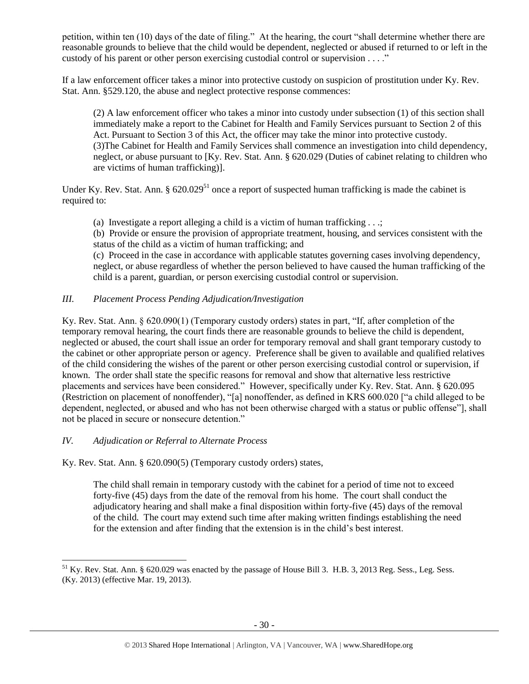petition, within ten (10) days of the date of filing." At the hearing, the court "shall determine whether there are reasonable grounds to believe that the child would be dependent, neglected or abused if returned to or left in the custody of his parent or other person exercising custodial control or supervision . . . ."

If a law enforcement officer takes a minor into protective custody on suspicion of prostitution under Ky. Rev. Stat. Ann. §529.120, the abuse and neglect protective response commences:

(2) A law enforcement officer who takes a minor into custody under subsection (1) of this section shall immediately make a report to the Cabinet for Health and Family Services pursuant to Section 2 of this Act. Pursuant to Section 3 of this Act, the officer may take the minor into protective custody. (3)The Cabinet for Health and Family Services shall commence an investigation into child dependency, neglect, or abuse pursuant to [Ky. Rev. Stat. Ann. § 620.029 (Duties of cabinet relating to children who are victims of human trafficking)].

Under Ky. Rev. Stat. Ann.  $\S 620.029^{51}$  once a report of suspected human trafficking is made the cabinet is required to:

(a) Investigate a report alleging a child is a victim of human trafficking . . .;

(b) Provide or ensure the provision of appropriate treatment, housing, and services consistent with the status of the child as a victim of human trafficking; and

(c) Proceed in the case in accordance with applicable statutes governing cases involving dependency, neglect, or abuse regardless of whether the person believed to have caused the human trafficking of the child is a parent, guardian, or person exercising custodial control or supervision.

# *III. Placement Process Pending Adjudication/Investigation*

Ky. Rev. Stat. Ann. § 620.090(1) (Temporary custody orders) states in part, "If, after completion of the temporary removal hearing, the court finds there are reasonable grounds to believe the child is dependent, neglected or abused, the court shall issue an order for temporary removal and shall grant temporary custody to the cabinet or other appropriate person or agency. Preference shall be given to available and qualified relatives of the child considering the wishes of the parent or other person exercising custodial control or supervision, if known. The order shall state the specific reasons for removal and show that alternative less restrictive placements and services have been considered." However, specifically under Ky. Rev. Stat. Ann. § 620.095 (Restriction on placement of nonoffender), "[a] nonoffender, as defined in KRS 600.020 ["a child alleged to be dependent, neglected, or abused and who has not been otherwise charged with a status or public offense"], shall not be placed in secure or nonsecure detention."

### *IV. Adjudication or Referral to Alternate Process*

l

Ky. Rev. Stat. Ann. § 620.090(5) (Temporary custody orders) states,

The child shall remain in temporary custody with the cabinet for a period of time not to exceed forty-five (45) days from the date of the removal from his home. The court shall conduct the adjudicatory hearing and shall make a final disposition within forty-five (45) days of the removal of the child. The court may extend such time after making written findings establishing the need for the extension and after finding that the extension is in the child's best interest.

 $^{51}$  Ky. Rev. Stat. Ann. § 620.029 was enacted by the passage of House Bill 3. H.B. 3, 2013 Reg. Sess., Leg. Sess. (Ky. 2013) (effective Mar. 19, 2013).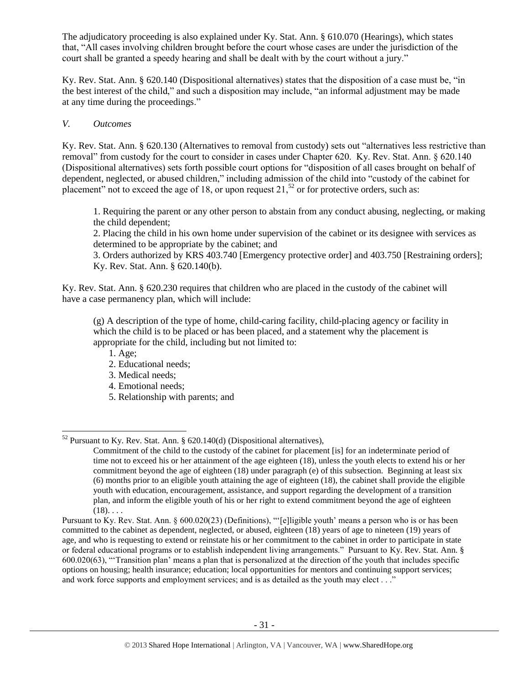The adjudicatory proceeding is also explained under Ky. Stat. Ann. § 610.070 (Hearings), which states that, "All cases involving children brought before the court whose cases are under the jurisdiction of the court shall be granted a speedy hearing and shall be dealt with by the court without a jury."

Ky. Rev. Stat. Ann. § 620.140 (Dispositional alternatives) states that the disposition of a case must be, "in the best interest of the child," and such a disposition may include, "an informal adjustment may be made at any time during the proceedings."

# *V. Outcomes*

Ky. Rev. Stat. Ann. § 620.130 (Alternatives to removal from custody) sets out "alternatives less restrictive than removal" from custody for the court to consider in cases under Chapter 620. Ky. Rev. Stat. Ann. § 620.140 (Dispositional alternatives) sets forth possible court options for "disposition of all cases brought on behalf of dependent, neglected, or abused children," including admission of the child into "custody of the cabinet for placement" not to exceed the age of 18, or upon request  $21$ ,  $52$  or for protective orders, such as:

1. Requiring the parent or any other person to abstain from any conduct abusing, neglecting, or making the child dependent;

2. Placing the child in his own home under supervision of the cabinet or its designee with services as determined to be appropriate by the cabinet; and

3. Orders authorized by KRS 403.740 [Emergency protective order] and 403.750 [Restraining orders]; Ky. Rev. Stat. Ann. § 620.140(b).

Ky. Rev. Stat. Ann. § 620.230 requires that children who are placed in the custody of the cabinet will have a case permanency plan, which will include:

(g) A description of the type of home, child-caring facility, child-placing agency or facility in which the child is to be placed or has been placed, and a statement why the placement is appropriate for the child, including but not limited to:

- 1. Age;
- 2. Educational needs;
- 3. Medical needs;
- 4. Emotional needs;
- 5. Relationship with parents; and

 $\overline{\phantom{a}}$  $52$  Pursuant to Ky. Rev. Stat. Ann. § 620.140(d) (Dispositional alternatives),

Commitment of the child to the custody of the cabinet for placement [is] for an indeterminate period of time not to exceed his or her attainment of the age eighteen (18), unless the youth elects to extend his or her commitment beyond the age of eighteen (18) under paragraph (e) of this subsection. Beginning at least six (6) months prior to an eligible youth attaining the age of eighteen (18), the cabinet shall provide the eligible youth with education, encouragement, assistance, and support regarding the development of a transition plan, and inform the eligible youth of his or her right to extend commitment beyond the age of eighteen  $(18)$ ...

Pursuant to Ky. Rev. Stat. Ann. § 600.020(23) (Definitions), "'[e]ligible youth' means a person who is or has been committed to the cabinet as dependent, neglected, or abused, eighteen (18) years of age to nineteen (19) years of age, and who is requesting to extend or reinstate his or her commitment to the cabinet in order to participate in state or federal educational programs or to establish independent living arrangements." Pursuant to Ky. Rev. Stat. Ann. § 600.020(63), "'Transition plan' means a plan that is personalized at the direction of the youth that includes specific options on housing; health insurance; education; local opportunities for mentors and continuing support services; and work force supports and employment services; and is as detailed as the youth may elect . . ."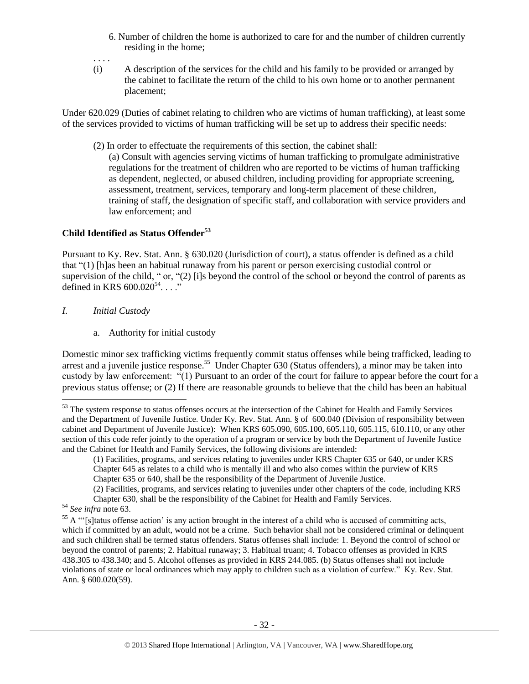- 6. Number of children the home is authorized to care for and the number of children currently residing in the home;
- . . . .
- (i) A description of the services for the child and his family to be provided or arranged by the cabinet to facilitate the return of the child to his own home or to another permanent placement;

Under 620.029 (Duties of cabinet relating to children who are victims of human trafficking), at least some of the services provided to victims of human trafficking will be set up to address their specific needs:

(2) In order to effectuate the requirements of this section, the cabinet shall:

(a) Consult with agencies serving victims of human trafficking to promulgate administrative regulations for the treatment of children who are reported to be victims of human trafficking as dependent, neglected, or abused children, including providing for appropriate screening, assessment, treatment, services, temporary and long-term placement of these children, training of staff, the designation of specific staff, and collaboration with service providers and law enforcement; and

# **Child Identified as Status Offender<sup>53</sup>**

Pursuant to Ky. Rev. Stat. Ann. § 630.020 (Jurisdiction of court), a status offender is defined as a child that "(1) [h]as been an habitual runaway from his parent or person exercising custodial control or supervision of the child, " or, "(2) [i]s beyond the control of the school or beyond the control of parents as defined in KRS  $600.020^{54}$ ...."

# *I. Initial Custody*

a. Authority for initial custody

Domestic minor sex trafficking victims frequently commit status offenses while being trafficked, leading to arrest and a juvenile justice response.<sup>55</sup> Under Chapter 630 (Status offenders), a minor may be taken into custody by law enforcement: "(1) Pursuant to an order of the court for failure to appear before the court for a previous status offense; or (2) If there are reasonable grounds to believe that the child has been an habitual

 $\overline{a}$ 

<sup>&</sup>lt;sup>53</sup> The system response to status offenses occurs at the intersection of the Cabinet for Health and Family Services and the Department of Juvenile Justice. Under Ky. Rev. Stat. Ann. § of 600.040 (Division of responsibility between cabinet and Department of Juvenile Justice): When KRS 605.090, 605.100, 605.110, 605.115, 610.110, or any other section of this code refer jointly to the operation of a program or service by both the Department of Juvenile Justice and the Cabinet for Health and Family Services, the following divisions are intended:

<sup>(1)</sup> Facilities, programs, and services relating to juveniles under KRS Chapter 635 or 640, or under KRS Chapter 645 as relates to a child who is mentally ill and who also comes within the purview of KRS Chapter 635 or 640, shall be the responsibility of the Department of Juvenile Justice.

<sup>(2)</sup> Facilities, programs, and services relating to juveniles under other chapters of the code, including KRS Chapter 630, shall be the responsibility of the Cabinet for Health and Family Services.

<sup>54</sup> *See infra* note 63.

<sup>&</sup>lt;sup>55</sup> A "'[s]tatus offense action' is any action brought in the interest of a child who is accused of committing acts, which if committed by an adult, would not be a crime. Such behavior shall not be considered criminal or delinquent and such children shall be termed status offenders. Status offenses shall include: 1. Beyond the control of school or beyond the control of parents; 2. Habitual runaway; 3. Habitual truant; 4. Tobacco offenses as provided in KRS 438.305 to 438.340; and 5. Alcohol offenses as provided in KRS 244.085. (b) Status offenses shall not include violations of state or local ordinances which may apply to children such as a violation of curfew." Ky. Rev. Stat. Ann. § 600.020(59).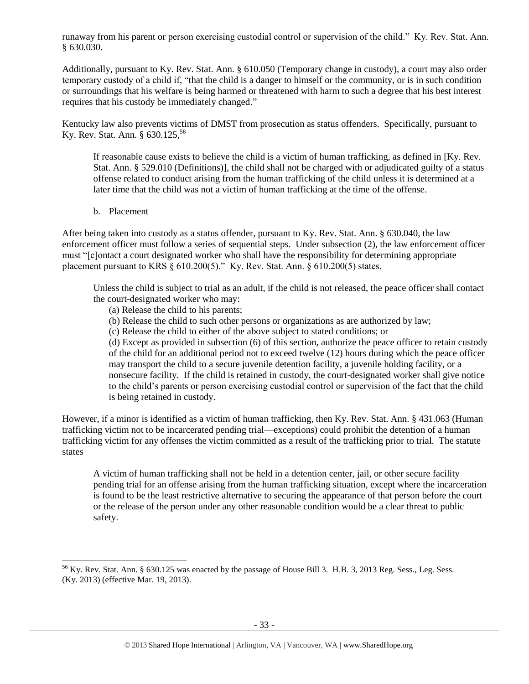runaway from his parent or person exercising custodial control or supervision of the child." Ky. Rev. Stat. Ann. § 630.030.

Additionally, pursuant to Ky. Rev. Stat. Ann. § 610.050 (Temporary change in custody), a court may also order temporary custody of a child if, "that the child is a danger to himself or the community, or is in such condition or surroundings that his welfare is being harmed or threatened with harm to such a degree that his best interest requires that his custody be immediately changed."

Kentucky law also prevents victims of DMST from prosecution as status offenders. Specifically, pursuant to Ky. Rev. Stat. Ann. § 630.125,<sup>56</sup>

If reasonable cause exists to believe the child is a victim of human trafficking, as defined in [Ky. Rev. Stat. Ann. § 529.010 (Definitions)], the child shall not be charged with or adjudicated guilty of a status offense related to conduct arising from the human trafficking of the child unless it is determined at a later time that the child was not a victim of human trafficking at the time of the offense.

b. Placement

l

After being taken into custody as a status offender, pursuant to Ky. Rev. Stat. Ann. § 630.040, the law enforcement officer must follow a series of sequential steps. Under subsection (2), the law enforcement officer must "[c]ontact a court designated worker who shall have the responsibility for determining appropriate placement pursuant to KRS § 610.200(5)." Ky. Rev. Stat. Ann. § 610.200(5) states,

Unless the child is subject to trial as an adult, if the child is not released, the peace officer shall contact the court-designated worker who may:

- (a) Release the child to his parents;
- (b) Release the child to such other persons or organizations as are authorized by law;
- (c) Release the child to either of the above subject to stated conditions; or

(d) Except as provided in subsection (6) of this section, authorize the peace officer to retain custody of the child for an additional period not to exceed twelve (12) hours during which the peace officer may transport the child to a secure juvenile detention facility, a juvenile holding facility, or a nonsecure facility. If the child is retained in custody, the court-designated worker shall give notice to the child's parents or person exercising custodial control or supervision of the fact that the child is being retained in custody.

However, if a minor is identified as a victim of human trafficking, then Ky. Rev. Stat. Ann. § 431.063 (Human trafficking victim not to be incarcerated pending trial—exceptions) could prohibit the detention of a human trafficking victim for any offenses the victim committed as a result of the trafficking prior to trial. The statute states

A victim of human trafficking shall not be held in a detention center, jail, or other secure facility pending trial for an offense arising from the human trafficking situation, except where the incarceration is found to be the least restrictive alternative to securing the appearance of that person before the court or the release of the person under any other reasonable condition would be a clear threat to public safety.

 $56$  Ky. Rev. Stat. Ann. § 630.125 was enacted by the passage of House Bill 3. H.B. 3, 2013 Reg. Sess., Leg. Sess. (Ky. 2013) (effective Mar. 19, 2013).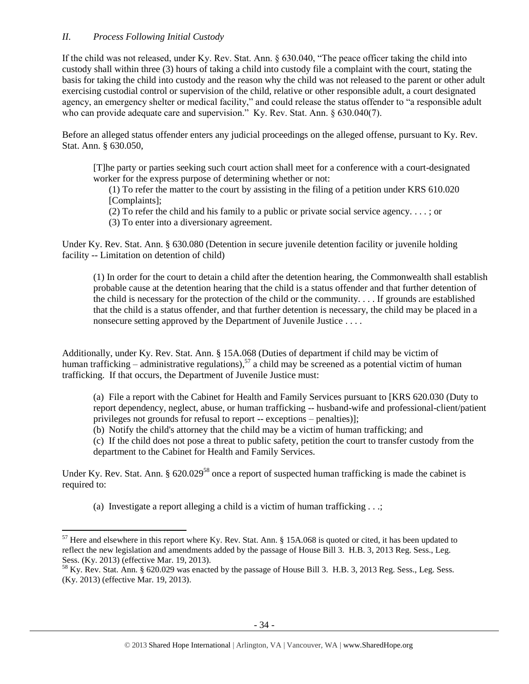# *II. Process Following Initial Custody*

 $\overline{\phantom{a}}$ 

If the child was not released, under Ky. Rev. Stat. Ann. § 630.040, "The peace officer taking the child into custody shall within three (3) hours of taking a child into custody file a complaint with the court, stating the basis for taking the child into custody and the reason why the child was not released to the parent or other adult exercising custodial control or supervision of the child, relative or other responsible adult, a court designated agency, an emergency shelter or medical facility," and could release the status offender to "a responsible adult who can provide adequate care and supervision." Ky. Rev. Stat. Ann. § 630.040(7).

Before an alleged status offender enters any judicial proceedings on the alleged offense, pursuant to Ky. Rev. Stat. Ann. § 630.050,

[T]he party or parties seeking such court action shall meet for a conference with a court-designated worker for the express purpose of determining whether or not:

(1) To refer the matter to the court by assisting in the filing of a petition under KRS 610.020 [Complaints];

(2) To refer the child and his family to a public or private social service agency. . . . ; or

(3) To enter into a diversionary agreement.

Under Ky. Rev. Stat. Ann. § 630.080 (Detention in secure juvenile detention facility or juvenile holding facility -- Limitation on detention of child)

(1) In order for the court to detain a child after the detention hearing, the Commonwealth shall establish probable cause at the detention hearing that the child is a status offender and that further detention of the child is necessary for the protection of the child or the community. . . . If grounds are established that the child is a status offender, and that further detention is necessary, the child may be placed in a nonsecure setting approved by the Department of Juvenile Justice . . . .

Additionally, under Ky. Rev. Stat. Ann. § 15A.068 (Duties of department if child may be victim of human trafficking – administrative regulations),<sup>57</sup> a child may be screened as a potential victim of human trafficking. If that occurs, the Department of Juvenile Justice must:

(a) File a report with the Cabinet for Health and Family Services pursuant to [KRS 620.030 (Duty to report dependency, neglect, abuse, or human trafficking -- husband-wife and professional-client/patient privileges not grounds for refusal to report -- exceptions – penalties)];

(b) Notify the child's attorney that the child may be a victim of human trafficking; and

(c) If the child does not pose a threat to public safety, petition the court to transfer custody from the department to the Cabinet for Health and Family Services.

Under Ky. Rev. Stat. Ann.  $\S 620.029^{58}$  once a report of suspected human trafficking is made the cabinet is required to:

(a) Investigate a report alleging a child is a victim of human trafficking . . .;

 $57$  Here and elsewhere in this report where Ky. Rev. Stat. Ann. § 15A.068 is quoted or cited, it has been updated to reflect the new legislation and amendments added by the passage of House Bill 3. H.B. 3, 2013 Reg. Sess., Leg. Sess. (Ky. 2013) (effective Mar. 19, 2013).

<sup>&</sup>lt;sup>58</sup> Ky. Rev. Stat. Ann. § 620.029 was enacted by the passage of House Bill 3. H.B. 3, 2013 Reg. Sess., Leg. Sess. (Ky. 2013) (effective Mar. 19, 2013).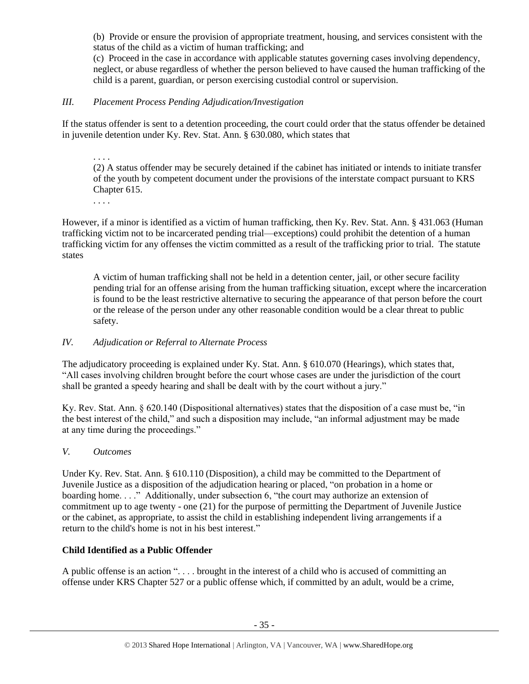(b) Provide or ensure the provision of appropriate treatment, housing, and services consistent with the status of the child as a victim of human trafficking; and

(c) Proceed in the case in accordance with applicable statutes governing cases involving dependency, neglect, or abuse regardless of whether the person believed to have caused the human trafficking of the child is a parent, guardian, or person exercising custodial control or supervision.

# *III. Placement Process Pending Adjudication/Investigation*

If the status offender is sent to a detention proceeding, the court could order that the status offender be detained in juvenile detention under Ky. Rev. Stat. Ann. § 630.080, which states that

. . . . (2) A status offender may be securely detained if the cabinet has initiated or intends to initiate transfer of the youth by competent document under the provisions of the interstate compact pursuant to KRS Chapter 615.

. . . .

However, if a minor is identified as a victim of human trafficking, then Ky. Rev. Stat. Ann. § 431.063 (Human trafficking victim not to be incarcerated pending trial—exceptions) could prohibit the detention of a human trafficking victim for any offenses the victim committed as a result of the trafficking prior to trial. The statute states

A victim of human trafficking shall not be held in a detention center, jail, or other secure facility pending trial for an offense arising from the human trafficking situation, except where the incarceration is found to be the least restrictive alternative to securing the appearance of that person before the court or the release of the person under any other reasonable condition would be a clear threat to public safety.

# *IV. Adjudication or Referral to Alternate Process*

The adjudicatory proceeding is explained under Ky. Stat. Ann. § 610.070 (Hearings), which states that, "All cases involving children brought before the court whose cases are under the jurisdiction of the court shall be granted a speedy hearing and shall be dealt with by the court without a jury."

Ky. Rev. Stat. Ann. § 620.140 (Dispositional alternatives) states that the disposition of a case must be, "in the best interest of the child," and such a disposition may include, "an informal adjustment may be made at any time during the proceedings."

# *V. Outcomes*

Under Ky. Rev. Stat. Ann. § 610.110 (Disposition), a child may be committed to the Department of Juvenile Justice as a disposition of the adjudication hearing or placed, "on probation in a home or boarding home...." Additionally, under subsection 6, "the court may authorize an extension of commitment up to age twenty - one (21) for the purpose of permitting the Department of Juvenile Justice or the cabinet, as appropriate, to assist the child in establishing independent living arrangements if a return to the child's home is not in his best interest."

# **Child Identified as a Public Offender**

A public offense is an action ". . . . brought in the interest of a child who is accused of committing an offense under KRS Chapter 527 or a public offense which, if committed by an adult, would be a crime,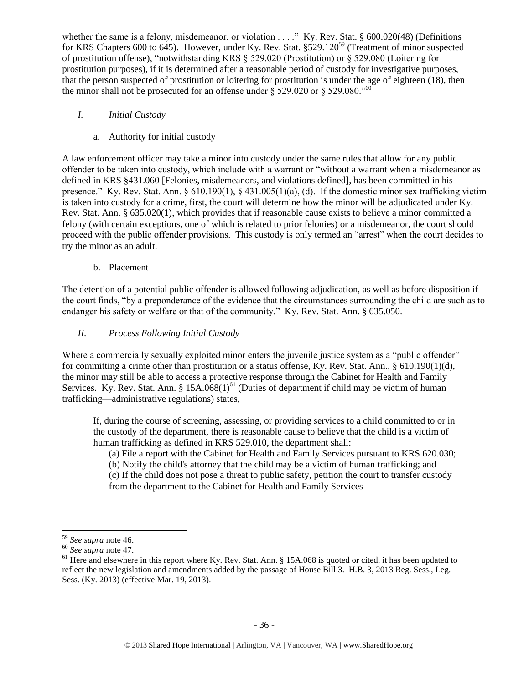whether the same is a felony, misdemeanor, or violation . . . ." Ky. Rev. Stat. § 600.020(48) (Definitions for KRS Chapters 600 to 645). However, under Ky. Rev. Stat. §529.120<sup>59</sup> (Treatment of minor suspected of prostitution offense), "notwithstanding KRS § 529.020 (Prostitution) or § 529.080 (Loitering for prostitution purposes), if it is determined after a reasonable period of custody for investigative purposes, that the person suspected of prostitution or loitering for prostitution is under the age of eighteen (18), then the minor shall not be prosecuted for an offense under  $\S$  529.020 or  $\S$  529.080."<sup>60</sup>

- *I. Initial Custody*
	- a. Authority for initial custody

A law enforcement officer may take a minor into custody under the same rules that allow for any public offender to be taken into custody, which include with a warrant or "without a warrant when a misdemeanor as defined in KRS §431.060 [Felonies, misdemeanors, and violations defined], has been committed in his presence." Ky. Rev. Stat. Ann.  $\S 610.190(1)$ ,  $\S 431.005(1)(a)$ , (d). If the domestic minor sex trafficking victim is taken into custody for a crime, first, the court will determine how the minor will be adjudicated under Ky. Rev. Stat. Ann. § 635.020(1), which provides that if reasonable cause exists to believe a minor committed a felony (with certain exceptions, one of which is related to prior felonies) or a misdemeanor, the court should proceed with the public offender provisions. This custody is only termed an "arrest" when the court decides to try the minor as an adult.

b. Placement

The detention of a potential public offender is allowed following adjudication, as well as before disposition if the court finds, "by a preponderance of the evidence that the circumstances surrounding the child are such as to endanger his safety or welfare or that of the community." Ky. Rev. Stat. Ann. § 635.050.

# *II. Process Following Initial Custody*

Where a commercially sexually exploited minor enters the juvenile justice system as a "public offender" for committing a crime other than prostitution or a status offense, Ky. Rev. Stat. Ann., § 610.190(1)(d), the minor may still be able to access a protective response through the Cabinet for Health and Family Services. Ky. Rev. Stat. Ann. §  $15A.068(1)^{61}$  (Duties of department if child may be victim of human trafficking—administrative regulations) states,

If, during the course of screening, assessing, or providing services to a child committed to or in the custody of the department, there is reasonable cause to believe that the child is a victim of human trafficking as defined in KRS 529.010, the department shall:

(a) File a report with the Cabinet for Health and Family Services pursuant to KRS 620.030;

(b) Notify the child's attorney that the child may be a victim of human trafficking; and

(c) If the child does not pose a threat to public safety, petition the court to transfer custody from the department to the Cabinet for Health and Family Services

<sup>59</sup> *See supra* note [46.](#page-26-0)

<sup>60</sup> *See supra* note [47.](#page-26-1)

 $61$  Here and elsewhere in this report where Ky. Rev. Stat. Ann. § 15A.068 is quoted or cited, it has been updated to reflect the new legislation and amendments added by the passage of House Bill 3. H.B. 3, 2013 Reg. Sess., Leg. Sess. (Ky. 2013) (effective Mar. 19, 2013).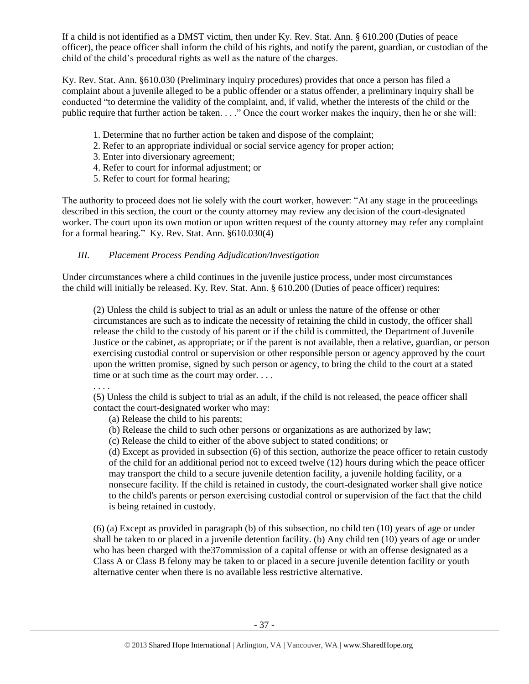If a child is not identified as a DMST victim, then under Ky. Rev. Stat. Ann. § 610.200 (Duties of peace officer), the peace officer shall inform the child of his rights, and notify the parent, guardian, or custodian of the child of the child's procedural rights as well as the nature of the charges.

Ky. Rev. Stat. Ann. §610.030 (Preliminary inquiry procedures) provides that once a person has filed a complaint about a juvenile alleged to be a public offender or a status offender, a preliminary inquiry shall be conducted "to determine the validity of the complaint, and, if valid, whether the interests of the child or the public require that further action be taken. . . ." Once the court worker makes the inquiry, then he or she will:

- 1. Determine that no further action be taken and dispose of the complaint;
- 2. Refer to an appropriate individual or social service agency for proper action;
- 3. Enter into diversionary agreement;
- 4. Refer to court for informal adjustment; or
- 5. Refer to court for formal hearing;

The authority to proceed does not lie solely with the court worker, however: "At any stage in the proceedings described in this section, the court or the county attorney may review any decision of the court-designated worker. The court upon its own motion or upon written request of the county attorney may refer any complaint for a formal hearing." Ky. Rev. Stat. Ann. §610.030(4)

# *III. Placement Process Pending Adjudication/Investigation*

Under circumstances where a child continues in the juvenile justice process, under most circumstances the child will initially be released. Ky. Rev. Stat. Ann. § 610.200 (Duties of peace officer) requires:

(2) Unless the child is subject to trial as an adult or unless the nature of the offense or other circumstances are such as to indicate the necessity of retaining the child in custody, the officer shall release the child to the custody of his parent or if the child is committed, the Department of Juvenile Justice or the cabinet, as appropriate; or if the parent is not available, then a relative, guardian, or person exercising custodial control or supervision or other responsible person or agency approved by the court upon the written promise, signed by such person or agency, to bring the child to the court at a stated time or at such time as the court may order. . . .

. . . .

(5) Unless the child is subject to trial as an adult, if the child is not released, the peace officer shall contact the court-designated worker who may:

- (a) Release the child to his parents;
- (b) Release the child to such other persons or organizations as are authorized by law;
- (c) Release the child to either of the above subject to stated conditions; or

(d) Except as provided in subsection (6) of this section, authorize the peace officer to retain custody of the child for an additional period not to exceed twelve (12) hours during which the peace officer may transport the child to a secure juvenile detention facility, a juvenile holding facility, or a nonsecure facility. If the child is retained in custody, the court-designated worker shall give notice to the child's parents or person exercising custodial control or supervision of the fact that the child is being retained in custody.

(6) (a) Except as provided in paragraph (b) of this subsection, no child ten (10) years of age or under shall be taken to or placed in a juvenile detention facility. (b) Any child ten (10) years of age or under who has been charged with the37ommission of a capital offense or with an offense designated as a Class A or Class B felony may be taken to or placed in a secure juvenile detention facility or youth alternative center when there is no available less restrictive alternative.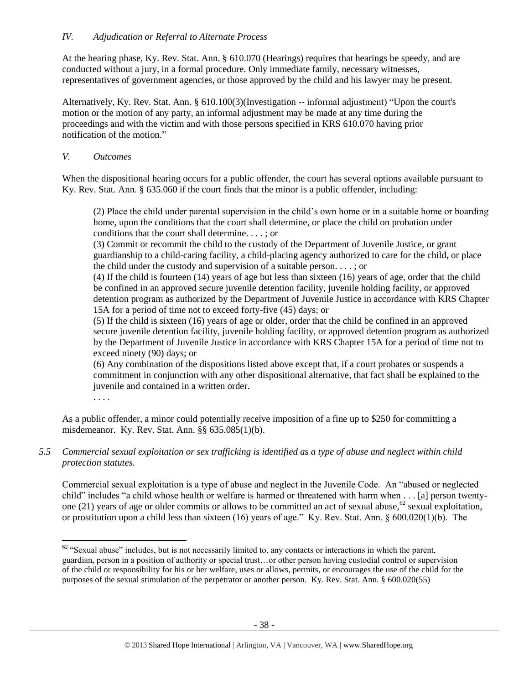At the hearing phase, Ky. Rev. Stat. Ann. § 610.070 (Hearings) requires that hearings be speedy, and are conducted without a jury, in a formal procedure. Only immediate family, necessary witnesses, representatives of government agencies, or those approved by the child and his lawyer may be present.

Alternatively, Ky. Rev. Stat. Ann. § 610.100(3)(Investigation -- informal adjustment) "Upon the court's motion or the motion of any party, an informal adjustment may be made at any time during the proceedings and with the victim and with those persons specified in KRS 610.070 having prior notification of the motion."

# *V. Outcomes*

When the dispositional hearing occurs for a public offender, the court has several options available pursuant to Ky. Rev. Stat. Ann. § 635.060 if the court finds that the minor is a public offender, including:

(2) Place the child under parental supervision in the child's own home or in a suitable home or boarding home, upon the conditions that the court shall determine, or place the child on probation under conditions that the court shall determine. . . . ; or

(3) Commit or recommit the child to the custody of the Department of Juvenile Justice, or grant guardianship to a child-caring facility, a child-placing agency authorized to care for the child, or place the child under the custody and supervision of a suitable person. . . . ; or

(4) If the child is fourteen (14) years of age but less than sixteen (16) years of age, order that the child be confined in an approved secure juvenile detention facility, juvenile holding facility, or approved detention program as authorized by the Department of Juvenile Justice in accordance with KRS Chapter 15A for a period of time not to exceed forty-five (45) days; or

(5) If the child is sixteen (16) years of age or older, order that the child be confined in an approved secure juvenile detention facility, juvenile holding facility, or approved detention program as authorized by the Department of Juvenile Justice in accordance with KRS Chapter 15A for a period of time not to exceed ninety (90) days; or

(6) Any combination of the dispositions listed above except that, if a court probates or suspends a commitment in conjunction with any other dispositional alternative, that fact shall be explained to the juvenile and contained in a written order.

. . . .

 $\overline{a}$ 

As a public offender, a minor could potentially receive imposition of a fine up to \$250 for committing a misdemeanor. Ky. Rev. Stat. Ann. §§ 635.085(1)(b).

*5.5 Commercial sexual exploitation or sex trafficking is identified as a type of abuse and neglect within child protection statutes.*

Commercial sexual exploitation is a type of abuse and neglect in the Juvenile Code. An "abused or neglected child" includes "a child whose health or welfare is harmed or threatened with harm when . . . [a] person twentyone (21) years of age or older commits or allows to be committed an act of sexual abuse,<sup>62</sup> sexual exploitation, or prostitution upon a child less than sixteen (16) years of age." Ky. Rev. Stat. Ann. § 600.020(1)(b). The

 $62$  "Sexual abuse" includes, but is not necessarily limited to, any contacts or interactions in which the parent, guardian, person in a position of authority or special trust…or other person having custodial control or supervision of the child or responsibility for his or her welfare, uses or allows, permits, or encourages the use of the child for the purposes of the sexual stimulation of the perpetrator or another person. Ky. Rev. Stat. Ann. § 600.020(55)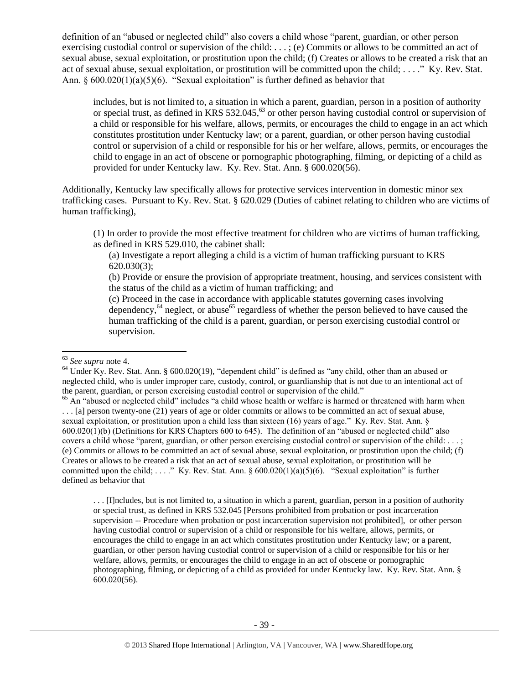definition of an "abused or neglected child" also covers a child whose "parent, guardian, or other person exercising custodial control or supervision of the child: . . . ; (e) Commits or allows to be committed an act of sexual abuse, sexual exploitation, or prostitution upon the child; (f) Creates or allows to be created a risk that an act of sexual abuse, sexual exploitation, or prostitution will be committed upon the child; . . . ." Ky. Rev. Stat. Ann.  $\S 600.020(1)(a)(5)(6)$ . "Sexual exploitation" is further defined as behavior that

includes, but is not limited to, a situation in which a parent, guardian, person in a position of authority or special trust, as defined in KRS 532.045,<sup>63</sup> or other person having custodial control or supervision of a child or responsible for his welfare, allows, permits, or encourages the child to engage in an act which constitutes prostitution under Kentucky law; or a parent, guardian, or other person having custodial control or supervision of a child or responsible for his or her welfare, allows, permits, or encourages the child to engage in an act of obscene or pornographic photographing, filming, or depicting of a child as provided for under Kentucky law. Ky. Rev. Stat. Ann. § 600.020(56).

Additionally, Kentucky law specifically allows for protective services intervention in domestic minor sex trafficking cases. Pursuant to Ky. Rev. Stat. § 620.029 (Duties of cabinet relating to children who are victims of human trafficking),

(1) In order to provide the most effective treatment for children who are victims of human trafficking, as defined in KRS 529.010, the cabinet shall:

(a) Investigate a report alleging a child is a victim of human trafficking pursuant to KRS 620.030(3);

(b) Provide or ensure the provision of appropriate treatment, housing, and services consistent with the status of the child as a victim of human trafficking; and

(c) Proceed in the case in accordance with applicable statutes governing cases involving dependency,  $64$  neglect, or abuse  $65$  regardless of whether the person believed to have caused the human trafficking of the child is a parent, guardian, or person exercising custodial control or supervision.

l

. . . [I]ncludes, but is not limited to, a situation in which a parent, guardian, person in a position of authority or special trust, as defined in KRS 532.045 [Persons prohibited from probation or post incarceration supervision -- Procedure when probation or post incarceration supervision not prohibited], or other person having custodial control or supervision of a child or responsible for his welfare, allows, permits, or encourages the child to engage in an act which constitutes prostitution under Kentucky law; or a parent, guardian, or other person having custodial control or supervision of a child or responsible for his or her welfare, allows, permits, or encourages the child to engage in an act of obscene or pornographic photographing, filming, or depicting of a child as provided for under Kentucky law. Ky. Rev. Stat. Ann. § 600.020(56).

<sup>63</sup> *See supra* note [4.](#page-3-0)

<sup>&</sup>lt;sup>64</sup> Under Ky. Rev. Stat. Ann. § 600.020(19), "dependent child" is defined as "any child, other than an abused or neglected child, who is under improper care, custody, control, or guardianship that is not due to an intentional act of the parent, guardian, or person exercising custodial control or supervision of the child."

 $<sup>65</sup>$  An "abused or neglected child" includes "a child whose health or welfare is harmed or threatened with harm when</sup> . . . [a] person twenty-one (21) years of age or older commits or allows to be committed an act of sexual abuse, sexual exploitation, or prostitution upon a child less than sixteen (16) years of age." Ky. Rev. Stat. Ann. § 600.020(1)(b) (Definitions for KRS Chapters 600 to 645). The definition of an "abused or neglected child" also covers a child whose "parent, guardian, or other person exercising custodial control or supervision of the child: . . . ; (e) Commits or allows to be committed an act of sexual abuse, sexual exploitation, or prostitution upon the child; (f) Creates or allows to be created a risk that an act of sexual abuse, sexual exploitation, or prostitution will be committed upon the child; . . . ." Ky. Rev. Stat. Ann. § 600.020(1)(a)(5)(6). "Sexual exploitation" is further defined as behavior that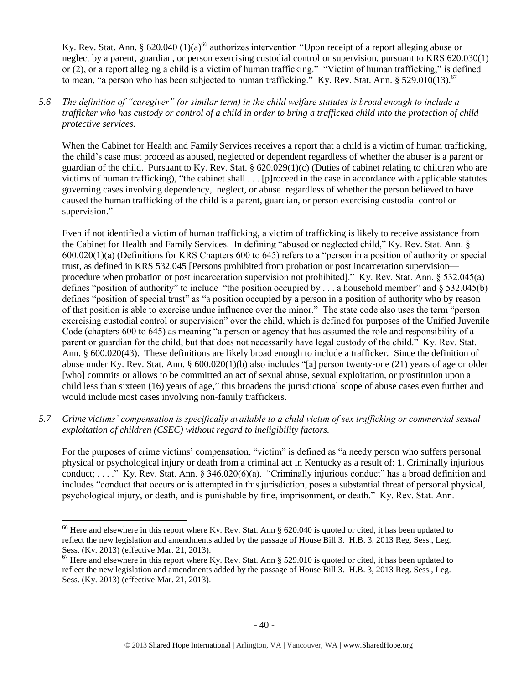Ky. Rev. Stat. Ann. § 620.040 (1)(a)<sup>66</sup> authorizes intervention "Upon receipt of a report alleging abuse or neglect by a parent, guardian, or person exercising custodial control or supervision, pursuant to KRS 620.030(1) or (2), or a report alleging a child is a victim of human trafficking." "Victim of human trafficking," is defined to mean, "a person who has been subjected to human trafficking." Ky. Rev. Stat. Ann.  $\S 529.010(13).^{67}$ 

*5.6 The definition of "caregiver" (or similar term) in the child welfare statutes is broad enough to include a trafficker who has custody or control of a child in order to bring a trafficked child into the protection of child protective services.*

When the Cabinet for Health and Family Services receives a report that a child is a victim of human trafficking, the child's case must proceed as abused, neglected or dependent regardless of whether the abuser is a parent or guardian of the child. Pursuant to Ky. Rev. Stat. § 620.029(1)(c) (Duties of cabinet relating to children who are victims of human trafficking), "the cabinet shall . . . [p]roceed in the case in accordance with applicable statutes governing cases involving dependency, neglect, or abuse regardless of whether the person believed to have caused the human trafficking of the child is a parent, guardian, or person exercising custodial control or supervision."

Even if not identified a victim of human trafficking, a victim of trafficking is likely to receive assistance from the Cabinet for Health and Family Services. In defining "abused or neglected child," Ky. Rev. Stat. Ann. § 600.020(1)(a) (Definitions for KRS Chapters 600 to 645) refers to a "person in a position of authority or special trust, as defined in KRS 532.045 [Persons prohibited from probation or post incarceration supervision procedure when probation or post incarceration supervision not prohibited]." Ky. Rev. Stat. Ann. § 532.045(a) defines "position of authority" to include "the position occupied by . . . a household member" and § 532.045(b) defines "position of special trust" as "a position occupied by a person in a position of authority who by reason of that position is able to exercise undue influence over the minor." The state code also uses the term "person exercising custodial control or supervision" over the child, which is defined for purposes of the Unified Juvenile Code (chapters 600 to 645) as meaning "a person or agency that has assumed the role and responsibility of a parent or guardian for the child, but that does not necessarily have legal custody of the child." Ky. Rev. Stat. Ann. § 600.020(43). These definitions are likely broad enough to include a trafficker. Since the definition of abuse under Ky. Rev. Stat. Ann. § 600.020(1)(b) also includes "[a] person twenty-one (21) years of age or older [who] commits or allows to be committed an act of sexual abuse, sexual exploitation, or prostitution upon a child less than sixteen (16) years of age," this broadens the jurisdictional scope of abuse cases even further and would include most cases involving non-family traffickers.

*5.7 Crime victims' compensation is specifically available to a child victim of sex trafficking or commercial sexual exploitation of children (CSEC) without regard to ineligibility factors.*

For the purposes of crime victims' compensation, "victim" is defined as "a needy person who suffers personal physical or psychological injury or death from a criminal act in Kentucky as a result of: 1. Criminally injurious conduct; . . . ." Ky. Rev. Stat. Ann. § 346.020(6)(a). "Criminally injurious conduct" has a broad definition and includes "conduct that occurs or is attempted in this jurisdiction, poses a substantial threat of personal physical, psychological injury, or death, and is punishable by fine, imprisonment, or death." Ky. Rev. Stat. Ann.

<sup>&</sup>lt;sup>66</sup> Here and elsewhere in this report where Ky. Rev. Stat. Ann § 620.040 is quoted or cited, it has been updated to reflect the new legislation and amendments added by the passage of House Bill 3. H.B. 3, 2013 Reg. Sess., Leg. Sess. (Ky. 2013) (effective Mar. 21, 2013).

 $67$  Here and elsewhere in this report where Ky. Rev. Stat. Ann § 529.010 is quoted or cited, it has been updated to reflect the new legislation and amendments added by the passage of House Bill 3. H.B. 3, 2013 Reg. Sess., Leg. Sess. (Ky. 2013) (effective Mar. 21, 2013).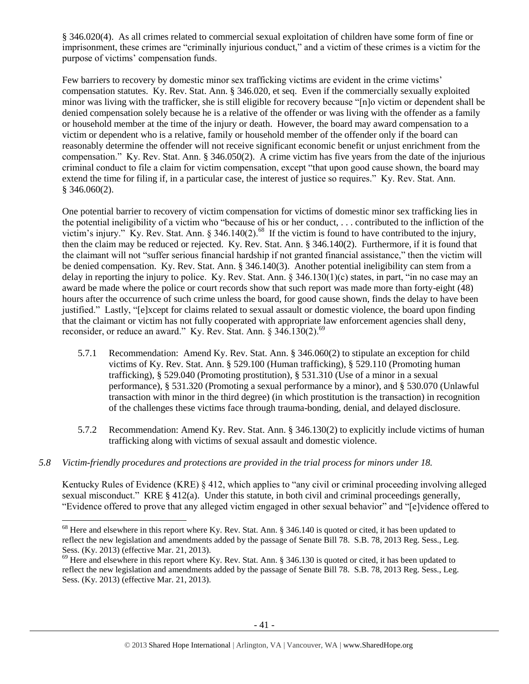§ 346.020(4). As all crimes related to commercial sexual exploitation of children have some form of fine or imprisonment, these crimes are "criminally injurious conduct," and a victim of these crimes is a victim for the purpose of victims' compensation funds.

Few barriers to recovery by domestic minor sex trafficking victims are evident in the crime victims' compensation statutes. Ky. Rev. Stat. Ann. § 346.020, et seq. Even if the commercially sexually exploited minor was living with the trafficker, she is still eligible for recovery because "[n]o victim or dependent shall be denied compensation solely because he is a relative of the offender or was living with the offender as a family or household member at the time of the injury or death. However, the board may award compensation to a victim or dependent who is a relative, family or household member of the offender only if the board can reasonably determine the offender will not receive significant economic benefit or unjust enrichment from the compensation." Ky. Rev. Stat. Ann. § 346.050(2). A crime victim has five years from the date of the injurious criminal conduct to file a claim for victim compensation, except "that upon good cause shown, the board may extend the time for filing if, in a particular case, the interest of justice so requires." Ky. Rev. Stat. Ann. § 346.060(2).

One potential barrier to recovery of victim compensation for victims of domestic minor sex trafficking lies in the potential ineligibility of a victim who "because of his or her conduct, . . . contributed to the infliction of the victim's injury." Ky. Rev. Stat. Ann. § 346.140(2).<sup>68</sup> If the victim is found to have contributed to the injury, then the claim may be reduced or rejected. Ky. Rev. Stat. Ann. § 346.140(2). Furthermore, if it is found that the claimant will not "suffer serious financial hardship if not granted financial assistance," then the victim will be denied compensation. Ky. Rev. Stat. Ann. § 346.140(3). Another potential ineligibility can stem from a delay in reporting the injury to police. Ky. Rev. Stat. Ann. § 346.130(1)(c) states, in part, "in no case may an award be made where the police or court records show that such report was made more than forty-eight (48) hours after the occurrence of such crime unless the board, for good cause shown, finds the delay to have been justified." Lastly, "[e]xcept for claims related to sexual assault or domestic violence, the board upon finding that the claimant or victim has not fully cooperated with appropriate law enforcement agencies shall deny, reconsider, or reduce an award." Ky. Rev. Stat. Ann.  $\S 346.130(2)$ .<sup>69</sup>

- 5.7.1 Recommendation: Amend Ky. Rev. Stat. Ann. § 346.060(2) to stipulate an exception for child victims of Ky. Rev. Stat. Ann. § 529.100 (Human trafficking), § 529.110 (Promoting human trafficking), § 529.040 (Promoting prostitution), § 531.310 (Use of a minor in a sexual performance), § 531.320 (Promoting a sexual performance by a minor), and § 530.070 (Unlawful transaction with minor in the third degree) (in which prostitution is the transaction) in recognition of the challenges these victims face through trauma-bonding, denial, and delayed disclosure.
- 5.7.2 Recommendation: Amend Ky. Rev. Stat. Ann. § 346.130(2) to explicitly include victims of human trafficking along with victims of sexual assault and domestic violence.
- *5.8 Victim-friendly procedures and protections are provided in the trial process for minors under 18.*

 $\overline{\phantom{a}}$ 

Kentucky Rules of Evidence (KRE) § 412, which applies to "any civil or criminal proceeding involving alleged sexual misconduct." KRE § 412(a). Under this statute, in both civil and criminal proceedings generally, "Evidence offered to prove that any alleged victim engaged in other sexual behavior" and "[e]vidence offered to

 $^{68}$  Here and elsewhere in this report where Ky. Rev. Stat. Ann. § 346.140 is quoted or cited, it has been updated to reflect the new legislation and amendments added by the passage of Senate Bill 78. S.B. 78, 2013 Reg. Sess., Leg. Sess. (Ky. 2013) (effective Mar. 21, 2013).

<sup>&</sup>lt;sup>69</sup> Here and elsewhere in this report where Ky. Rev. Stat. Ann. § 346.130 is quoted or cited, it has been updated to reflect the new legislation and amendments added by the passage of Senate Bill 78. S.B. 78, 2013 Reg. Sess., Leg. Sess. (Ky. 2013) (effective Mar. 21, 2013).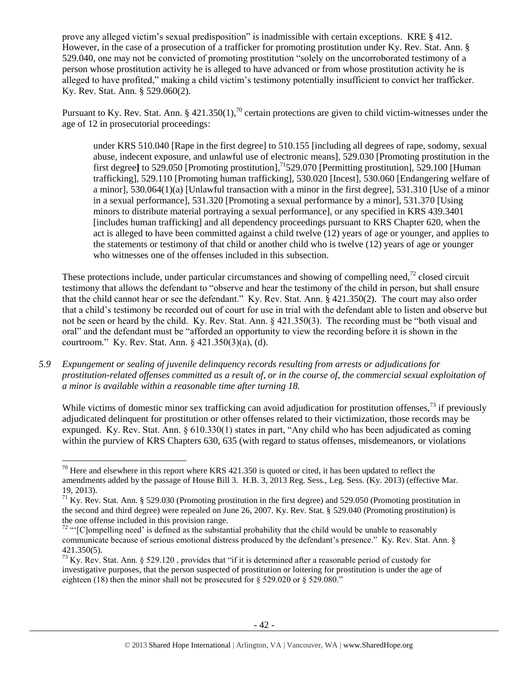prove any alleged victim's sexual predisposition" is inadmissible with certain exceptions. KRE § 412. However, in the case of a prosecution of a trafficker for promoting prostitution under Ky. Rev. Stat. Ann. § 529.040, one may not be convicted of promoting prostitution "solely on the uncorroborated testimony of a person whose prostitution activity he is alleged to have advanced or from whose prostitution activity he is alleged to have profited," making a child victim's testimony potentially insufficient to convict her trafficker. Ky. Rev. Stat. Ann. § 529.060(2).

Pursuant to Ky. Rev. Stat. Ann. § 421.350(1),<sup>70</sup> certain protections are given to child victim-witnesses under the age of 12 in prosecutorial proceedings:

under KRS 510.040 [Rape in the first degree] to 510.155 [including all degrees of rape, sodomy, sexual abuse, indecent exposure, and unlawful use of electronic means], 529.030 [Promoting prostitution in the first degree] to 529.050 [Promoting prostitution],<sup>71</sup>529.070 [Permitting prostitution], 529.100 [Human trafficking], 529.110 [Promoting human trafficking], 530.020 [Incest], 530.060 [Endangering welfare of a minor], 530.064(1)(a) [Unlawful transaction with a minor in the first degree], 531.310 [Use of a minor in a sexual performance], 531.320 [Promoting a sexual performance by a minor], 531.370 [Using minors to distribute material portraying a sexual performance], or any specified in KRS 439.3401 [includes human trafficking] and all dependency proceedings pursuant to KRS Chapter 620, when the act is alleged to have been committed against a child twelve (12) years of age or younger, and applies to the statements or testimony of that child or another child who is twelve (12) years of age or younger who witnesses one of the offenses included in this subsection.

These protections include, under particular circumstances and showing of compelling need, $^{72}$  closed circuit testimony that allows the defendant to "observe and hear the testimony of the child in person, but shall ensure that the child cannot hear or see the defendant." Ky. Rev. Stat. Ann. § 421.350(2). The court may also order that a child's testimony be recorded out of court for use in trial with the defendant able to listen and observe but not be seen or heard by the child. Ky. Rev. Stat. Ann. § 421.350(3). The recording must be "both visual and oral" and the defendant must be "afforded an opportunity to view the recording before it is shown in the courtroom." Ky. Rev. Stat. Ann. § 421.350(3)(a), (d).

*5.9 Expungement or sealing of juvenile delinquency records resulting from arrests or adjudications for prostitution-related offenses committed as a result of, or in the course of, the commercial sexual exploitation of a minor is available within a reasonable time after turning 18.*

While victims of domestic minor sex trafficking can avoid adjudication for prostitution offenses, $^{73}$  if previously adjudicated delinquent for prostitution or other offenses related to their victimization, those records may be expunged. Ky. Rev. Stat. Ann. § 610.330(1) states in part, "Any child who has been adjudicated as coming within the purview of KRS Chapters 630, 635 (with regard to status offenses, misdemeanors, or violations

 $70$  Here and elsewhere in this report where KRS 421.350 is quoted or cited, it has been updated to reflect the amendments added by the passage of House Bill 3. H.B. 3, 2013 Reg. Sess., Leg. Sess. (Ky. 2013) (effective Mar. 19, 2013).

 $71$  Ky. Rev. Stat. Ann. § 529.030 (Promoting prostitution in the first degree) and 529.050 (Promoting prostitution in the second and third degree) were repealed on June 26, 2007. Ky. Rev. Stat. § 529.040 (Promoting prostitution) is the one offense included in this provision range.

 $72$  "' $[{\rm Clompelling~need'}$  is defined as the substantial probability that the child would be unable to reasonably communicate because of serious emotional distress produced by the defendant's presence." Ky. Rev. Stat. Ann. § 421.350(5).

 $73$  Ky. Rev. Stat. Ann. § 529.120, provides that "if it is determined after a reasonable period of custody for investigative purposes, that the person suspected of prostitution or loitering for prostitution is under the age of eighteen (18) then the minor shall not be prosecuted for  $\S$  529.020 or  $\S$  529.080."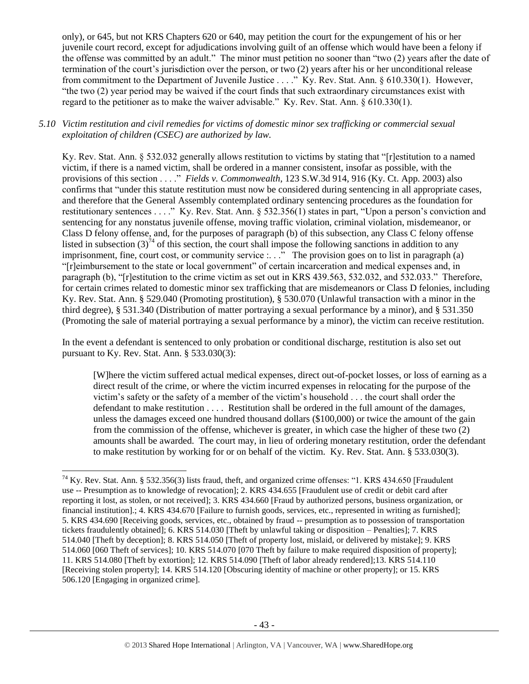only), or 645, but not KRS Chapters 620 or 640, may petition the court for the expungement of his or her juvenile court record, except for adjudications involving guilt of an offense which would have been a felony if the offense was committed by an adult." The minor must petition no sooner than "two (2) years after the date of termination of the court's jurisdiction over the person, or two (2) years after his or her unconditional release from commitment to the Department of Juvenile Justice . . . ." Ky. Rev. Stat. Ann. § 610.330(1). However, "the two (2) year period may be waived if the court finds that such extraordinary circumstances exist with regard to the petitioner as to make the waiver advisable." Ky. Rev. Stat. Ann. § 610.330(1).

# *5.10 Victim restitution and civil remedies for victims of domestic minor sex trafficking or commercial sexual exploitation of children (CSEC) are authorized by law.*

Ky. Rev. Stat. Ann. § 532.032 generally allows restitution to victims by stating that "[r]estitution to a named victim, if there is a named victim, shall be ordered in a manner consistent, insofar as possible, with the provisions of this section . . . ." *Fields v. Commonwealth*, 123 S.W.3d 914, 916 (Ky. Ct. App. 2003) also confirms that "under this statute restitution must now be considered during sentencing in all appropriate cases, and therefore that the General Assembly contemplated ordinary sentencing procedures as the foundation for restitutionary sentences . . . ." Ky. Rev. Stat. Ann. § 532.356(1) states in part, "Upon a person's conviction and sentencing for any nonstatus juvenile offense, moving traffic violation, criminal violation, misdemeanor, or Class D felony offense, and, for the purposes of paragraph (b) of this subsection, any Class C felony offense listed in subsection (3)<sup>74</sup> of this section, the court shall impose the following sanctions in addition to any imprisonment, fine, court cost, or community service  $\ldots$ . The provision goes on to list in paragraph (a) "[r]eimbursement to the state or local government" of certain incarceration and medical expenses and, in paragraph (b), "[r]estitution to the crime victim as set out in KRS 439.563, 532.032, and 532.033." Therefore, for certain crimes related to domestic minor sex trafficking that are misdemeanors or Class D felonies, including Ky. Rev. Stat. Ann. § 529.040 (Promoting prostitution), § 530.070 (Unlawful transaction with a minor in the third degree), § 531.340 (Distribution of matter portraying a sexual performance by a minor), and § 531.350 (Promoting the sale of material portraying a sexual performance by a minor), the victim can receive restitution.

In the event a defendant is sentenced to only probation or conditional discharge, restitution is also set out pursuant to Ky. Rev. Stat. Ann. § 533.030(3):

[W]here the victim suffered actual medical expenses, direct out-of-pocket losses, or loss of earning as a direct result of the crime, or where the victim incurred expenses in relocating for the purpose of the victim's safety or the safety of a member of the victim's household . . . the court shall order the defendant to make restitution . . . . Restitution shall be ordered in the full amount of the damages, unless the damages exceed one hundred thousand dollars (\$100,000) or twice the amount of the gain from the commission of the offense, whichever is greater, in which case the higher of these two (2) amounts shall be awarded. The court may, in lieu of ordering monetary restitution, order the defendant to make restitution by working for or on behalf of the victim. Ky. Rev. Stat. Ann. § 533.030(3).

l

 $^{74}$  Ky. Rev. Stat. Ann. § 532.356(3) lists fraud, theft, and organized crime offenses: "1. KRS 434.650 [Fraudulent use -- Presumption as to knowledge of revocation]; 2. KRS 434.655 [Fraudulent use of credit or debit card after reporting it lost, as stolen, or not received]; 3. KRS 434.660 [Fraud by authorized persons, business organization, or financial institution].; 4. KRS 434.670 [Failure to furnish goods, services, etc., represented in writing as furnished]; 5. KRS 434.690 [Receiving goods, services, etc., obtained by fraud -- presumption as to possession of transportation tickets fraudulently obtained]; 6. KRS 514.030 [Theft by unlawful taking or disposition – Penalties]; 7. KRS 514.040 [Theft by deception]; 8. KRS 514.050 [Theft of property lost, mislaid, or delivered by mistake]; 9. KRS 514.060 [060 Theft of services]; 10. KRS 514.070 [070 Theft by failure to make required disposition of property]; 11. KRS 514.080 [Theft by extortion]; 12. KRS 514.090 [Theft of labor already rendered];13. KRS 514.110 [Receiving stolen property]; 14. KRS 514.120 [Obscuring identity of machine or other property]; or 15. KRS 506.120 [Engaging in organized crime].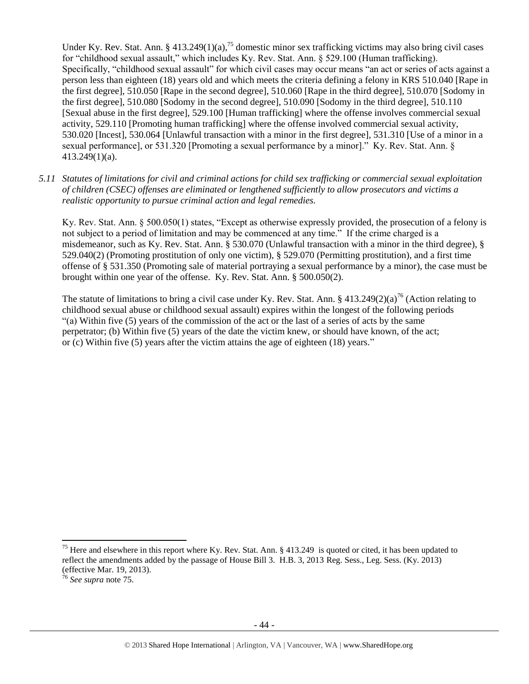<span id="page-43-0"></span>Under Ky. Rev. Stat. Ann. § 413.249(1)(a),<sup>75</sup> domestic minor sex trafficking victims may also bring civil cases for "childhood sexual assault," which includes Ky. Rev. Stat. Ann. § 529.100 (Human trafficking). Specifically, "childhood sexual assault" for which civil cases may occur means "an act or series of acts against a person less than eighteen (18) years old and which meets the criteria defining a felony in KRS 510.040 [Rape in the first degree], 510.050 [Rape in the second degree], 510.060 [Rape in the third degree], 510.070 [Sodomy in the first degree], 510.080 [Sodomy in the second degree], 510.090 [Sodomy in the third degree], 510.110 [Sexual abuse in the first degree], 529.100 [Human trafficking] where the offense involves commercial sexual activity, 529.110 [Promoting human trafficking] where the offense involved commercial sexual activity, 530.020 [Incest], 530.064 [Unlawful transaction with a minor in the first degree], 531.310 [Use of a minor in a sexual performance], or 531.320 [Promoting a sexual performance by a minor]." Ky. Rev. Stat. Ann. §  $413.249(1)(a)$ .

*5.11 Statutes of limitations for civil and criminal actions for child sex trafficking or commercial sexual exploitation of children (CSEC) offenses are eliminated or lengthened sufficiently to allow prosecutors and victims a realistic opportunity to pursue criminal action and legal remedies.*

Ky. Rev. Stat. Ann. § 500.050(1) states, "Except as otherwise expressly provided, the prosecution of a felony is not subject to a period of limitation and may be commenced at any time." If the crime charged is a misdemeanor, such as Ky. Rev. Stat. Ann. § 530.070 (Unlawful transaction with a minor in the third degree), § 529.040(2) (Promoting prostitution of only one victim), § 529.070 (Permitting prostitution), and a first time offense of § 531.350 (Promoting sale of material portraying a sexual performance by a minor), the case must be brought within one year of the offense. Ky. Rev. Stat. Ann. § 500.050(2).

The statute of limitations to bring a civil case under Ky. Rev. Stat. Ann. §  $413.249(2)(a)^{76}$  (Action relating to childhood sexual abuse or childhood sexual assault) expires within the longest of the following periods "(a) Within five (5) years of the commission of the act or the last of a series of acts by the same perpetrator; (b) Within five (5) years of the date the victim knew, or should have known, of the act; or (c) Within five (5) years after the victim attains the age of eighteen (18) years."

 $\overline{a}$ 

<sup>&</sup>lt;sup>75</sup> Here and elsewhere in this report where Ky. Rev. Stat. Ann. § 413.249 is quoted or cited, it has been updated to reflect the amendments added by the passage of House Bill 3. H.B. 3, 2013 Reg. Sess., Leg. Sess. (Ky. 2013) (effective Mar. 19, 2013).

<sup>76</sup> *See supra* note [75.](#page-43-0)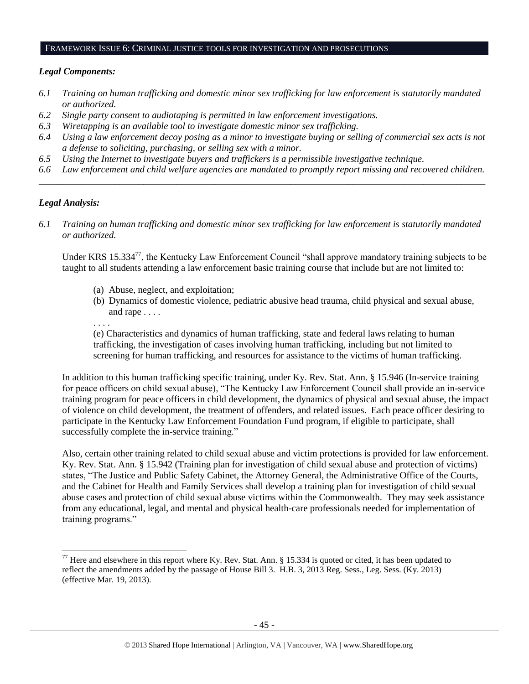#### FRAMEWORK ISSUE 6: CRIMINAL JUSTICE TOOLS FOR INVESTIGATION AND PROSECUTIONS

# *Legal Components:*

- *6.1 Training on human trafficking and domestic minor sex trafficking for law enforcement is statutorily mandated or authorized.*
- *6.2 Single party consent to audiotaping is permitted in law enforcement investigations.*
- *6.3 Wiretapping is an available tool to investigate domestic minor sex trafficking.*
- *6.4 Using a law enforcement decoy posing as a minor to investigate buying or selling of commercial sex acts is not a defense to soliciting, purchasing, or selling sex with a minor.*
- *6.5 Using the Internet to investigate buyers and traffickers is a permissible investigative technique.*
- *6.6 Law enforcement and child welfare agencies are mandated to promptly report missing and recovered children. \_\_\_\_\_\_\_\_\_\_\_\_\_\_\_\_\_\_\_\_\_\_\_\_\_\_\_\_\_\_\_\_\_\_\_\_\_\_\_\_\_\_\_\_\_\_\_\_\_\_\_\_\_\_\_\_\_\_\_\_\_\_\_\_\_\_\_\_\_\_\_\_\_\_\_\_\_\_\_\_\_\_\_\_\_\_\_\_\_\_\_\_\_\_*

# *Legal Analysis:*

 $\overline{\phantom{a}}$ 

*6.1 Training on human trafficking and domestic minor sex trafficking for law enforcement is statutorily mandated or authorized.*

Under KRS 15.334<sup>77</sup>, the Kentucky Law Enforcement Council "shall approve mandatory training subjects to be taught to all students attending a law enforcement basic training course that include but are not limited to:

- (a) Abuse, neglect, and exploitation;
- (b) Dynamics of domestic violence, pediatric abusive head trauma, child physical and sexual abuse, and rape . . . .

. . . .

(e) Characteristics and dynamics of human trafficking, state and federal laws relating to human trafficking, the investigation of cases involving human trafficking, including but not limited to screening for human trafficking, and resources for assistance to the victims of human trafficking.

In addition to this human trafficking specific training, under Ky. Rev. Stat. Ann. § 15.946 (In-service training for peace officers on child sexual abuse), "The Kentucky Law Enforcement Council shall provide an in-service training program for peace officers in child development, the dynamics of physical and sexual abuse, the impact of violence on child development, the treatment of offenders, and related issues. Each peace officer desiring to participate in the Kentucky Law Enforcement Foundation Fund program, if eligible to participate, shall successfully complete the in-service training."

Also, certain other training related to child sexual abuse and victim protections is provided for law enforcement. Ky. Rev. Stat. Ann. § 15.942 (Training plan for investigation of child sexual abuse and protection of victims) states, "The Justice and Public Safety Cabinet, the Attorney General, the Administrative Office of the Courts, and the Cabinet for Health and Family Services shall develop a training plan for investigation of child sexual abuse cases and protection of child sexual abuse victims within the Commonwealth. They may seek assistance from any educational, legal, and mental and physical health-care professionals needed for implementation of training programs."

<sup>&</sup>lt;sup>77</sup> Here and elsewhere in this report where Ky. Rev. Stat. Ann. § 15.334 is quoted or cited, it has been updated to reflect the amendments added by the passage of House Bill 3. H.B. 3, 2013 Reg. Sess., Leg. Sess. (Ky. 2013) (effective Mar. 19, 2013).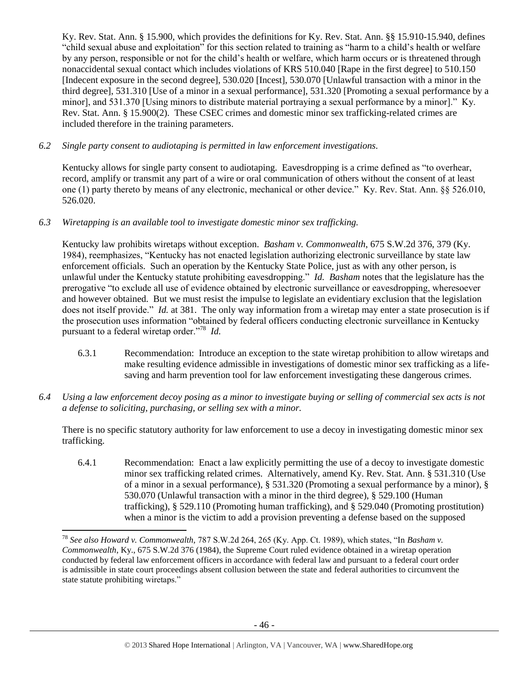Ky. Rev. Stat. Ann. § 15.900, which provides the definitions for Ky. Rev. Stat. Ann. §§ 15.910-15.940, defines "child sexual abuse and exploitation" for this section related to training as "harm to a child's health or welfare by any person, responsible or not for the child's health or welfare, which harm occurs or is threatened through nonaccidental sexual contact which includes violations of KRS 510.040 [Rape in the first degree] to 510.150 [Indecent exposure in the second degree], 530.020 [Incest], 530.070 [Unlawful transaction with a minor in the third degree], 531.310 [Use of a minor in a sexual performance], 531.320 [Promoting a sexual performance by a minor], and 531.370 [Using minors to distribute material portraying a sexual performance by a minor]." Ky. Rev. Stat. Ann. § 15.900(2). These CSEC crimes and domestic minor sex trafficking-related crimes are included therefore in the training parameters.

*6.2 Single party consent to audiotaping is permitted in law enforcement investigations.*

Kentucky allows for single party consent to audiotaping. Eavesdropping is a crime defined as "to overhear, record, amplify or transmit any part of a wire or oral communication of others without the consent of at least one (1) party thereto by means of any electronic, mechanical or other device." Ky. Rev. Stat. Ann. §§ 526.010, 526.020.

# *6.3 Wiretapping is an available tool to investigate domestic minor sex trafficking.*

 $\overline{\phantom{a}}$ 

Kentucky law prohibits wiretaps without exception. *Basham v. Commonwealth*, 675 S.W.2d 376, 379 (Ky. 1984), reemphasizes, "Kentucky has not enacted legislation authorizing electronic surveillance by state law enforcement officials. Such an operation by the Kentucky State Police, just as with any other person, is unlawful under the Kentucky statute prohibiting eavesdropping." *Id. Basham* notes that the legislature has the prerogative "to exclude all use of evidence obtained by electronic surveillance or eavesdropping, wheresoever and however obtained. But we must resist the impulse to legislate an evidentiary exclusion that the legislation does not itself provide." *Id.* at 381. The only way information from a wiretap may enter a state prosecution is if the prosecution uses information "obtained by federal officers conducting electronic surveillance in Kentucky pursuant to a federal wiretap order."<sup>78</sup> *Id.*

- 6.3.1 Recommendation: Introduce an exception to the state wiretap prohibition to allow wiretaps and make resulting evidence admissible in investigations of domestic minor sex trafficking as a lifesaving and harm prevention tool for law enforcement investigating these dangerous crimes.
- *6.4 Using a law enforcement decoy posing as a minor to investigate buying or selling of commercial sex acts is not a defense to soliciting, purchasing, or selling sex with a minor.*

There is no specific statutory authority for law enforcement to use a decoy in investigating domestic minor sex trafficking.

6.4.1 Recommendation: Enact a law explicitly permitting the use of a decoy to investigate domestic minor sex trafficking related crimes. Alternatively, amend Ky. Rev. Stat. Ann. § 531.310 (Use of a minor in a sexual performance), § 531.320 (Promoting a sexual performance by a minor), § 530.070 (Unlawful transaction with a minor in the third degree), § 529.100 (Human trafficking), § 529.110 (Promoting human trafficking), and § 529.040 (Promoting prostitution) when a minor is the victim to add a provision preventing a defense based on the supposed

<sup>78</sup> *See also Howard v. Commonwealth,* 787 S.W.2d 264, 265 (Ky. App. Ct. 1989), which states, "In *Basham v. Commonwealth*, Ky., 675 S.W.2d 376 (1984), the Supreme Court ruled evidence obtained in a wiretap operation conducted by federal law enforcement officers in accordance with federal law and pursuant to a federal court order is admissible in state court proceedings absent collusion between the state and federal authorities to circumvent the state statute prohibiting wiretaps."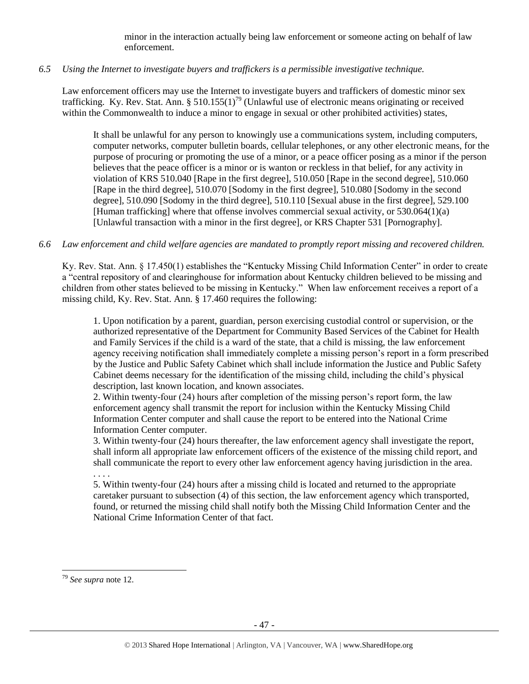minor in the interaction actually being law enforcement or someone acting on behalf of law enforcement.

# *6.5 Using the Internet to investigate buyers and traffickers is a permissible investigative technique.*

Law enforcement officers may use the Internet to investigate buyers and traffickers of domestic minor sex trafficking. Ky. Rev. Stat. Ann. § 510.155(1)<sup>79</sup> (Unlawful use of electronic means originating or received within the Commonwealth to induce a minor to engage in sexual or other prohibited activities) states,

It shall be unlawful for any person to knowingly use a communications system, including computers, computer networks, computer bulletin boards, cellular telephones, or any other electronic means, for the purpose of procuring or promoting the use of a minor, or a peace officer posing as a minor if the person believes that the peace officer is a minor or is wanton or reckless in that belief, for any activity in violation of KRS 510.040 [Rape in the first degree], 510.050 [Rape in the second degree], 510.060 [Rape in the third degree], 510.070 [Sodomy in the first degree], 510.080 [Sodomy in the second degree], 510.090 [Sodomy in the third degree], 510.110 [Sexual abuse in the first degree], 529.100 [Human trafficking] where that offense involves commercial sexual activity, or 530.064(1)(a) [Unlawful transaction with a minor in the first degree], or KRS Chapter 531 [Pornography].

# *6.6 Law enforcement and child welfare agencies are mandated to promptly report missing and recovered children.*

Ky. Rev. Stat. Ann. § 17.450(1) establishes the "Kentucky Missing Child Information Center" in order to create a "central repository of and clearinghouse for information about Kentucky children believed to be missing and children from other states believed to be missing in Kentucky." When law enforcement receives a report of a missing child, Ky. Rev. Stat. Ann. § 17.460 requires the following:

1. Upon notification by a parent, guardian, person exercising custodial control or supervision, or the authorized representative of the Department for Community Based Services of the Cabinet for Health and Family Services if the child is a ward of the state, that a child is missing, the law enforcement agency receiving notification shall immediately complete a missing person's report in a form prescribed by the Justice and Public Safety Cabinet which shall include information the Justice and Public Safety Cabinet deems necessary for the identification of the missing child, including the child's physical description, last known location, and known associates.

2. Within twenty-four (24) hours after completion of the missing person's report form, the law enforcement agency shall transmit the report for inclusion within the Kentucky Missing Child Information Center computer and shall cause the report to be entered into the National Crime Information Center computer.

3. Within twenty-four (24) hours thereafter, the law enforcement agency shall investigate the report, shall inform all appropriate law enforcement officers of the existence of the missing child report, and shall communicate the report to every other law enforcement agency having jurisdiction in the area.

. . . .

5. Within twenty-four (24) hours after a missing child is located and returned to the appropriate caretaker pursuant to subsection (4) of this section, the law enforcement agency which transported, found, or returned the missing child shall notify both the Missing Child Information Center and the National Crime Information Center of that fact.

 $\overline{a}$ <sup>79</sup> *See supra* note [12.](#page-7-0)